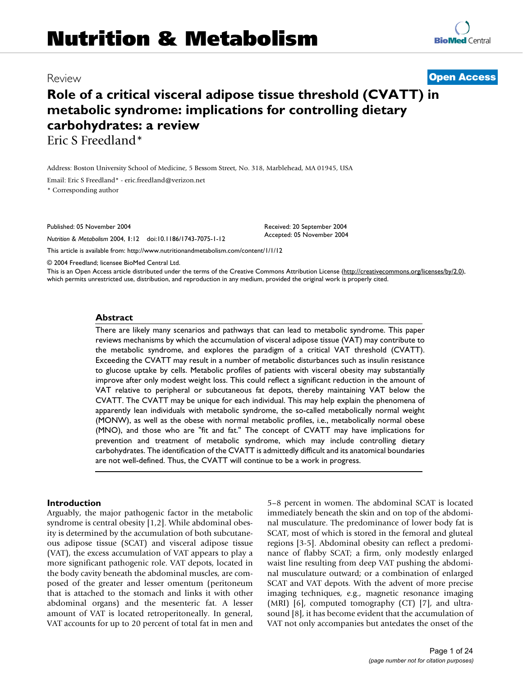### Review **[Open Access](http://www.biomedcentral.com/info/about/charter/)**

**[BioMed](http://www.biomedcentral.com/)** Central

## **Role of a critical visceral adipose tissue threshold (CVATT) in metabolic syndrome: implications for controlling dietary carbohydrates: a review** Eric S Freedland\*

Address: Boston University School of Medicine, 5 Bessom Street, No. 318, Marblehead, MA 01945, USA

Email: Eric S Freedland\* - eric.freedland@verizon.net

\* Corresponding author

Published: 05 November 2004

*Nutrition & Metabolism* 2004, **1**:12 doi:10.1186/1743-7075-1-12

[This article is available from: http://www.nutritionandmetabolism.com/content/1/1/12](http://www.nutritionandmetabolism.com/content/1/1/12)

© 2004 Freedland; licensee BioMed Central Ltd.

This is an Open Access article distributed under the terms of the Creative Commons Attribution License [\(http://creativecommons.org/licenses/by/2.0\)](http://creativecommons.org/licenses/by/2.0), which permits unrestricted use, distribution, and reproduction in any medium, provided the original work is properly cited.

Received: 20 September 2004 Accepted: 05 November 2004

#### **Abstract**

There are likely many scenarios and pathways that can lead to metabolic syndrome. This paper reviews mechanisms by which the accumulation of visceral adipose tissue (VAT) may contribute to the metabolic syndrome, and explores the paradigm of a critical VAT threshold (CVATT). Exceeding the CVATT may result in a number of metabolic disturbances such as insulin resistance to glucose uptake by cells. Metabolic profiles of patients with visceral obesity may substantially improve after only modest weight loss. This could reflect a significant reduction in the amount of VAT relative to peripheral or subcutaneous fat depots, thereby maintaining VAT below the CVATT. The CVATT may be unique for each individual. This may help explain the phenomena of apparently lean individuals with metabolic syndrome, the so-called metabolically normal weight (MONW), as well as the obese with normal metabolic profiles, i.e., metabolically normal obese (MNO), and those who are "fit and fat." The concept of CVATT may have implications for prevention and treatment of metabolic syndrome, which may include controlling dietary carbohydrates. The identification of the CVATT is admittedly difficult and its anatomical boundaries are not well-defined. Thus, the CVATT will continue to be a work in progress.

#### **Introduction**

Arguably, the major pathogenic factor in the metabolic syndrome is central obesity [1,2]. While abdominal obesity is determined by the accumulation of both subcutaneous adipose tissue (SCAT) and visceral adipose tissue (VAT), the excess accumulation of VAT appears to play a more significant pathogenic role. VAT depots, located in the body cavity beneath the abdominal muscles, are composed of the greater and lesser omentum (peritoneum that is attached to the stomach and links it with other abdominal organs) and the mesenteric fat. A lesser amount of VAT is located retroperitoneally. In general, VAT accounts for up to 20 percent of total fat in men and 5–8 percent in women. The abdominal SCAT is located immediately beneath the skin and on top of the abdominal musculature. The predominance of lower body fat is SCAT, most of which is stored in the femoral and gluteal regions [3-5]. Abdominal obesity can reflect a predominance of flabby SCAT; a firm, only modestly enlarged waist line resulting from deep VAT pushing the abdominal musculature outward; or a combination of enlarged SCAT and VAT depots. With the advent of more precise imaging techniques, e.g., magnetic resonance imaging (MRI) [6], computed tomography (CT) [7], and ultrasound [8], it has become evident that the accumulation of VAT not only accompanies but antedates the onset of the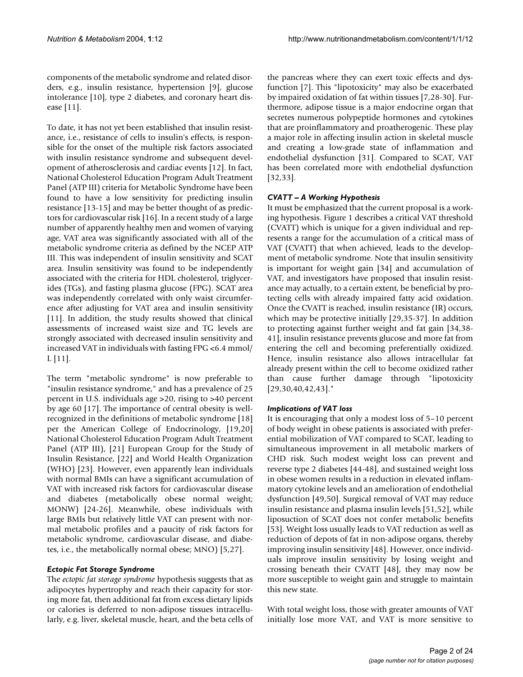components of the metabolic syndrome and related disorders, e.g., insulin resistance, hypertension [9], glucose intolerance [10], type 2 diabetes, and coronary heart disease [11].

To date, it has not yet been established that insulin resistance, i.e., resistance of cells to insulin's effects, is responsible for the onset of the multiple risk factors associated with insulin resistance syndrome and subsequent development of atherosclerosis and cardiac events [12]. In fact, National Cholesterol Education Program Adult Treatment Panel (ATP III) criteria for Metabolic Syndrome have been found to have a low sensitivity for predicting insulin resistance [13-15] and may be better thought of as predictors for cardiovascular risk [16]. In a recent study of a large number of apparently healthy men and women of varying age, VAT area was significantly associated with all of the metabolic syndrome criteria as defined by the NCEP ATP III. This was independent of insulin sensitivity and SCAT area. Insulin sensitivity was found to be independently associated with the criteria for HDL cholesterol, triglycerides (TGs), and fasting plasma glucose (FPG). SCAT area was independently correlated with only waist circumference after adjusting for VAT area and insulin sensitivity [11]. In addition, the study results showed that clinical assessments of increased waist size and TG levels are strongly associated with decreased insulin sensitivity and increased VAT in individuals with fasting FPG <6.4 mmol/ L [11].

The term "metabolic syndrome" is now preferable to "insulin resistance syndrome," and has a prevalence of 25 percent in U.S. individuals age >20, rising to >40 percent by age 60 [17]. The importance of central obesity is wellrecognized in the definitions of metabolic syndrome [18] per the American College of Endocrinology, [19,[20\]](#page-17-0) National Cholesterol Education Program Adult Treatment Panel (ATP III), [21] European Group for the Study of Insulin Resistance, [22] and World Health Organization (WHO) [23]. However, even apparently lean individuals with normal BMIs can have a significant accumulation of VAT with increased risk factors for cardiovascular disease and diabetes (metabolically obese normal weight; MONW) [24-26]. Meanwhile, obese individuals with large BMIs but relatively little VAT can present with normal metabolic profiles and a paucity of risk factors for metabolic syndrome, cardiovascular disease, and diabetes, i.e., the metabolically normal obese; MNO) [5,27].

#### *Ectopic Fat Storage Syndrome*

The *ectopic fat storage syndrome* hypothesis suggests that as adipocytes hypertrophy and reach their capacity for storing more fat, then additional fat from excess dietary lipids or calories is deferred to non-adipose tissues intracellularly, e.g. liver, skeletal muscle, heart, and the beta cells of the pancreas where they can exert toxic effects and dysfunction [7]. This "lipotoxicity" may also be exacerbated by impaired oxidation of fat within tissues [7,28-30]. Furthermore, adipose tissue is a major endocrine organ that secretes numerous polypeptide hormones and cytokines that are proinflammatory and proatherogenic. These play a major role in affecting insulin action in skeletal muscle and creating a low-grade state of inflammation and endothelial dysfunction [31]. Compared to SCAT, VAT has been correlated more with endothelial dysfunction [32,33].

### *CVATT – A Working Hypothesis*

It must be emphasized that the current proposal is a working hypothesis. Figure [1](#page-2-0) describes a critical VAT threshold (CVATT) which is unique for a given individual and represents a range for the accumulation of a critical mass of VAT (CVATT) that when achieved, leads to the development of metabolic syndrome. Note that insulin sensitivity is important for weight gain [34] and accumulation of VAT, and investigators have proposed that insulin resistance may actually, to a certain extent, be beneficial by protecting cells with already impaired fatty acid oxidation. Once the CVATT is reached, insulin resistance (IR) occurs, which may be protective initially [29,35-37]. In addition to protecting against further weight and fat gain [34,38- 41], insulin resistance prevents glucose and more fat from entering the cell and becoming preferentially oxidized. Hence, insulin resistance also allows intracellular fat already present within the cell to become oxidized rather than cause further damage through "lipotoxicity [29,30,40,42,43]."

#### *Implications of VAT loss*

It is encouraging that only a modest loss of 5–10 percent of body weight in obese patients is associated with preferential mobilization of VAT compared to SCAT, leading to simultaneous improvement in all metabolic markers of CHD risk. Such modest weight loss can prevent and reverse type 2 diabetes [44-48], and sustained weight loss in obese women results in a reduction in elevated inflammatory cytokine levels and an amelioration of endothelial dysfunction [49,50]. Surgical removal of VAT may reduce insulin resistance and plasma insulin levels [51,52], while liposuction of SCAT does not confer metabolic benefits [53]. Weight loss usually leads to VAT reduction as well as reduction of depots of fat in non-adipose organs, thereby improving insulin sensitivity [48]. However, once individuals improve insulin sensitivity by losing weight and crossing beneath their CVATT [48], they may now be more susceptible to weight gain and struggle to maintain this new state.

With total weight loss, those with greater amounts of VAT initially lose more VAT, and VAT is more sensitive to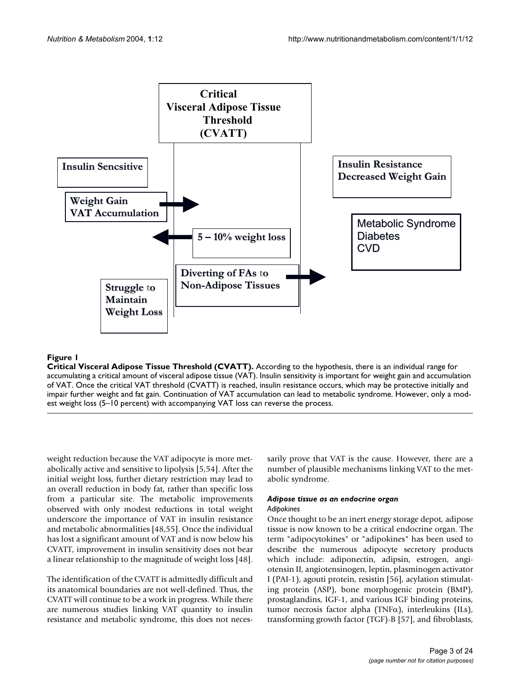<span id="page-2-0"></span>

#### Figure 1

**Critical Visceral Adipose Tissue Threshold (CVATT).** According to the hypothesis, there is an individual range for accumulating a critical amount of visceral adipose tissue (VAT). Insulin sensitivity is important for weight gain and accumulation of VAT. Once the critical VAT threshold (CVATT) is reached, insulin resistance occurs, which may be protective initially and impair further weight and fat gain. Continuation of VAT accumulation can lead to metabolic syndrome. However, only a modest weight loss (5–10 percent) with accompanying VAT loss can reverse the process.

weight reduction because the VAT adipocyte is more metabolically active and sensitive to lipolysis [5,54]. After the initial weight loss, further dietary restriction may lead to an overall reduction in body fat, rather than specific loss from a particular site. The metabolic improvements observed with only modest reductions in total weight underscore the importance of VAT in insulin resistance and metabolic abnormalities [48,55]. Once the individual has lost a significant amount of VAT and is now below his CVATT, improvement in insulin sensitivity does not bear a linear relationship to the magnitude of weight loss [48].

The identification of the CVATT is admittedly difficult and its anatomical boundaries are not well-defined. Thus, the CVATT will continue to be a work in progress. While there are numerous studies linking VAT quantity to insulin resistance and metabolic syndrome, this does not necessarily prove that VAT is the cause. However, there are a number of plausible mechanisms linking VAT to the metabolic syndrome.

#### *Adipose tissue as an endocrine organ*

#### *Adipokines*

Once thought to be an inert energy storage depot, adipose tissue is now known to be a critical endocrine organ. The term "adipocytokines" or "adipokines" has been used to describe the numerous adipocyte secretory products which include: adiponectin, adipsin, estrogen, angiotensin II, angiotensinogen, leptin, plasminogen activator I (PAI-1), agouti protein, resistin [56], acylation stimulating protein (ASP), bone morphogenic protein (BMP), prostaglandins, IGF-1, and various IGF binding proteins, tumor necrosis factor alpha (TNFα), interleukins (ILs), transforming growth factor (TGF)-B [57], and fibroblasts,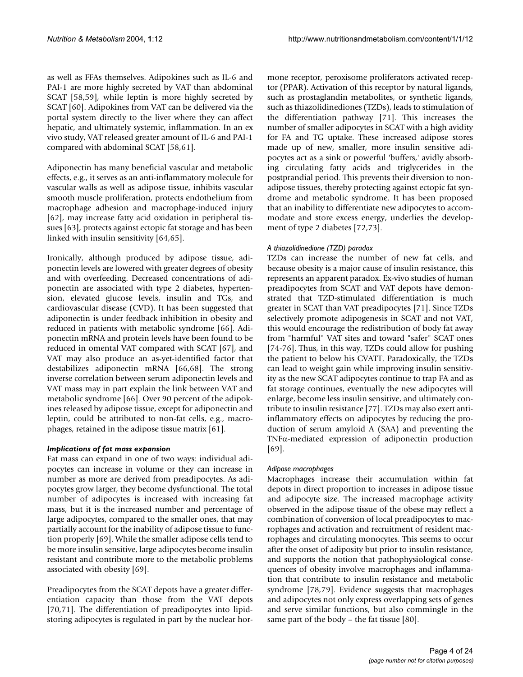as well as FFAs themselves. Adipokines such as IL-6 and PAI-1 are more highly secreted by VAT than abdominal SCAT [58,59], while leptin is more highly secreted by SCAT [60]. Adipokines from VAT can be delivered via the portal system directly to the liver where they can affect hepatic, and ultimately systemic, inflammation. In an ex vivo study, VAT released greater amount of IL-6 and PAI-1 compared with abdominal SCAT [58,61].

Adiponectin has many beneficial vascular and metabolic effects, e.g., it serves as an anti-inflammatory molecule for vascular walls as well as adipose tissue, inhibits vascular smooth muscle proliferation, protects endothelium from macrophage adhesion and macrophage-induced injury [62], may increase fatty acid oxidation in peripheral tissues [63], protects against ectopic fat storage and has been linked with insulin sensitivity [64,65].

Ironically, although produced by adipose tissue, adiponectin levels are lowered with greater degrees of obesity and with overfeeding. Decreased concentrations of adiponectin are associated with type 2 diabetes, hypertension, elevated glucose levels, insulin and TGs, and cardiovascular disease (CVD). It has been suggested that adiponectin is under feedback inhibition in obesity and reduced in patients with metabolic syndrome [66]. Adiponectin mRNA and protein levels have been found to be reduced in omental VAT compared with SCAT [67], and VAT may also produce an as-yet-identified factor that destabilizes adiponectin mRNA [66,68]. The strong inverse correlation between serum adiponectin levels and VAT mass may in part explain the link between VAT and metabolic syndrome [66]. Over 90 percent of the adipokines released by adipose tissue, except for adiponectin and leptin, could be attributed to non-fat cells, e.g., macrophages, retained in the adipose tissue matrix [61].

#### *Implications of fat mass expansion*

Fat mass can expand in one of two ways: individual adipocytes can increase in volume or they can increase in number as more are derived from preadipocytes. As adipocytes grow larger, they become dysfunctional. The total number of adipocytes is increased with increasing fat mass, but it is the increased number and percentage of large adipocytes, compared to the smaller ones, that may partially account for the inability of adipose tissue to function properly [69]. While the smaller adipose cells tend to be more insulin sensitive, large adipocytes become insulin resistant and contribute more to the metabolic problems associated with obesity [69].

Preadipocytes from the SCAT depots have a greater differentiation capacity than those from the VAT depots [70,71]. The differentiation of preadipocytes into lipidstoring adipocytes is regulated in part by the nuclear hormone receptor, peroxisome proliferators activated receptor (PPAR). Activation of this receptor by natural ligands, such as prostaglandin metabolites, or synthetic ligands, such as thiazolidinediones (TZDs), leads to stimulation of the differentiation pathway [71]. This increases the number of smaller adipocytes in SCAT with a high avidity for FA and TG uptake. These increased adipose stores made up of new, smaller, more insulin sensitive adipocytes act as a sink or powerful 'buffers,' avidly absorbing circulating fatty acids and triglycerides in the postprandial period. This prevents their diversion to nonadipose tissues, thereby protecting against ectopic fat syndrome and metabolic syndrome. It has been proposed that an inability to differentiate new adipocytes to accommodate and store excess energy, underlies the development of type 2 diabetes [72,73].

### *A thiazolidinedione (TZD) paradox*

TZDs can increase the number of new fat cells, and because obesity is a major cause of insulin resistance, this represents an apparent paradox. Ex-vivo studies of human preadipocytes from SCAT and VAT depots have demonstrated that TZD-stimulated differentiation is much greater in SCAT than VAT preadipocytes [71]. Since TZDs selectively promote adipogenesis in SCAT and not VAT, this would encourage the redistribution of body fat away from "harmful" VAT sites and toward "safer" SCAT ones [74-76]. Thus, in this way, TZDs could allow for pushing the patient to below his CVATT. Paradoxically, the TZDs can lead to weight gain while improving insulin sensitivity as the new SCAT adipocytes continue to trap FA and as fat storage continues, eventually the new adipocytes will enlarge, become less insulin sensitive, and ultimately contribute to insulin resistance [77]. TZDs may also exert antiinflammatory effects on adipocytes by reducing the production of serum amyloid A (SAA) and preventing the TNFα-mediated expression of adiponectin production [69].

#### *Adipose macrophages*

Macrophages increase their accumulation within fat depots in direct proportion to increases in adipose tissue and adipocyte size. The increased macrophage activity observed in the adipose tissue of the obese may reflect a combination of conversion of local preadipocytes to macrophages and activation and recruitment of resident macrophages and circulating monocytes. This seems to occur after the onset of adiposity but prior to insulin resistance, and supports the notion that pathophysiological consequences of obesity involve macrophages and inflammation that contribute to insulin resistance and metabolic syndrome [78,79]. Evidence suggests that macrophages and adipocytes not only express overlapping sets of genes and serve similar functions, but also commingle in the same part of the body – the fat tissue [80].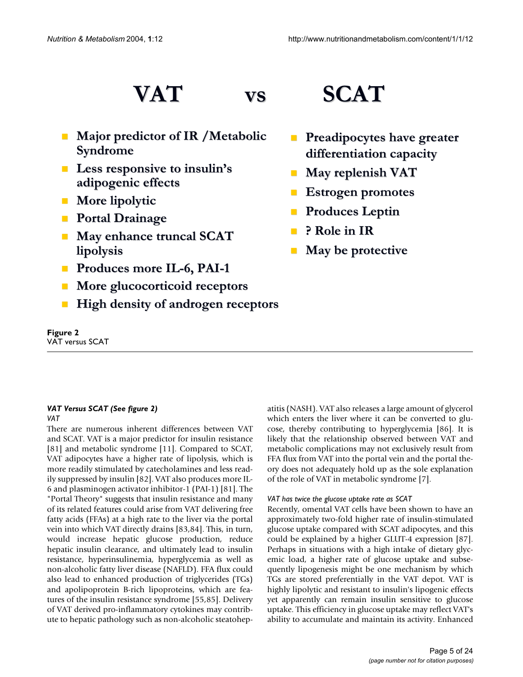# **VAT vs SCAT**

- **Major predictor of IR /Metabolic Syndrome Syndrome**
- **Less responsive to insulin's adipogenic adipogeniceffects effects**
- **More lipolytic lipolytic**
- **Portal Drainage Portal Drainage**
- **May enhance truncal SCAT lipolysis lipolysis**
- **Produces more IL-6, PAI-1**
- $\blacksquare$  More glucocorticoid receptors
- **High density of androgen receptors High density of androgen receptors**

- **Preadipocytes Preadipocytes have greater have greater differentiation capacity differentiation capacity**
- **May replenish VAT**
- **Estrogen promotes Estrogen promotes**
- **Produces Leptin Produces Leptin**
- **? Role in IR ? Role in IR**
- **May be protective May be protective**

**Figure 2** 

VAT versus SCAT

*VAT Versus SCAT (See figure 2) VAT*

There are numerous inherent differences between VAT and SCAT. VAT is a major predictor for insulin resistance [81] and metabolic syndrome [11]. Compared to SCAT, VAT adipocytes have a higher rate of lipolysis, which is more readily stimulated by catecholamines and less readily suppressed by insulin [82]. VAT also produces more IL-6 and plasminogen activator inhibitor-1 (PAI-1) [81]. The "Portal Theory" suggests that insulin resistance and many of its related features could arise from VAT delivering free fatty acids (FFAs) at a high rate to the liver via the portal vein into which VAT directly drains [83,84]. This, in turn, would increase hepatic glucose production, reduce hepatic insulin clearance, and ultimately lead to insulin resistance, hyperinsulinemia, hyperglycemia as well as non-alcoholic fatty liver disease (NAFLD). FFA flux could also lead to enhanced production of triglycerides (TGs) and apolipoprotein B-rich lipoproteins, which are features of the insulin resistance syndrome [55,85]. Delivery of VAT derived pro-inflammatory cytokines may contribute to hepatic pathology such as non-alcoholic steatohepatitis (NASH). VAT also releases a large amount of glycerol which enters the liver where it can be converted to glucose, thereby contributing to hyperglycemia [86]. It is likely that the relationship observed between VAT and metabolic complications may not exclusively result from FFA flux from VAT into the portal vein and the portal theory does not adequately hold up as the sole explanation of the role of VAT in metabolic syndrome [7].

#### *VAT has twice the glucose uptake rate as SCAT*

Recently, omental VAT cells have been shown to have an approximately two-fold higher rate of insulin-stimulated glucose uptake compared with SCAT adipocytes, and this could be explained by a higher GLUT-4 expression [87]. Perhaps in situations with a high intake of dietary glycemic load, a higher rate of glucose uptake and subsequently lipogenesis might be one mechanism by which TGs are stored preferentially in the VAT depot. VAT is highly lipolytic and resistant to insulin's lipogenic effects yet apparently can remain insulin sensitive to glucose uptake. This efficiency in glucose uptake may reflect VAT's ability to accumulate and maintain its activity. Enhanced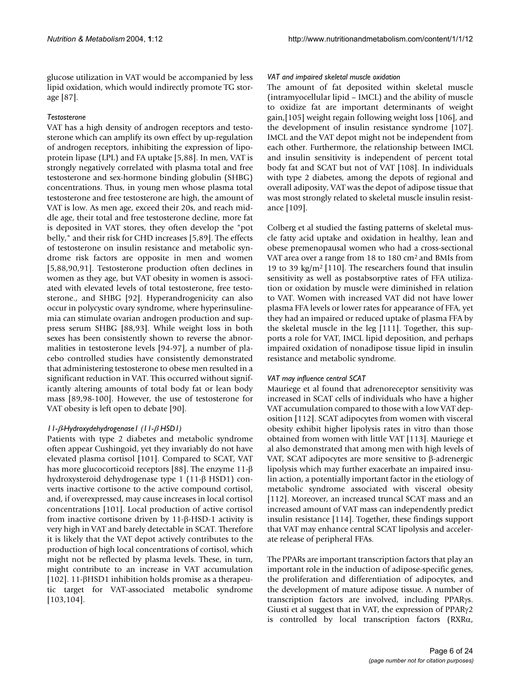glucose utilization in VAT would be accompanied by less lipid oxidation, which would indirectly promote TG storage [87].

#### *Testosterone*

VAT has a high density of androgen receptors and testosterone which can amplify its own effect by up-regulation of androgen receptors, inhibiting the expression of lipoprotein lipase (LPL) and FA uptake [5,88]. In men, VAT is strongly negatively correlated with plasma total and free testosterone and sex-hormone binding globulin (SHBG) concentrations. Thus, in young men whose plasma total testosterone and free testosterone are high, the amount of VAT is low. As men age, exceed their 20s, and reach middle age, their total and free testosterone decline, more fat is deposited in VAT stores, they often develop the "pot belly," and their risk for CHD increases [5,89]. The effects of testosterone on insulin resistance and metabolic syndrome risk factors are opposite in men and women [5,88,90,91]. Testosterone production often declines in women as they age, but VAT obesity in women is associated with elevated levels of total testosterone, free testosterone., and SHBG [92]. Hyperandrogenicity can also occur in polycystic ovary syndrome, where hyperinsulinemia can stimulate ovarian androgen production and suppress serum SHBG [88,93]. While weight loss in both sexes has been consistently shown to reverse the abnormalities in testosterone levels [94-97], a number of placebo controlled studies have consistently demonstrated that administering testosterone to obese men resulted in a significant reduction in VAT. This occurred without significantly altering amounts of total body fat or lean body mass [89,98-100]. However, the use of testosterone for VAT obesity is left open to debate [90].

#### *11-*β*-Hydroxydehydrogenase1 (11-*β *HSD1)*

Patients with type 2 diabetes and metabolic syndrome often appear Cushingoid, yet they invariably do not have elevated plasma cortisol [101]. Compared to SCAT, VAT has more glucocorticoid receptors [88]. The enzyme 11-β hydroxysteroid dehydrogenase type 1 (11-β HSD1) converts inactive cortisone to the active compound cortisol, and, if overexpressed, may cause increases in local cortisol concentrations [101]. Local production of active cortisol from inactive cortisone driven by 11-β-HSD-1 activity is very high in VAT and barely detectable in SCAT. Therefore it is likely that the VAT depot actively contributes to the production of high local concentrations of cortisol, which might not be reflected by plasma levels. These, in turn, might contribute to an increase in VAT accumulation [102]. 11-βHSD1 inhibition holds promise as a therapeutic target for VAT-associated metabolic syndrome [103,104].

#### *VAT and impaired skeletal muscle oxidation*

The amount of fat deposited within skeletal muscle (intramyocellular lipid – IMCL) and the ability of muscle to oxidize fat are important determinants of weight gain,[105] weight regain following weight loss [106], and the development of insulin resistance syndrome [107]. IMCL and the VAT depot might not be independent from each other. Furthermore, the relationship between IMCL and insulin sensitivity is independent of percent total body fat and SCAT but not of VAT [108]. In individuals with type 2 diabetes, among the depots of regional and overall adiposity, VAT was the depot of adipose tissue that was most strongly related to skeletal muscle insulin resistance [109].

Colberg et al studied the fasting patterns of skeletal muscle fatty acid uptake and oxidation in healthy, lean and obese premenopausal women who had a cross-sectional VAT area over a range from 18 to 180 cm2 and BMIs from 19 to 39 kg/m<sup>2</sup> [110]. The researchers found that insulin sensitivity as well as postabsorptive rates of FFA utilization or oxidation by muscle were diminished in relation to VAT. Women with increased VAT did not have lower plasma FFA levels or lower rates for appearance of FFA, yet they had an impaired or reduced uptake of plasma FFA by the skeletal muscle in the leg [111]. Together, this supports a role for VAT, IMCL lipid deposition, and perhaps impaired oxidation of nonadipose tissue lipid in insulin resistance and metabolic syndrome.

#### *VAT may influence central SCAT*

Mauriege et al found that adrenoreceptor sensitivity was increased in SCAT cells of individuals who have a higher VAT accumulation compared to those with a low VAT deposition [112]. SCAT adipocytes from women with visceral obesity exhibit higher lipolysis rates in vitro than those obtained from women with little VAT [113]. Mauriege et al also demonstrated that among men with high levels of VAT, SCAT adipocytes are more sensitive to β-adrenergic lipolysis which may further exacerbate an impaired insulin action, a potentially important factor in the etiology of metabolic syndrome associated with visceral obesity [112]. Moreover, an increased truncal SCAT mass and an increased amount of VAT mass can independently predict insulin resistance [114]. Together, these findings support that VAT may enhance central SCAT lipolysis and accelerate release of peripheral FFAs.

The PPARs are important transcription factors that play an important role in the induction of adipose-specific genes, the proliferation and differentiation of adipocytes, and the development of mature adipose tissue. A number of transcription factors are involved, including PPARγs. Giusti et al suggest that in VAT, the expression of PPARγ2 is controlled by local transcription factors (RXRα,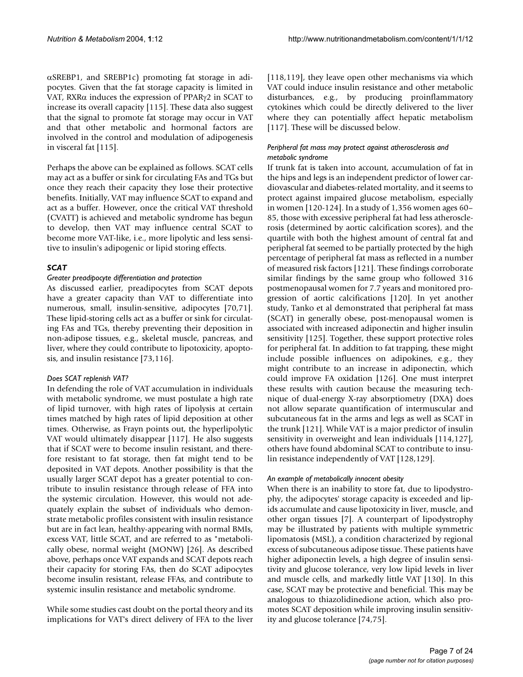αSREBP1, and SREBP1c) promoting fat storage in adipocytes. Given that the fat storage capacity is limited in VAT, RXRα induces the expression of PPARγ2 in SCAT to increase its overall capacity [115]. These data also suggest that the signal to promote fat storage may occur in VAT and that other metabolic and hormonal factors are involved in the control and modulation of adipogenesis in visceral fat [115].

Perhaps the above can be explained as follows. SCAT cells may act as a buffer or sink for circulating FAs and TGs but once they reach their capacity they lose their protective benefits. Initially, VAT may influence SCAT to expand and act as a buffer. However, once the critical VAT threshold (CVATT) is achieved and metabolic syndrome has begun to develop, then VAT may influence central SCAT to become more VAT-like, i.e., more lipolytic and less sensitive to insulin's adipogenic or lipid storing effects.

#### *SCAT*

#### *Greater preadipocyte differentiation and protection*

As discussed earlier, preadipocytes from SCAT depots have a greater capacity than VAT to differentiate into numerous, small, insulin-sensitive, adipocytes [70,71]. These lipid-storing cells act as a buffer or sink for circulating FAs and TGs, thereby preventing their deposition in non-adipose tissues, e.g., skeletal muscle, pancreas, and liver, where they could contribute to lipotoxicity, apoptosis, and insulin resistance [73,116].

### *Does SCAT replenish VAT?*

In defending the role of VAT accumulation in individuals with metabolic syndrome, we must postulate a high rate of lipid turnover, with high rates of lipolysis at certain times matched by high rates of lipid deposition at other times. Otherwise, as Frayn points out, the hyperlipolytic VAT would ultimately disappear [117]. He also suggests that if SCAT were to become insulin resistant, and therefore resistant to fat storage, then fat might tend to be deposited in VAT depots. Another possibility is that the usually larger SCAT depot has a greater potential to contribute to insulin resistance through release of FFA into the systemic circulation. However, this would not adequately explain the subset of individuals who demonstrate metabolic profiles consistent with insulin resistance but are in fact lean, healthy-appearing with normal BMIs, excess VAT, little SCAT, and are referred to as "metabolically obese, normal weight (MONW) [26]. As described above, perhaps once VAT expands and SCAT depots reach their capacity for storing FAs, then do SCAT adipocytes become insulin resistant, release FFAs, and contribute to systemic insulin resistance and metabolic syndrome.

While some studies cast doubt on the portal theory and its implications for VAT's direct delivery of FFA to the liver

[118,119], they leave open other mechanisms via which VAT could induce insulin resistance and other metabolic disturbances, e.g., by producing proinflammatory cytokines which could be directly delivered to the liver where they can potentially affect hepatic metabolism [117]. These will be discussed below.

#### *Peripheral fat mass may protect against atherosclerosis and metabolic syndrome*

If trunk fat is taken into account, accumulation of fat in the hips and legs is an independent predictor of lower cardiovascular and diabetes-related mortality, and it seems to protect against impaired glucose metabolism, especially in women [120-124]. In a study of 1,356 women ages 60– 85, those with excessive peripheral fat had less atherosclerosis (determined by aortic calcification scores), and the quartile with both the highest amount of central fat and peripheral fat seemed to be partially protected by the high percentage of peripheral fat mass as reflected in a number of measured risk factors [121]. These findings corroborate similar findings by the same group who followed 316 postmenopausal women for 7.7 years and monitored progression of aortic calcifications [120]. In yet another study, Tanko et al demonstrated that peripheral fat mass (SCAT) in generally obese, post-menopausal women is associated with increased adiponectin and higher insulin sensitivity [125]. Together, these support protective roles for peripheral fat. In addition to fat trapping, these might include possible influences on adipokines, e.g., they might contribute to an increase in adiponectin, which could improve FA oxidation [126]. One must interpret these results with caution because the measuring technique of dual-energy X-ray absorptiometry (DXA) does not allow separate quantification of intermuscular and subcutaneous fat in the arms and legs as well as SCAT in the trunk [121]. While VAT is a major predictor of insulin sensitivity in overweight and lean individuals [114,127], others have found abdominal SCAT to contribute to insulin resistance independently of VAT [128,129].

### *An example of metabolically innocent obesity*

When there is an inability to store fat, due to lipodystrophy, the adipocytes' storage capacity is exceeded and lipids accumulate and cause lipotoxicity in liver, muscle, and other organ tissues [7]. A counterpart of lipodystrophy may be illustrated by patients with multiple symmetric lipomatosis (MSL), a condition characterized by regional excess of subcutaneous adipose tissue. These patients have higher adiponectin levels, a high degree of insulin sensitivity and glucose tolerance, very low lipid levels in liver and muscle cells, and markedly little VAT [130]. In this case, SCAT may be protective and beneficial. This may be analogous to thiazolidinedione action, which also promotes SCAT deposition while improving insulin sensitivity and glucose tolerance [74,75].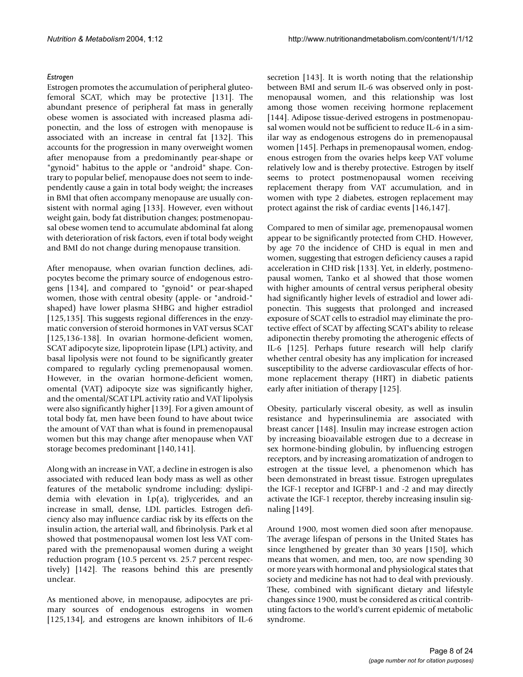#### *Estrogen*

Estrogen promotes the accumulation of peripheral gluteofemoral SCAT, which may be protective [131]. The abundant presence of peripheral fat mass in generally obese women is associated with increased plasma adiponectin, and the loss of estrogen with menopause is associated with an increase in central fat [132]. This accounts for the progression in many overweight women after menopause from a predominantly pear-shape or "gynoid" habitus to the apple or "android" shape. Contrary to popular belief, menopause does not seem to independently cause a gain in total body weight; the increases in BMI that often accompany menopause are usually consistent with normal aging [133]. However, even without weight gain, body fat distribution changes; postmenopausal obese women tend to accumulate abdominal fat along with deterioration of risk factors, even if total body weight and BMI do not change during menopause transition.

After menopause, when ovarian function declines, adipocytes become the primary source of endogenous estrogens [134], and compared to "gynoid" or pear-shaped women, those with central obesity (apple- or "android-" shaped) have lower plasma SHBG and higher estradiol [125,135]. This suggests regional differences in the enzymatic conversion of steroid hormones in VAT versus SCAT [125,136-138]. In ovarian hormone-deficient women, SCAT adipocyte size, lipoprotein lipase (LPL) activity, and basal lipolysis were not found to be significantly greater compared to regularly cycling premenopausal women. However, in the ovarian hormone-deficient women, omental (VAT) adipocyte size was significantly higher, and the omental/SCAT LPL activity ratio and VAT lipolysis were also significantly higher [139]. For a given amount of total body fat, men have been found to have about twice the amount of VAT than what is found in premenopausal women but this may change after menopause when VAT storage becomes predominant [140,141].

Along with an increase in VAT, a decline in estrogen is also associated with reduced lean body mass as well as other features of the metabolic syndrome including: dyslipidemia with elevation in Lp(a), triglycerides, and an increase in small, dense, LDL particles. Estrogen deficiency also may influence cardiac risk by its effects on the insulin action, the arterial wall, and fibrinolysis. Park et al showed that postmenopausal women lost less VAT compared with the premenopausal women during a weight reduction program (10.5 percent vs. 25.7 percent respectively) [142]. The reasons behind this are presently unclear.

As mentioned above, in menopause, adipocytes are primary sources of endogenous estrogens in women [125,134], and estrogens are known inhibitors of IL-6

secretion [143]. It is worth noting that the relationship between BMI and serum IL-6 was observed only in postmenopausal women, and this relationship was lost among those women receiving hormone replacement [144]. Adipose tissue-derived estrogens in postmenopausal women would not be sufficient to reduce IL-6 in a similar way as endogenous estrogens do in premenopausal women [145]. Perhaps in premenopausal women, endogenous estrogen from the ovaries helps keep VAT volume relatively low and is thereby protective. Estrogen by itself seems to protect postmenopausal women receiving replacement therapy from VAT accumulation, and in women with type 2 diabetes, estrogen replacement may protect against the risk of cardiac events [146,147].

Compared to men of similar age, premenopausal women appear to be significantly protected from CHD. However, by age 70 the incidence of CHD is equal in men and women, suggesting that estrogen deficiency causes a rapid acceleration in CHD risk [133]. Yet, in elderly, postmenopausal women, Tanko et al showed that those women with higher amounts of central versus peripheral obesity had significantly higher levels of estradiol and lower adiponectin. This suggests that prolonged and increased exposure of SCAT cells to estradiol may eliminate the protective effect of SCAT by affecting SCAT's ability to release adiponectin thereby promoting the atherogenic effects of IL-6 [125]. Perhaps future research will help clarify whether central obesity has any implication for increased susceptibility to the adverse cardiovascular effects of hormone replacement therapy (HRT) in diabetic patients early after initiation of therapy [125].

Obesity, particularly visceral obesity, as well as insulin resistance and hyperinsulinemia are associated with breast cancer [148]. Insulin may increase estrogen action by increasing bioavailable estrogen due to a decrease in sex hormone-binding globulin, by influencing estrogen receptors, and by increasing aromatization of androgen to estrogen at the tissue level, a phenomenon which has been demonstrated in breast tissue. Estrogen upregulates the IGF-1 receptor and IGFBP-1 and -2 and may directly activate the IGF-1 receptor, thereby increasing insulin signaling [149].

Around 1900, most women died soon after menopause. The average lifespan of persons in the United States has since lengthened by greater than 30 years [150], which means that women, and men, too, are now spending 30 or more years with hormonal and physiological states that society and medicine has not had to deal with previously. These, combined with significant dietary and lifestyle changes since 1900, must be considered as critical contributing factors to the world's current epidemic of metabolic syndrome.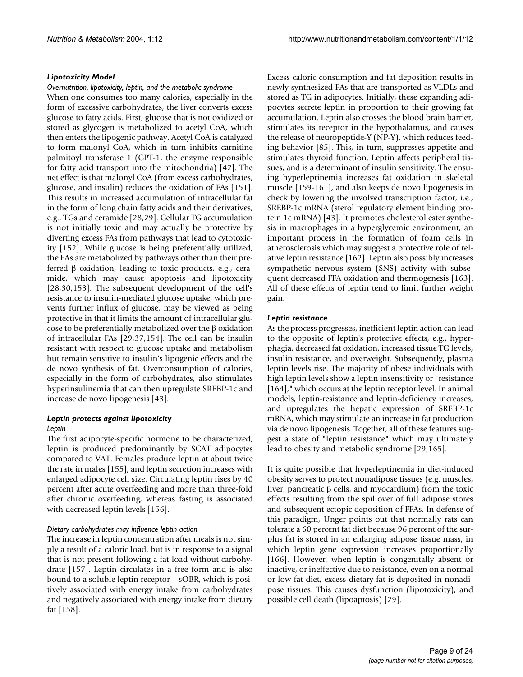#### *Lipotoxicity Model*

*Overnutrition, lipotoxicity, leptin, and the metabolic syndrome*

When one consumes too many calories, especially in the form of excessive carbohydrates, the liver converts excess glucose to fatty acids. First, glucose that is not oxidized or stored as glycogen is metabolized to acetyl CoA, which then enters the lipogenic pathway. Acetyl CoA is catalyzed to form malonyl CoA, which in turn inhibits carnitine palmitoyl transferase 1 (CPT-1, the enzyme responsible for fatty acid transport into the mitochondria) [42]. The net effect is that malonyl CoA (from excess carbohydrates, glucose, and insulin) reduces the oxidation of FAs [151]. This results in increased accumulation of intracellular fat in the form of long chain fatty acids and their derivatives, e.g., TGs and ceramide [28,29]. Cellular TG accumulation is not initially toxic and may actually be protective by diverting excess FAs from pathways that lead to cytotoxicity [152]. While glucose is being preferentially utilized, the FAs are metabolized by pathways other than their preferred β oxidation, leading to toxic products, e.g., ceramide, which may cause apoptosis and lipotoxicity [28,30,153]. The subsequent development of the cell's resistance to insulin-mediated glucose uptake, which prevents further influx of glucose, may be viewed as being protective in that it limits the amount of intracellular glucose to be preferentially metabolized over the β oxidation of intracellular FAs [29,37,154]. The cell can be insulin resistant with respect to glucose uptake and metabolism but remain sensitive to insulin's lipogenic effects and the de novo synthesis of fat. Overconsumption of calories, especially in the form of carbohydrates, also stimulates hyperinsulinemia that can then upregulate SREBP-1c and increase de novo lipogenesis [43].

#### *Leptin protects against lipotoxicity Leptin*

The first adipocyte-specific hormone to be characterized, leptin is produced predominantly by SCAT adipocytes compared to VAT. Females produce leptin at about twice the rate in males [155], and leptin secretion increases with enlarged adipocyte cell size. Circulating leptin rises by 40 percent after acute overfeeding and more than three-fold after chronic overfeeding, whereas fasting is associated with decreased leptin levels [156].

#### *Dietary carbohydrates may influence leptin action*

The increase in leptin concentration after meals is not simply a result of a caloric load, but is in response to a signal that is not present following a fat load without carbohydrate [157]. Leptin circulates in a free form and is also bound to a soluble leptin receptor – sOBR, which is positively associated with energy intake from carbohydrates and negatively associated with energy intake from dietary fat [158].

Excess caloric consumption and fat deposition results in newly synthesized FAs that are transported as VLDLs and stored as TG in adipocytes. Initially, these expanding adipocytes secrete leptin in proportion to their growing fat accumulation. Leptin also crosses the blood brain barrier, stimulates its receptor in the hypothalamus, and causes the release of neuropeptide-Y (NP-Y), which reduces feeding behavior [85]. This, in turn, suppresses appetite and stimulates thyroid function. Leptin affects peripheral tissues, and is a determinant of insulin sensitivity. The ensuing hyperleptinemia increases fat oxidation in skeletal muscle [159-161], and also keeps de novo lipogenesis in check by lowering the involved transcription factor, i.e., SREBP-1c mRNA (sterol regulatory element binding protein 1c mRNA) [43]. It promotes cholesterol ester synthesis in macrophages in a hyperglycemic environment, an important process in the formation of foam cells in atherosclerosis which may suggest a protective role of relative leptin resistance [162]. Leptin also possibly increases sympathetic nervous system (SNS) activity with subsequent decreased FFA oxidation and thermogenesis [163]. All of these effects of leptin tend to limit further weight gain.

#### *Leptin resistance*

As the process progresses, inefficient leptin action can lead to the opposite of leptin's protective effects, e.g., hyperphagia, decreased fat oxidation, increased tissue TG levels, insulin resistance, and overweight. Subsequently, plasma leptin levels rise. The majority of obese individuals with high leptin levels show a leptin insensitivity or "resistance [164]," which occurs at the leptin receptor level. In animal models, leptin-resistance and leptin-deficiency increases, and upregulates the hepatic expression of SREBP-1c mRNA, which may stimulate an increase in fat production via de novo lipogenesis. Together, all of these features suggest a state of "leptin resistance" which may ultimately lead to obesity and metabolic syndrome [29,165].

It is quite possible that hyperleptinemia in diet-induced obesity serves to protect nonadipose tissues (e.g. muscles, liver, pancreatic β cells, and myocardium) from the toxic effects resulting from the spillover of full adipose stores and subsequent ectopic deposition of FFAs. In defense of this paradigm, Unger points out that normally rats can tolerate a 60 percent fat diet because 96 percent of the surplus fat is stored in an enlarging adipose tissue mass, in which leptin gene expression increases proportionally [166]. However, when leptin is congenitally absent or inactive, or ineffective due to resistance, even on a normal or low-fat diet, excess dietary fat is deposited in nonadipose tissues. This causes dysfunction (lipotoxicity), and possible cell death (lipoaptosis) [29].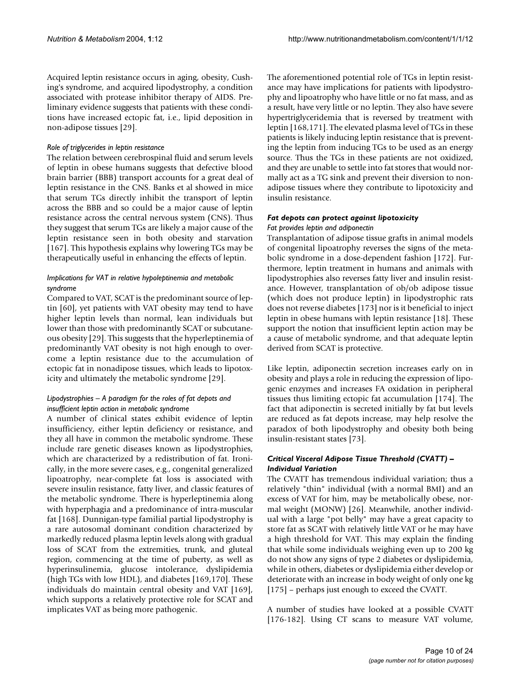Acquired leptin resistance occurs in aging, obesity, Cushing's syndrome, and acquired lipodystrophy, a condition associated with protease inhibitor therapy of AIDS. Preliminary evidence suggests that patients with these conditions have increased ectopic fat, i.e., lipid deposition in non-adipose tissues [29].

#### *Role of triglycerides in leptin resistance*

The relation between cerebrospinal fluid and serum levels of leptin in obese humans suggests that defective blood brain barrier (BBB) transport accounts for a great deal of leptin resistance in the CNS. Banks et al showed in mice that serum TGs directly inhibit the transport of leptin across the BBB and so could be a major cause of leptin resistance across the central nervous system (CNS). Thus they suggest that serum TGs are likely a major cause of the leptin resistance seen in both obesity and starvation [167]. This hypothesis explains why lowering TGs may be therapeutically useful in enhancing the effects of leptin.

#### *Implications for VAT in relative hypoleptinemia and metabolic syndrome*

Compared to VAT, SCAT is the predominant source of leptin [60], yet patients with VAT obesity may tend to have higher leptin levels than normal, lean individuals but lower than those with predominantly SCAT or subcutaneous obesity [29]. This suggests that the hyperleptinemia of predominantly VAT obesity is not high enough to overcome a leptin resistance due to the accumulation of ectopic fat in nonadipose tissues, which leads to lipotoxicity and ultimately the metabolic syndrome [29].

#### *Lipodystrophies – A paradigm for the roles of fat depots and insufficient leptin action in metabolic syndrome*

A number of clinical states exhibit evidence of leptin insufficiency, either leptin deficiency or resistance, and they all have in common the metabolic syndrome. These include rare genetic diseases known as lipodystrophies, which are characterized by a redistribution of fat. Ironically, in the more severe cases, e.g., congenital generalized lipoatrophy, near-complete fat loss is associated with severe insulin resistance, fatty liver, and classic features of the metabolic syndrome. There is hyperleptinemia along with hyperphagia and a predominance of intra-muscular fat [168]. Dunnigan-type familial partial lipodystrophy is a rare autosomal dominant condition characterized by markedly reduced plasma leptin levels along with gradual loss of SCAT from the extremities, trunk, and gluteal region, commencing at the time of puberty, as well as hyperinsulinemia, glucose intolerance, dyslipidemia (high TGs with low HDL), and diabetes [169,170]. These individuals do maintain central obesity and VAT [169], which supports a relatively protective role for SCAT and implicates VAT as being more pathogenic.

The aforementioned potential role of TGs in leptin resistance may have implications for patients with lipodystrophy and lipoatrophy who have little or no fat mass, and as a result, have very little or no leptin. They also have severe hypertriglyceridemia that is reversed by treatment with leptin [168,171]. The elevated plasma level of TGs in these patients is likely inducing leptin resistance that is preventing the leptin from inducing TGs to be used as an energy source. Thus the TGs in these patients are not oxidized, and they are unable to settle into fat stores that would normally act as a TG sink and prevent their diversion to nonadipose tissues where they contribute to lipotoxicity and insulin resistance.

#### *Fat depots can protect against lipotoxicity Fat provides leptin and adiponectin*

Transplantation of adipose tissue grafts in animal models of congenital lipoatrophy reverses the signs of the metabolic syndrome in a dose-dependent fashion [172]. Furthermore, leptin treatment in humans and animals with lipodystrophies also reverses fatty liver and insulin resistance. However, transplantation of ob/ob adipose tissue (which does not produce leptin) in lipodystrophic rats does not reverse diabetes [173] nor is it beneficial to inject leptin in obese humans with leptin resistance [18]. These support the notion that insufficient leptin action may be a cause of metabolic syndrome, and that adequate leptin derived from SCAT is protective.

Like leptin, adiponectin secretion increases early on in obesity and plays a role in reducing the expression of lipogenic enzymes and increases FA oxidation in peripheral tissues thus limiting ectopic fat accumulation [174]. The fact that adiponectin is secreted initially by fat but levels are reduced as fat depots increase, may help resolve the paradox of both lipodystrophy and obesity both being insulin-resistant states [73].

#### *Critical Visceral Adipose Tissue Threshold (CVATT) – Individual Variation*

The CVATT has tremendous individual variation; thus a relatively "thin" individual (with a normal BMI) and an excess of VAT for him, may be metabolically obese, normal weight (MONW) [26]. Meanwhile, another individual with a large "pot belly" may have a great capacity to store fat as SCAT with relatively little VAT or he may have a high threshold for VAT. This may explain the finding that while some individuals weighing even up to 200 kg do not show any signs of type 2 diabetes or dyslipidemia, while in others, diabetes or dyslipidemia either develop or deteriorate with an increase in body weight of only one kg [175] – perhaps just enough to exceed the CVATT.

A number of studies have looked at a possible CVATT [176-182]. Using CT scans to measure VAT volume,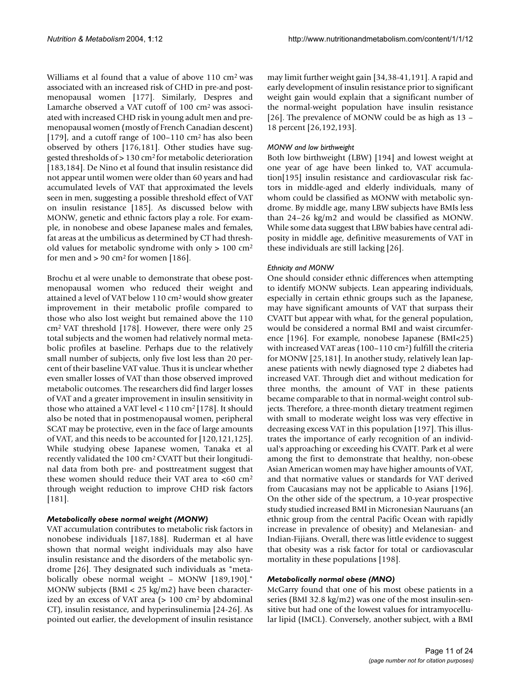Williams et al found that a value of above 110 cm2 was associated with an increased risk of CHD in pre-and postmenopausal women [177]. Similarly, Despres and Lamarche observed a VAT cutoff of 100 cm2 was associated with increased CHD risk in young adult men and premenopausal women (mostly of French Canadian descent) [179], and a cutoff range of 100–110 cm2 has also been observed by others [176,181]. Other studies have suggested thresholds of > 130 cm2 for metabolic deterioration [183,184]. De Nino et al found that insulin resistance did not appear until women were older than 60 years and had accumulated levels of VAT that approximated the levels seen in men, suggesting a possible threshold effect of VAT on insulin resistance [185]. As discussed below with MONW, genetic and ethnic factors play a role. For example, in nonobese and obese Japanese males and females, fat areas at the umbilicus as determined by CT had threshold values for metabolic syndrome with only  $> 100$  cm<sup>2</sup> for men and  $> 90$  cm<sup>2</sup> for women [186].

Brochu et al were unable to demonstrate that obese postmenopausal women who reduced their weight and attained a level of VAT below 110 cm2 would show greater improvement in their metabolic profile compared to those who also lost weight but remained above the 110 cm2 VAT threshold [178]. However, there were only 25 total subjects and the women had relatively normal metabolic profiles at baseline. Perhaps due to the relatively small number of subjects, only five lost less than 20 percent of their baseline VAT value. Thus it is unclear whether even smaller losses of VAT than those observed improved metabolic outcomes. The researchers did find larger losses of VAT and a greater improvement in insulin sensitivity in those who attained a VAT level < 110 cm2 [178]. It should also be noted that in postmenopausal women, peripheral SCAT may be protective, even in the face of large amounts of VAT, and this needs to be accounted for [120,121,125]. While studying obese Japanese women, Tanaka et al recently validated the 100 cm2 CVATT but their longitudinal data from both pre- and posttreatment suggest that these women should reduce their VAT area to  $<60$  cm<sup>2</sup> through weight reduction to improve CHD risk factors [181].

### *Metabolically obese normal weight (MONW)*

VAT accumulation contributes to metabolic risk factors in nonobese individuals [187,188]. Ruderman et al have shown that normal weight individuals may also have insulin resistance and the disorders of the metabolic syndrome [26]. They designated such individuals as "metabolically obese normal weight – MONW [189,190]." MONW subjects (BMI < 25 kg/m2) have been characterized by an excess of VAT area  $(>100 \text{ cm}^2)$  by abdominal CT), insulin resistance, and hyperinsulinemia [24-26]. As pointed out earlier, the development of insulin resistance

may limit further weight gain [34,38-41,191]. A rapid and early development of insulin resistance prior to significant weight gain would explain that a significant number of the normal-weight population have insulin resistance [26]. The prevalence of MONW could be as high as 13 – 18 percent [26,192,193].

### *MONW and low birthweight*

Both low birthweight (LBW) [194] and lowest weight at one year of age have been linked to, VAT accumulation[195] insulin resistance and cardiovascular risk factors in middle-aged and elderly individuals, many of whom could be classified as MONW with metabolic syndrome. By middle age, many LBW subjects have BMIs less than 24–26 kg/m2 and would be classified as MONW. While some data suggest that LBW babies have central adiposity in middle age, definitive measurements of VAT in these individuals are still lacking [26].

### *Ethnicity and MONW*

One should consider ethnic differences when attempting to identify MONW subjects. Lean appearing individuals, especially in certain ethnic groups such as the Japanese, may have significant amounts of VAT that surpass their CVATT but appear with what, for the general population, would be considered a normal BMI and waist circumference [196]. For example, nonobese Japanese (BMI<25) with increased VAT areas (100-110 cm<sup>2</sup>) fulfill the criteria for MONW [25,181]. In another study, relatively lean Japanese patients with newly diagnosed type 2 diabetes had increased VAT. Through diet and without medication for three months, the amount of VAT in these patients became comparable to that in normal-weight control subjects. Therefore, a three-month dietary treatment regimen with small to moderate weight loss was very effective in decreasing excess VAT in this population [197]. This illustrates the importance of early recognition of an individual's approaching or exceeding his CVATT. Park et al were among the first to demonstrate that healthy, non-obese Asian American women may have higher amounts of VAT, and that normative values or standards for VAT derived from Caucasians may not be applicable to Asians [196]. On the other side of the spectrum, a 10-year prospective study studied increased BMI in Micronesian Nauruans (an ethnic group from the central Pacific Ocean with rapidly increase in prevalence of obesity) and Melanesian- and Indian-Fijians. Overall, there was little evidence to suggest that obesity was a risk factor for total or cardiovascular mortality in these populations [198].

### *Metabolically normal obese (MNO)*

McGarry found that one of his most obese patients in a series (BMI 32.8 kg/m2) was one of the most insulin-sensitive but had one of the lowest values for intramyocellular lipid (IMCL). Conversely, another subject, with a BMI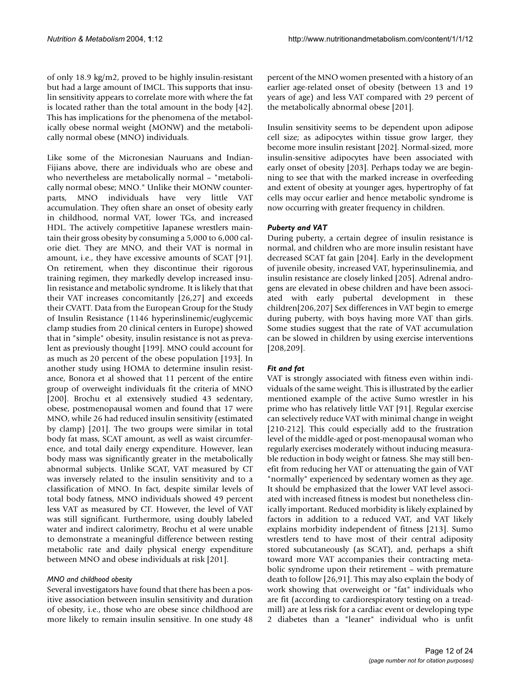of only 18.9 kg/m2, proved to be highly insulin-resistant but had a large amount of IMCL. This supports that insulin sensitivity appears to correlate more with where the fat is located rather than the total amount in the body [42]. This has implications for the phenomena of the metabolically obese normal weight (MONW) and the metabolically normal obese (MNO) individuals.

Like some of the Micronesian Nauruans and Indian-Fijians above, there are individuals who are obese and who nevertheless are metabolically normal – "metabolically normal obese; MNO." Unlike their MONW counterparts, MNO individuals have very little VAT accumulation. They often share an onset of obesity early in childhood, normal VAT, lower TGs, and increased HDL. The actively competitive Japanese wrestlers maintain their gross obesity by consuming a 5,000 to 6,000 calorie diet. They are MNO, and their VAT is normal in amount, i.e., they have excessive amounts of SCAT [91]. On retirement, when they discontinue their rigorous training regimen, they markedly develop increased insulin resistance and metabolic syndrome. It is likely that that their VAT increases concomitantly [26,27] and exceeds their CVATT. Data from the European Group for the Study of Insulin Resistance (1146 hyperinslinemic/euglycemic clamp studies from 20 clinical centers in Europe) showed that in "simple" obesity, insulin resistance is not as prevalent as previously thought [199]. MNO could account for as much as 20 percent of the obese population [193]. In another study using HOMA to determine insulin resistance, Bonora et al showed that 11 percent of the entire group of overweight individuals fit the criteria of MNO [200]. Brochu et al extensively studied 43 sedentary, obese, postmenopausal women and found that 17 were MNO, while 26 had reduced insulin sensitivity (estimated by clamp) [201]. The two groups were similar in total body fat mass, SCAT amount, as well as waist circumference, and total daily energy expenditure. However, lean body mass was significantly greater in the metabolically abnormal subjects. Unlike SCAT, VAT measured by CT was inversely related to the insulin sensitivity and to a classification of MNO. In fact, despite similar levels of total body fatness, MNO individuals showed 49 percent less VAT as measured by CT. However, the level of VAT was still significant. Furthermore, using doubly labeled water and indirect calorimetry, Brochu et al were unable to demonstrate a meaningful difference between resting metabolic rate and daily physical energy expenditure between MNO and obese individuals at risk [201].

#### *MNO and childhood obesity*

Several investigators have found that there has been a positive association between insulin sensitivity and duration of obesity, i.e., those who are obese since childhood are more likely to remain insulin sensitive. In one study 48

percent of the MNO women presented with a history of an earlier age-related onset of obesity (between 13 and 19 years of age) and less VAT compared with 29 percent of the metabolically abnormal obese [201].

Insulin sensitivity seems to be dependent upon adipose cell size; as adipocytes within tissue grow larger, they become more insulin resistant [202]. Normal-sized, more insulin-sensitive adipocytes have been associated with early onset of obesity [203]. Perhaps today we are beginning to see that with the marked increase in overfeeding and extent of obesity at younger ages, hypertrophy of fat cells may occur earlier and hence metabolic syndrome is now occurring with greater frequency in children.

### *Puberty and VAT*

During puberty, a certain degree of insulin resistance is normal, and children who are more insulin resistant have decreased SCAT fat gain [204]. Early in the development of juvenile obesity, increased VAT, hyperinsulinemia, and insulin resistance are closely linked [205]. Adrenal androgens are elevated in obese children and have been associated with early pubertal development in these children[206,207] Sex differences in VAT begin to emerge during puberty, with boys having more VAT than girls. Some studies suggest that the rate of VAT accumulation can be slowed in children by using exercise interventions [208,209].

### *Fit and fat*

VAT is strongly associated with fitness even within individuals of the same weight. This is illustrated by the earlier mentioned example of the active Sumo wrestler in his prime who has relatively little VAT [91]. Regular exercise can selectively reduce VAT with minimal change in weight [210-212]. This could especially add to the frustration level of the middle-aged or post-menopausal woman who regularly exercises moderately without inducing measurable reduction in body weight or fatness. She may still benefit from reducing her VAT or attenuating the gain of VAT "normally" experienced by sedentary women as they age. It should be emphasized that the lower VAT level associated with increased fitness is modest but nonetheless clinically important. Reduced morbidity is likely explained by factors in addition to a reduced VAT, and VAT likely explains morbidity independent of fitness [213]. Sumo wrestlers tend to have most of their central adiposity stored subcutaneously (as SCAT), and, perhaps a shift toward more VAT accompanies their contracting metabolic syndrome upon their retirement – with premature death to follow [26,91]. This may also explain the body of work showing that overweight or "fat" individuals who are fit (according to cardiorespiratory testing on a treadmill) are at less risk for a cardiac event or developing type 2 diabetes than a "leaner" individual who is unfit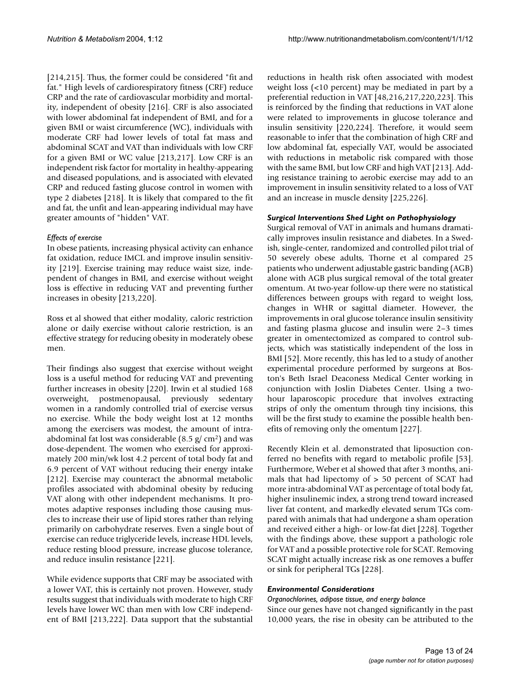[214,215]. Thus, the former could be considered "fit and fat." High levels of cardiorespiratory fitness (CRF) reduce CRP and the rate of cardiovascular morbidity and mortality, independent of obesity [216]. CRF is also associated with lower abdominal fat independent of BMI, and for a given BMI or waist circumference (WC), individuals with moderate CRF had lower levels of total fat mass and abdominal SCAT and VAT than individuals with low CRF for a given BMI or WC value [213,217]. Low CRF is an independent risk factor for mortality in healthy-appearing and diseased populations, and is associated with elevated CRP and reduced fasting glucose control in women with type 2 diabetes [218]. It is likely that compared to the fit and fat, the unfit and lean-appearing individual may have greater amounts of "hidden" VAT.

#### *Effects of exercise*

In obese patients, increasing physical activity can enhance fat oxidation, reduce IMCL and improve insulin sensitivity [219]. Exercise training may reduce waist size, independent of changes in BMI, and exercise without weight loss is effective in reducing VAT and preventing further increases in obesity [213,220].

Ross et al showed that either modality, caloric restriction alone or daily exercise without calorie restriction, is an effective strategy for reducing obesity in moderately obese men.

Their findings also suggest that exercise without weight loss is a useful method for reducing VAT and preventing further increases in obesity [220]. Irwin et al studied 168 overweight, postmenopausal, previously sedentary women in a randomly controlled trial of exercise versus no exercise. While the body weight lost at 12 months among the exercisers was modest, the amount of intraabdominal fat lost was considerable  $(8.5 \text{ g/cm}^2)$  and was dose-dependent. The women who exercised for approximately 200 min/wk lost 4.2 percent of total body fat and 6.9 percent of VAT without reducing their energy intake [212]. Exercise may counteract the abnormal metabolic profiles associated with abdominal obesity by reducing VAT along with other independent mechanisms. It promotes adaptive responses including those causing muscles to increase their use of lipid stores rather than relying primarily on carbohydrate reserves. Even a single bout of exercise can reduce triglyceride levels, increase HDL levels, reduce resting blood pressure, increase glucose tolerance, and reduce insulin resistance [221].

While evidence supports that CRF may be associated with a lower VAT, this is certainly not proven. However, study results suggest that individuals with moderate to high CRF levels have lower WC than men with low CRF independent of BMI [213,222]. Data support that the substantial

reductions in health risk often associated with modest weight loss (<10 percent) may be mediated in part by a preferential reduction in VAT [48,216,217,220,223]. This is reinforced by the finding that reductions in VAT alone were related to improvements in glucose tolerance and insulin sensitivity [220,224]. Therefore, it would seem reasonable to infer that the combination of high CRF and low abdominal fat, especially VAT, would be associated with reductions in metabolic risk compared with those with the same BMI, but low CRF and high VAT [213]. Adding resistance training to aerobic exercise may add to an improvement in insulin sensitivity related to a loss of VAT and an increase in muscle density [225,226].

#### *Surgical Interventions Shed Light on Pathophysiology*

Surgical removal of VAT in animals and humans dramatically improves insulin resistance and diabetes. In a Swedish, single-center, randomized and controlled pilot trial of 50 severely obese adults, Thorne et al compared 25 patients who underwent adjustable gastric banding (AGB) alone with AGB plus surgical removal of the total greater omentum. At two-year follow-up there were no statistical differences between groups with regard to weight loss, changes in WHR or sagittal diameter. However, the improvements in oral glucose tolerance insulin sensitivity and fasting plasma glucose and insulin were 2–3 times greater in omentectomized as compared to control subjects, which was statistically independent of the loss in BMI [52]. More recently, this has led to a study of another experimental procedure performed by surgeons at Boston's Beth Israel Deaconess Medical Center working in conjunction with Joslin Diabetes Center. Using a twohour laparoscopic procedure that involves extracting strips of only the omentum through tiny incisions, this will be the first study to examine the possible health benefits of removing only the omentum [227].

Recently Klein et al. demonstrated that liposuction conferred no benefits with regard to metabolic profile [53]. Furthermore, Weber et al showed that after 3 months, animals that had lipectomy of > 50 percent of SCAT had more intra-abdominal VAT as percentage of total body fat, higher insulinemic index, a strong trend toward increased liver fat content, and markedly elevated serum TGs compared with animals that had undergone a sham operation and received either a high- or low-fat diet [228]. Together with the findings above, these support a pathologic role for VAT and a possible protective role for SCAT. Removing SCAT might actually increase risk as one removes a buffer or sink for peripheral TGs [228].

#### *Environmental Considerations*

*Organochlorines, adipose tissue, and energy balance* Since our genes have not changed significantly in the past 10,000 years, the rise in obesity can be attributed to the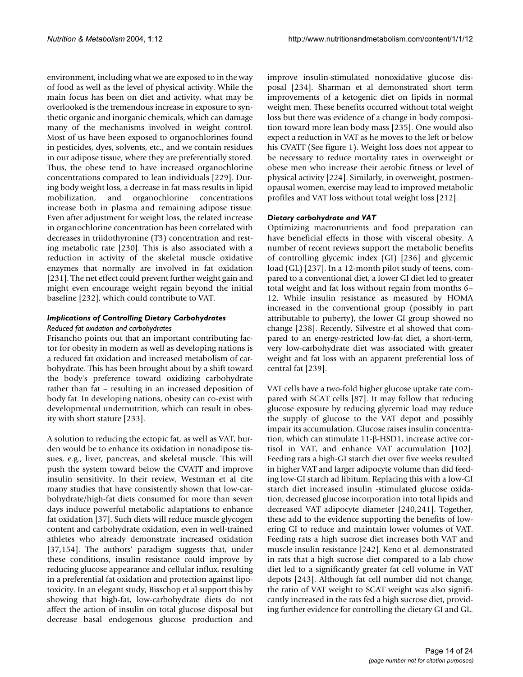environment, including what we are exposed to in the way of food as well as the level of physical activity. While the main focus has been on diet and activity, what may be overlooked is the tremendous increase in exposure to synthetic organic and inorganic chemicals, which can damage many of the mechanisms involved in weight control. Most of us have been exposed to organochlorines found in pesticides, dyes, solvents, etc., and we contain residues in our adipose tissue, where they are preferentially stored. Thus, the obese tend to have increased organochlorine concentrations compared to lean individuals [229]. During body weight loss, a decrease in fat mass results in lipid mobilization, and organochlorine concentrations increase both in plasma and remaining adipose tissue. Even after adjustment for weight loss, the related increase in organochlorine concentration has been correlated with decreases in triidothyronine (T3) concentration and resting metabolic rate [230]. This is also associated with a reduction in activity of the skeletal muscle oxidative enzymes that normally are involved in fat oxidation [231]. The net effect could prevent further weight gain and might even encourage weight regain beyond the initial baseline [232], which could contribute to VAT.

#### *Implications of Controlling Dietary Carbohydrates Reduced fat oxidation and carbohydrates*

Frisancho points out that an important contributing factor for obesity in modern as well as developing nations is a reduced fat oxidation and increased metabolism of carbohydrate. This has been brought about by a shift toward the body's preference toward oxidizing carbohydrate rather than fat – resulting in an increased deposition of body fat. In developing nations, obesity can co-exist with developmental undernutrition, which can result in obesity with short stature [233].

A solution to reducing the ectopic fat, as well as VAT, burden would be to enhance its oxidation in nonadipose tissues, e.g., liver, pancreas, and skeletal muscle. This will push the system toward below the CVATT and improve insulin sensitivity. In their review, Westman et al cite many studies that have consistently shown that low-carbohydrate/high-fat diets consumed for more than seven days induce powerful metabolic adaptations to enhance fat oxidation [37]. Such diets will reduce muscle glycogen content and carbohydrate oxidation, even in well-trained athletes who already demonstrate increased oxidation [37,154]. The authors' paradigm suggests that, under these conditions, insulin resistance could improve by reducing glucose appearance and cellular influx, resulting in a preferential fat oxidation and protection against lipotoxicity. In an elegant study, Bisschop et al support this by showing that high-fat, low-carbohydrate diets do not affect the action of insulin on total glucose disposal but decrease basal endogenous glucose production and

improve insulin-stimulated nonoxidative glucose disposal [234]. Sharman et al demonstrated short term improvements of a ketogenic diet on lipids in normal weight men. These benefits occurred without total weight loss but there was evidence of a change in body composition toward more lean body mass [235]. One would also expect a reduction in VAT as he moves to the left or below his CVATT (See figure [1\)](#page-2-0). Weight loss does not appear to be necessary to reduce mortality rates in overweight or obese men who increase their aerobic fitness or level of physical activity [224]. Similarly, in overweight, postmenopausal women, exercise may lead to improved metabolic profiles and VAT loss without total weight loss [212].

#### *Dietary carbohydrate and VAT*

Optimizing macronutrients and food preparation can have beneficial effects in those with visceral obesity. A number of recent reviews support the metabolic benefits of controlling glycemic index (GI) [236] and glycemic load (GL) [237]. In a 12-month pilot study of teens, compared to a conventional diet, a lower GI diet led to greater total weight and fat loss without regain from months 6– 12. While insulin resistance as measured by HOMA increased in the conventional group (possibly in part attributable to puberty), the lower GI group showed no change [238]. Recently, Silvestre et al showed that compared to an energy-restricted low-fat diet, a short-term, very low-carbohydrate diet was associated with greater weight and fat loss with an apparent preferential loss of central fat [239].

VAT cells have a two-fold higher glucose uptake rate compared with SCAT cells [87]. It may follow that reducing glucose exposure by reducing glycemic load may reduce the supply of glucose to the VAT depot and possibly impair its accumulation. Glucose raises insulin concentration, which can stimulate 11-β-HSD1, increase active cortisol in VAT, and enhance VAT accumulation [102]. Feeding rats a high-GI starch diet over five weeks resulted in higher VAT and larger adipocyte volume than did feeding low-GI starch ad libitum. Replacing this with a low-GI starch diet increased insulin -stimulated glucose oxidation, decreased glucose incorporation into total lipids and decreased VAT adipocyte diameter [240,241]. Together, these add to the evidence supporting the benefits of lowering GI to reduce and maintain lower volumes of VAT. Feeding rats a high sucrose diet increases both VAT and muscle insulin resistance [242]. Keno et al. demonstrated in rats that a high sucrose diet compared to a lab chow diet led to a significantly greater fat cell volume in VAT depots [243]. Although fat cell number did not change, the ratio of VAT weight to SCAT weight was also significantly increased in the rats fed a high sucrose diet, providing further evidence for controlling the dietary GI and GL.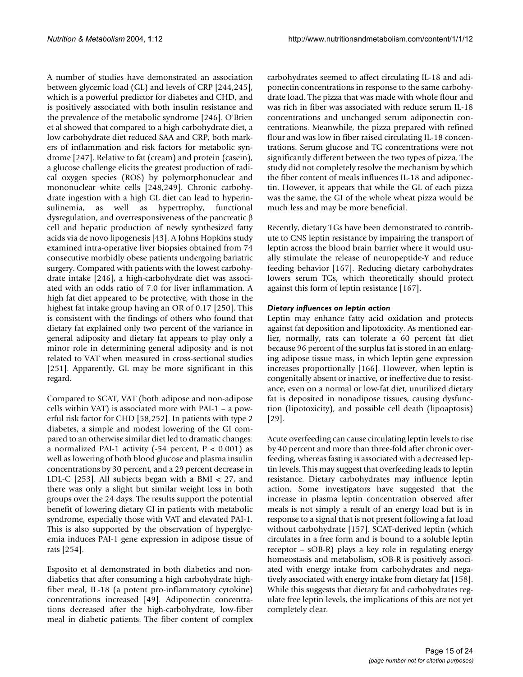A number of studies have demonstrated an association between glycemic load (GL) and levels of CRP [244,245], which is a powerful predictor for diabetes and CHD, and is positively associated with both insulin resistance and the prevalence of the metabolic syndrome [246]. O'Brien et al showed that compared to a high carbohydrate diet, a low carbohydrate diet reduced SAA and CRP, both markers of inflammation and risk factors for metabolic syndrome [247]. Relative to fat (cream) and protein (casein), a glucose challenge elicits the greatest production of radical oxygen species (ROS) by polymorphonuclear and mononuclear white cells [248,249]. Chronic carbohydrate ingestion with a high GL diet can lead to hyperinsulinemia, as well as hypertrophy, functional dysregulation, and overresponsiveness of the pancreatic β cell and hepatic production of newly synthesized fatty acids via de novo lipogenesis [43]. A Johns Hopkins study examined intra-operative liver biopsies obtained from 74 consecutive morbidly obese patients undergoing bariatric surgery. Compared with patients with the lowest carbohydrate intake [246], a high-carbohydrate diet was associated with an odds ratio of 7.0 for liver inflammation. A high fat diet appeared to be protective, with those in the highest fat intake group having an OR of 0.17 [250]. This is consistent with the findings of others who found that dietary fat explained only two percent of the variance in general adiposity and dietary fat appears to play only a minor role in determining general adiposity and is not related to VAT when measured in cross-sectional studies [251]. Apparently, GL may be more significant in this regard.

Compared to SCAT, VAT (both adipose and non-adipose cells within VAT) is associated more with PAI-1 – a powerful risk factor for CHD [58,252]. In patients with type 2 diabetes, a simple and modest lowering of the GI compared to an otherwise similar diet led to dramatic changes: a normalized PAI-1 activity (-54 percent,  $P < 0.001$ ) as well as lowering of both blood glucose and plasma insulin concentrations by 30 percent, and a 29 percent decrease in LDL-C [253]. All subjects began with a BMI < 27, and there was only a slight but similar weight loss in both groups over the 24 days. The results support the potential benefit of lowering dietary GI in patients with metabolic syndrome, especially those with VAT and elevated PAI-1. This is also supported by the observation of hyperglycemia induces PAI-1 gene expression in adipose tissue of rats [254].

Esposito et al demonstrated in both diabetics and nondiabetics that after consuming a high carbohydrate highfiber meal, IL-18 (a potent pro-inflammatory cytokine) concentrations increased [49]. Adiponectin concentrations decreased after the high-carbohydrate, low-fiber meal in diabetic patients. The fiber content of complex

carbohydrates seemed to affect circulating IL-18 and adiponectin concentrations in response to the same carbohydrate load. The pizza that was made with whole flour and was rich in fiber was associated with reduce serum IL-18 concentrations and unchanged serum adiponectin concentrations. Meanwhile, the pizza prepared with refined flour and was low in fiber raised circulating IL-18 concentrations. Serum glucose and TG concentrations were not significantly different between the two types of pizza. The study did not completely resolve the mechanism by which the fiber content of meals influences IL-18 and adiponectin. However, it appears that while the GL of each pizza was the same, the GI of the whole wheat pizza would be much less and may be more beneficial.

Recently, dietary TGs have been demonstrated to contribute to CNS leptin resistance by impairing the transport of leptin across the blood brain barrier where it would usually stimulate the release of neuropeptide-Y and reduce feeding behavior [167]. Reducing dietary carbohydrates lowers serum TGs, which theoretically should protect against this form of leptin resistance [167].

#### *Dietary influences on leptin action*

Leptin may enhance fatty acid oxidation and protects against fat deposition and lipotoxicity. As mentioned earlier, normally, rats can tolerate a 60 percent fat diet because 96 percent of the surplus fat is stored in an enlarging adipose tissue mass, in which leptin gene expression increases proportionally [166]. However, when leptin is congenitally absent or inactive, or ineffective due to resistance, even on a normal or low-fat diet, unutilized dietary fat is deposited in nonadipose tissues, causing dysfunction (lipotoxicity), and possible cell death (lipoaptosis) [29].

Acute overfeeding can cause circulating leptin levels to rise by 40 percent and more than three-fold after chronic overfeeding, whereas fasting is associated with a decreased leptin levels. This may suggest that overfeeding leads to leptin resistance. Dietary carbohydrates may influence leptin action. Some investigators have suggested that the increase in plasma leptin concentration observed after meals is not simply a result of an energy load but is in response to a signal that is not present following a fat load without carbohydrate [157]. SCAT-derived leptin (which circulates in a free form and is bound to a soluble leptin receptor – sOB-R) plays a key role in regulating energy homeostasis and metabolism, sOB-R is positively associated with energy intake from carbohydrates and negatively associated with energy intake from dietary fat [158]. While this suggests that dietary fat and carbohydrates regulate free leptin levels, the implications of this are not yet completely clear.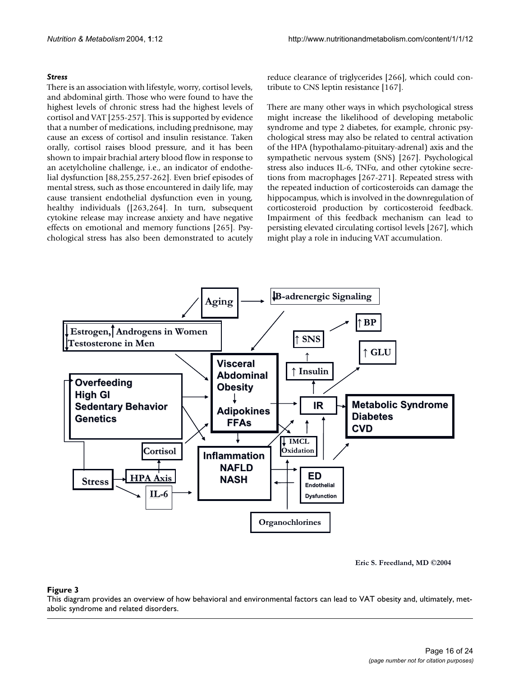#### *Stress*

There is an association with lifestyle, worry, cortisol levels, and abdominal girth. Those who were found to have the highest levels of chronic stress had the highest levels of cortisol and VAT [255-257]. This is supported by evidence that a number of medications, including prednisone, may cause an excess of cortisol and insulin resistance. Taken orally, cortisol raises blood pressure, and it has been shown to impair brachial artery blood flow in response to an acetylcholine challenge, i.e., an indicator of endothelial dysfunction [88,255,257-262]. Even brief episodes of mental stress, such as those encountered in daily life, may cause transient endothelial dysfunction even in young, healthy individuals ([263,264]. In turn, subsequent cytokine release may increase anxiety and have negative effects on emotional and memory functions [265]. Psychological stress has also been demonstrated to acutely reduce clearance of triglycerides [266], which could contribute to CNS leptin resistance [167].

There are many other ways in which psychological stress might increase the likelihood of developing metabolic syndrome and type 2 diabetes, for example, chronic psychological stress may also be related to central activation of the HPA (hypothalamo-pituitary-adrenal) axis and the sympathetic nervous system (SNS) [267]. Psychological stress also induces IL-6, TNFα, and other cytokine secretions from macrophages [267-271]. Repeated stress with the repeated induction of corticosteroids can damage the hippocampus, which is involved in the downregulation of corticosteroid production by corticosteroid feedback. Impairment of this feedback mechanism can lead to persisting elevated circulating cortisol levels [267], which might play a role in inducing VAT accumulation.



**Eric S. Freedland, MD ©2004**

#### abolic syndrome an **Figure 3** This diagram provides an overview of ho d related disorders w behavioral and environmental factors can lead to VAT obesity and, ultimately, met-

This diagram provides an overview of how behavioral and environmental factors can lead to VAT obesity and, ultimately, metabolic syndrome and related disorders.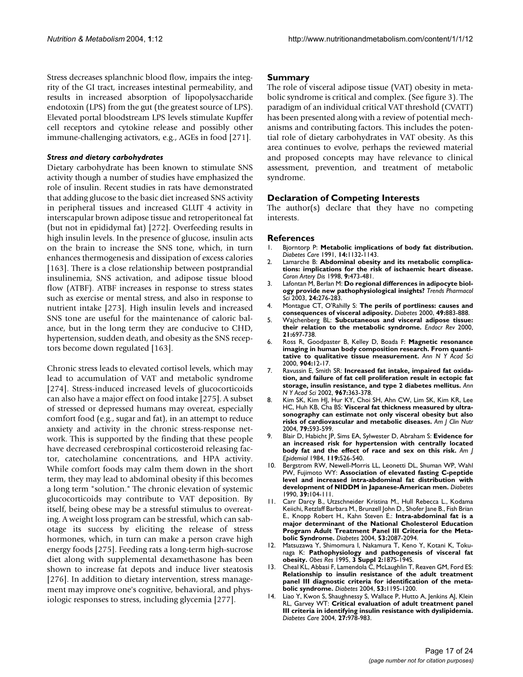Stress decreases splanchnic blood flow, impairs the integrity of the GI tract, increases intestinal permeability, and results in increased absorption of lipopolysaccharide endotoxin (LPS) from the gut (the greatest source of LPS). Elevated portal bloodstream LPS levels stimulate Kupffer cell receptors and cytokine release and possibly other immune-challenging activators, e.g., AGEs in food [271].

#### *Stress and dietary carbohydrates*

Dietary carbohydrate has been known to stimulate SNS activity though a number of studies have emphasized the role of insulin. Recent studies in rats have demonstrated that adding glucose to the basic diet increased SNS activity in peripheral tissues and increased GLUT 4 activity in interscapular brown adipose tissue and retroperitoneal fat (but not in epididymal fat) [272]. Overfeeding results in high insulin levels. In the presence of glucose, insulin acts on the brain to increase the SNS tone, which, in turn enhances thermogenesis and dissipation of excess calories [163]. There is a close relationship between postprandial insulinemia, SNS activation, and adipose tissue blood flow (ATBF). ATBF increases in response to stress states such as exercise or mental stress, and also in response to nutrient intake [273]. High insulin levels and increased SNS tone are useful for the maintenance of caloric balance, but in the long term they are conducive to CHD, hypertension, sudden death, and obesity as the SNS receptors become down regulated [163].

Chronic stress leads to elevated cortisol levels, which may lead to accumulation of VAT and metabolic syndrome [274]. Stress-induced increased levels of glucocorticoids can also have a major effect on food intake [275]. A subset of stressed or depressed humans may overeat, especially comfort food (e.g., sugar and fat), in an attempt to reduce anxiety and activity in the chronic stress-response network. This is supported by the finding that these people have decreased cerebrospinal corticosteroid releasing factor, catecholamine concentrations, and HPA activity. While comfort foods may calm them down in the short term, they may lead to abdominal obesity if this becomes a long term "solution." The chronic elevation of systemic glucocorticoids may contribute to VAT deposition. By itself, being obese may be a stressful stimulus to overeating. A weight loss program can be stressful, which can sabotage its success by eliciting the release of stress hormones, which, in turn can make a person crave high energy foods [275]. Feeding rats a long-term high-sucrose diet along with supplemental dexamethasone has been shown to increase fat depots and induce liver steatosis [276]. In addition to dietary intervention, stress management may improve one's cognitive, behavioral, and physiologic responses to stress, including glycemia [277].

#### **Summary**

The role of visceral adipose tissue (VAT) obesity in metabolic syndrome is critical and complex. (See figure 3). The paradigm of an individual critical VAT threshold (CVATT) has been presented along with a review of potential mechanisms and contributing factors. This includes the potential role of dietary carbohydrates in VAT obesity. As this area continues to evolve, perhaps the reviewed material and proposed concepts may have relevance to clinical assessment, prevention, and treatment of metabolic syndrome.

#### **Declaration of Competing Interests**

The author(s) declare that they have no competing interests.

#### **References**

- 1. Bjorntorp P: **[Metabolic implications of body fat distribution.](http://www.ncbi.nlm.nih.gov/entrez/query.fcgi?cmd=Retrieve&db=PubMed&dopt=Abstract&list_uids=1773700)** *Diabetes Care* 1991, **14:**1132-1143.
- 2. Lamarche B: **[Abdominal obesity and its metabolic complica](http://www.ncbi.nlm.nih.gov/entrez/query.fcgi?cmd=Retrieve&db=PubMed&dopt=Abstract&list_uids=9847978)[tions: implications for the risk of ischaemic heart disease.](http://www.ncbi.nlm.nih.gov/entrez/query.fcgi?cmd=Retrieve&db=PubMed&dopt=Abstract&list_uids=9847978)** *Coron Artery Dis* 1998, **9:**473-481.
- 3. Lafontan M, Berlan M: **[Do regional differences in adipocyte biol](http://www.ncbi.nlm.nih.gov/entrez/query.fcgi?cmd=Retrieve&db=PubMed&dopt=Abstract&list_uids=12823953)[ogy provide new pathophysiological insights?](http://www.ncbi.nlm.nih.gov/entrez/query.fcgi?cmd=Retrieve&db=PubMed&dopt=Abstract&list_uids=12823953)** *Trends Pharmacol Sci* 2003, **24:**276-283.
- 4. Montague CT, O'Rahilly S: **[The perils of portliness: causes and](http://www.ncbi.nlm.nih.gov/entrez/query.fcgi?cmd=Retrieve&db=PubMed&dopt=Abstract&list_uids=10866038) [consequences of visceral adiposity.](http://www.ncbi.nlm.nih.gov/entrez/query.fcgi?cmd=Retrieve&db=PubMed&dopt=Abstract&list_uids=10866038)** *Diabetes* 2000, **49:**883-888.
- 5. Wajchenberg BL: **[Subcutaneous and visceral adipose tissue:](http://www.ncbi.nlm.nih.gov/entrez/query.fcgi?cmd=Retrieve&db=PubMed&dopt=Abstract&list_uids=11133069) [their relation to the metabolic syndrome.](http://www.ncbi.nlm.nih.gov/entrez/query.fcgi?cmd=Retrieve&db=PubMed&dopt=Abstract&list_uids=11133069)** *Endocr Rev* 2000, **21:**697-738.
- 6. Ross R, Goodpaster B, Kelley D, Boada F: **[Magnetic resonance](http://www.ncbi.nlm.nih.gov/entrez/query.fcgi?cmd=Retrieve&db=PubMed&dopt=Abstract&list_uids=10865704) [imaging in human body composition research. From quanti](http://www.ncbi.nlm.nih.gov/entrez/query.fcgi?cmd=Retrieve&db=PubMed&dopt=Abstract&list_uids=10865704)[tative to qualitative tissue measurement.](http://www.ncbi.nlm.nih.gov/entrez/query.fcgi?cmd=Retrieve&db=PubMed&dopt=Abstract&list_uids=10865704)** *Ann N Y Acad Sci* 2000, **904:**12-17.
- 7. Ravussin E, Smith SR: **[Increased fat intake, impaired fat oxida](http://www.ncbi.nlm.nih.gov/entrez/query.fcgi?cmd=Retrieve&db=PubMed&dopt=Abstract&list_uids=12079864)[tion, and failure of fat cell proliferation result in ectopic fat](http://www.ncbi.nlm.nih.gov/entrez/query.fcgi?cmd=Retrieve&db=PubMed&dopt=Abstract&list_uids=12079864) [storage, insulin resistance, and type 2 diabetes mellitus.](http://www.ncbi.nlm.nih.gov/entrez/query.fcgi?cmd=Retrieve&db=PubMed&dopt=Abstract&list_uids=12079864)** *Ann N Y Acad Sci* 2002, **967:**363-378.
- 8. Kim SK, Kim HJ, Hur KY, Choi SH, Ahn CW, Lim SK, Kim KR, Lee HC, Huh KB, Cha BS: **[Visceral fat thickness measured by ultra](http://www.ncbi.nlm.nih.gov/entrez/query.fcgi?cmd=Retrieve&db=PubMed&dopt=Abstract&list_uids=15051602)[sonography can estimate not only visceral obesity but also](http://www.ncbi.nlm.nih.gov/entrez/query.fcgi?cmd=Retrieve&db=PubMed&dopt=Abstract&list_uids=15051602) [risks of cardiovascular and metabolic diseases.](http://www.ncbi.nlm.nih.gov/entrez/query.fcgi?cmd=Retrieve&db=PubMed&dopt=Abstract&list_uids=15051602)** *Am J Clin Nutr* 2004, **79:**593-599.
- 9. Blair D, Habicht JP, Sims EA, Sylwester D, Abraham S: **[Evidence for](http://www.ncbi.nlm.nih.gov/entrez/query.fcgi?cmd=Retrieve&db=PubMed&dopt=Abstract&list_uids=6711542) [an increased risk for hypertension with centrally located](http://www.ncbi.nlm.nih.gov/entrez/query.fcgi?cmd=Retrieve&db=PubMed&dopt=Abstract&list_uids=6711542) [body fat and the effect of race and sex on this risk.](http://www.ncbi.nlm.nih.gov/entrez/query.fcgi?cmd=Retrieve&db=PubMed&dopt=Abstract&list_uids=6711542)** *Am J Epidemiol* 1984, **119:**526-540.
- 10. Bergstrom RW, Newell-Morris LL, Leonetti DL, Shuman WP, Wahl PW, Fujimoto WY: **[Association of elevated fasting C-peptide](http://www.ncbi.nlm.nih.gov/entrez/query.fcgi?cmd=Retrieve&db=PubMed&dopt=Abstract&list_uids=2210052) [level and increased intra-abdominal fat distribution with](http://www.ncbi.nlm.nih.gov/entrez/query.fcgi?cmd=Retrieve&db=PubMed&dopt=Abstract&list_uids=2210052) [development of NIDDM in Japanese-American men.](http://www.ncbi.nlm.nih.gov/entrez/query.fcgi?cmd=Retrieve&db=PubMed&dopt=Abstract&list_uids=2210052)** *Diabetes* 1990, **39:**104-111.
- 11. Carr Darcy B., Utzschneider Kristina M., Hull Rebecca L., Kodama Keiichi, Retzlaff Barbara M., Brunzell John D., Shofer Jane B., Fish Brian E., Knopp Robert H., Kahn Steven E.: **[Intra-abdominal fat is a](http://www.ncbi.nlm.nih.gov/entrez/query.fcgi?cmd=Retrieve&db=PubMed&dopt=Abstract&list_uids=15277390) major determinant of the National Cholesterol Education [Program Adult Treatment Panel III Criteria for the Meta](http://www.ncbi.nlm.nih.gov/entrez/query.fcgi?cmd=Retrieve&db=PubMed&dopt=Abstract&list_uids=15277390)[bolic Syndrome.](http://www.ncbi.nlm.nih.gov/entrez/query.fcgi?cmd=Retrieve&db=PubMed&dopt=Abstract&list_uids=15277390)** *Diabetes* 2004, **53:**2087-2094.
- 12. Matsuzawa Y, Shimomura I, Nakamura T, Keno Y, Kotani K, Tokunaga K: **[Pathophysiology and pathogenesis of visceral fat](http://www.ncbi.nlm.nih.gov/entrez/query.fcgi?cmd=Retrieve&db=PubMed&dopt=Abstract&list_uids=8581775) [obesity.](http://www.ncbi.nlm.nih.gov/entrez/query.fcgi?cmd=Retrieve&db=PubMed&dopt=Abstract&list_uids=8581775)** *Obes Res* 1995, **3 Suppl 2:**187S-194S.
- 13. Cheal KL, Abbasi F, Lamendola C, McLaughlin T, Reaven GM, Ford ES: **Relationship to insulin resistance of the adult treatment [panel III diagnostic criteria for identification of the meta](http://www.ncbi.nlm.nih.gov/entrez/query.fcgi?cmd=Retrieve&db=PubMed&dopt=Abstract&list_uids=15111486)[bolic syndrome.](http://www.ncbi.nlm.nih.gov/entrez/query.fcgi?cmd=Retrieve&db=PubMed&dopt=Abstract&list_uids=15111486)** *Diabetes* 2004, **53:**1195-1200.
- 14. Liao Y, Kwon S, Shaughnessy S, Wallace P, Hutto A, Jenkins AJ, Klein RL, Garvey WT: **[Critical evaluation of adult treatment panel](http://www.ncbi.nlm.nih.gov/entrez/query.fcgi?cmd=Retrieve&db=PubMed&dopt=Abstract&list_uids=15047659) [III criteria in identifying insulin resistance with dyslipidemia.](http://www.ncbi.nlm.nih.gov/entrez/query.fcgi?cmd=Retrieve&db=PubMed&dopt=Abstract&list_uids=15047659)** *Diabetes Care* 2004, **27:**978-983.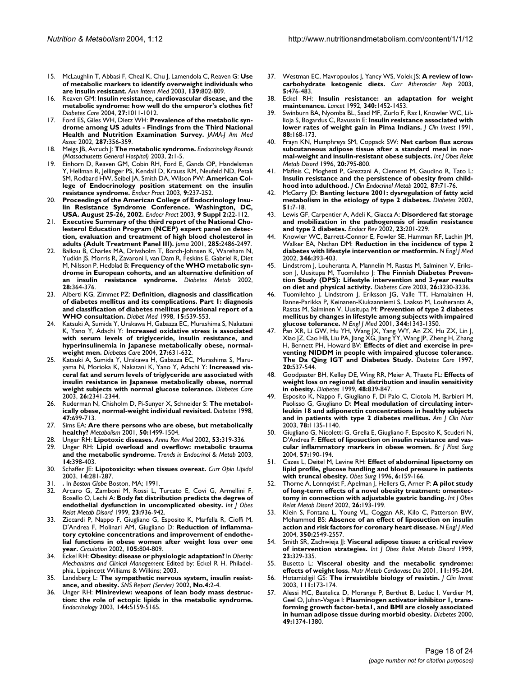- 15. McLaughlin T, Abbasi F, Cheal K, Chu J, Lamendola C, Reaven G: **[Use](http://www.ncbi.nlm.nih.gov/entrez/query.fcgi?cmd=Retrieve&db=PubMed&dopt=Abstract&list_uids=14623617) [of metabolic markers to identify overweight individuals who](http://www.ncbi.nlm.nih.gov/entrez/query.fcgi?cmd=Retrieve&db=PubMed&dopt=Abstract&list_uids=14623617) [are insulin resistant.](http://www.ncbi.nlm.nih.gov/entrez/query.fcgi?cmd=Retrieve&db=PubMed&dopt=Abstract&list_uids=14623617)** *Ann Intern Med* 2003, **139:**802-809.
- 16. Reaven GM: **[Insulin resistance, cardiovascular disease, and the](http://www.ncbi.nlm.nih.gov/entrez/query.fcgi?cmd=Retrieve&db=PubMed&dopt=Abstract&list_uids=15047666) [metabolic syndrome: how well do the emperor's clothes fit?](http://www.ncbi.nlm.nih.gov/entrez/query.fcgi?cmd=Retrieve&db=PubMed&dopt=Abstract&list_uids=15047666)** *Diabetes Care* 2004, **27:**1011-1012.
- 17. Ford ES, Giles WH, Dietz WH: **Prevalence of the metabolic syndrome among US adults - Findings from the Third National Health and Nutrition Examination Survey.** *JAMA-J Am Med Assoc* 2002, **287:**356-359.
- 18. Meigs JB, Avruch J: **The metabolic syndrome.** *Endocrinology Rounds (Massachusetts General Hospital)* 2003, **2:**1-5.
- 19. Einhorn D, Reaven GM, Cobin RH, Ford E, Ganda OP, Handelsman Y, Hellman R, Jellinger PS, Kendall D, Krauss RM, Neufeld ND, Petak SM, Rodbard HW, Seibel JA, Smith DA, Wilson PW: **[American Col](http://www.ncbi.nlm.nih.gov/entrez/query.fcgi?cmd=Retrieve&db=PubMed&dopt=Abstract&list_uids=12924350)[lege of Endocrinology position statement on the insulin](http://www.ncbi.nlm.nih.gov/entrez/query.fcgi?cmd=Retrieve&db=PubMed&dopt=Abstract&list_uids=12924350) [resistance syndrome.](http://www.ncbi.nlm.nih.gov/entrez/query.fcgi?cmd=Retrieve&db=PubMed&dopt=Abstract&list_uids=12924350)** *Endocr Pract* 2003, **9:**237-252.
- <span id="page-17-0"></span>20. **[Proceedings of the American College of Endocrinology Insu](http://www.ncbi.nlm.nih.gov/entrez/query.fcgi?cmd=Retrieve&db=PubMed&dopt=Abstract&list_uids=14698968)[lin Resistance Syndrome Conference. Washington, DC,](http://www.ncbi.nlm.nih.gov/entrez/query.fcgi?cmd=Retrieve&db=PubMed&dopt=Abstract&list_uids=14698968) [USA. August 25-26, 2002.](http://www.ncbi.nlm.nih.gov/entrez/query.fcgi?cmd=Retrieve&db=PubMed&dopt=Abstract&list_uids=14698968)** *Endocr Pract* 2003, **9 Suppl 2:**22-112.
- 21. **[Executive Summary of the third report of the National Cho](http://www.ncbi.nlm.nih.gov/entrez/query.fcgi?cmd=Retrieve&db=PubMed&dopt=Abstract&list_uids=11368702)lesterol Education Program (NCEP) expert panel on detec[tion, evaluation and treatment of high blood cholesterol in](http://www.ncbi.nlm.nih.gov/entrez/query.fcgi?cmd=Retrieve&db=PubMed&dopt=Abstract&list_uids=11368702) [adults \(Adult Treatment Panel III\).](http://www.ncbi.nlm.nih.gov/entrez/query.fcgi?cmd=Retrieve&db=PubMed&dopt=Abstract&list_uids=11368702)** *Jama* 2001, **285:**2486-2497.
- 22. Balkau B, Charles MA, Drivsholm T, Borch-Johnsen K, Wareham N, Yudkin JS, Morris R, Zavaroni I, van Dam R, Feskins E, Gabriel R, Diet M, Nilsson P, Hedblad B: **[Frequency of the WHO metabolic syn](http://www.ncbi.nlm.nih.gov/entrez/query.fcgi?cmd=Retrieve&db=PubMed&dopt=Abstract&list_uids=12461473)[drome in European cohorts, and an alternative definition of](http://www.ncbi.nlm.nih.gov/entrez/query.fcgi?cmd=Retrieve&db=PubMed&dopt=Abstract&list_uids=12461473) [an insulin resistance syndrome.](http://www.ncbi.nlm.nih.gov/entrez/query.fcgi?cmd=Retrieve&db=PubMed&dopt=Abstract&list_uids=12461473)** *Diabetes Metab* 2002, **28:**364-376.
- 23. Alberti KG, Zimmet PZ: **[Definition, diagnosis and classification](http://www.ncbi.nlm.nih.gov/entrez/query.fcgi?cmd=Retrieve&db=PubMed&dopt=Abstract&list_uids=9686693) of diabetes mellitus and its complications. Part 1: diagnosis [and classification of diabetes mellitus provisional report of a](http://www.ncbi.nlm.nih.gov/entrez/query.fcgi?cmd=Retrieve&db=PubMed&dopt=Abstract&list_uids=9686693) [WHO consultation.](http://www.ncbi.nlm.nih.gov/entrez/query.fcgi?cmd=Retrieve&db=PubMed&dopt=Abstract&list_uids=9686693)** *Diabet Med* 1998, **15:**539-553.
- 24. Katsuki A, Sumida Y, Urakawa H, Gabazza EC, Murashima S, Nakatani K, Yano Y, Adachi Y: **[Increased oxidative stress is associated](http://www.ncbi.nlm.nih.gov/entrez/query.fcgi?cmd=Retrieve&db=PubMed&dopt=Abstract&list_uids=14747267) [with serum levels of triglyceride, insulin resistance, and](http://www.ncbi.nlm.nih.gov/entrez/query.fcgi?cmd=Retrieve&db=PubMed&dopt=Abstract&list_uids=14747267) hyperinsulinemia in Japanese metabolically obese, normal[weight men.](http://www.ncbi.nlm.nih.gov/entrez/query.fcgi?cmd=Retrieve&db=PubMed&dopt=Abstract&list_uids=14747267)** *Diabetes Care* 2004, **27:**631-632.
- 25. Katsuki A, Sumida Y, Urakawa H, Gabazza EC, Murashima S, Maruyama N, Morioka K, Nakatani K, Yano Y, Adachi Y: **[Increased vis](http://www.ncbi.nlm.nih.gov/entrez/query.fcgi?cmd=Retrieve&db=PubMed&dopt=Abstract&list_uids=12882859)ceral fat and serum levels of triglyceride are associated with [insulin resistance in Japanese metabolically obese, normal](http://www.ncbi.nlm.nih.gov/entrez/query.fcgi?cmd=Retrieve&db=PubMed&dopt=Abstract&list_uids=12882859) [weight subjects with normal glucose tolerance.](http://www.ncbi.nlm.nih.gov/entrez/query.fcgi?cmd=Retrieve&db=PubMed&dopt=Abstract&list_uids=12882859)** *Diabetes Care* 2003, **26:**2341-2344.
- Ruderman N, Chisholm D, Pi-Sunyer X, Schneider S: [The metabol](http://www.ncbi.nlm.nih.gov/entrez/query.fcgi?cmd=Retrieve&db=PubMed&dopt=Abstract&list_uids=9588440)**[ically obese, normal-weight individual revisited.](http://www.ncbi.nlm.nih.gov/entrez/query.fcgi?cmd=Retrieve&db=PubMed&dopt=Abstract&list_uids=9588440)** *Diabetes* 1998, **47:**699-713.
- 27. Sims EA: **[Are there persons who are obese, but metabolically](http://www.ncbi.nlm.nih.gov/entrez/query.fcgi?cmd=Retrieve&db=PubMed&dopt=Abstract&list_uids=11735101) [healthy?](http://www.ncbi.nlm.nih.gov/entrez/query.fcgi?cmd=Retrieve&db=PubMed&dopt=Abstract&list_uids=11735101)** *Metabolism* 2001, **50:**1499-1504.
- 28. Unger RH: **[Lipotoxic diseases.](http://www.ncbi.nlm.nih.gov/entrez/query.fcgi?cmd=Retrieve&db=PubMed&dopt=Abstract&list_uids=11818477)** *Annu Rev Med* 2002, **53:**319-336.
- 29. Unger RH: **Lipid overload and overflow: metabolic trauma and the metabolic syndrome.** *Trends in Endocrinol & Metab* 2003, **14:**398-403.
- 30. Schaffer JE: **[Lipotoxicity: when tissues overeat.](http://www.ncbi.nlm.nih.gov/entrez/query.fcgi?cmd=Retrieve&db=PubMed&dopt=Abstract&list_uids=12840659)** *Curr Opin Lipidol* 2003, **14:**281-287.
- 31. **.** In *Boston Globe* Boston, MA; 1991.
- 32. Arcaro G, Zamboni M, Rossi L, Turcato E, Covi G, Armellini F, Bosello O, Lechi A: **[Body fat distribution predicts the degree of](http://www.ncbi.nlm.nih.gov/entrez/query.fcgi?cmd=Retrieve&db=PubMed&dopt=Abstract&list_uids=10490799) [endothelial dysfunction in uncomplicated obesity.](http://www.ncbi.nlm.nih.gov/entrez/query.fcgi?cmd=Retrieve&db=PubMed&dopt=Abstract&list_uids=10490799)** *Int J Obes Relat Metab Disord* 1999, **23:**936-942.
- 33. Ziccardi P, Nappo F, Giugliano G, Esposito K, Marfella R, Cioffi M, D'Andrea F, Molinari AM, Giugliano D: **[Reduction of inflamma](http://www.ncbi.nlm.nih.gov/entrez/query.fcgi?cmd=Retrieve&db=PubMed&dopt=Abstract&list_uids=11854119)tory cytokine concentrations and improvement of endothe[lial functions in obese women after weight loss over one](http://www.ncbi.nlm.nih.gov/entrez/query.fcgi?cmd=Retrieve&db=PubMed&dopt=Abstract&list_uids=11854119) [year.](http://www.ncbi.nlm.nih.gov/entrez/query.fcgi?cmd=Retrieve&db=PubMed&dopt=Abstract&list_uids=11854119)** *Circulation* 2002, **105:**804-809.
- 34. Eckel RH: **Obesity: disease or physiologic adaptation?** In *Obesity: Mechanisms and Clinical Management* Edited by: Eckel R H. Philadelphia, Lippincott Williams & Wilkins; 2003.
- 35. Landsberg L: **The sympathetic nervous system, insulin resistance, and obesity.** *SNS Report (Servier)* 2002, **No.4:**2-4.
- 36. Unger RH: **[Minireview: weapons of lean body mass destruc](http://www.ncbi.nlm.nih.gov/entrez/query.fcgi?cmd=Retrieve&db=PubMed&dopt=Abstract&list_uids=12960011)[tion: the role of ectopic lipids in the metabolic syndrome.](http://www.ncbi.nlm.nih.gov/entrez/query.fcgi?cmd=Retrieve&db=PubMed&dopt=Abstract&list_uids=12960011)** *Endocrinology* 2003, **144:**5159-5165.
- 37. Westman EC, Mavropoulos J, Yancy WS, Volek JS: **[A review of low](http://www.ncbi.nlm.nih.gov/entrez/query.fcgi?cmd=Retrieve&db=PubMed&dopt=Abstract&list_uids=14525681)[carbohydrate ketogenic diets.](http://www.ncbi.nlm.nih.gov/entrez/query.fcgi?cmd=Retrieve&db=PubMed&dopt=Abstract&list_uids=14525681)** *Curr Atheroscler Rep* 2003, **5:**476-483.
- 38. Eckel RH: **[Insulin resistance: an adaptation for weight](http://www.ncbi.nlm.nih.gov/entrez/query.fcgi?cmd=Retrieve&db=PubMed&dopt=Abstract&list_uids=1360570) [maintenance.](http://www.ncbi.nlm.nih.gov/entrez/query.fcgi?cmd=Retrieve&db=PubMed&dopt=Abstract&list_uids=1360570)** *Lancet* 1992, **340:**1452-1453.
- 39. Swinburn BA, Nyomba BL, Saad MF, Zurlo F, Raz I, Knowler WC, Lillioja S, Bogardus C, Ravussin E: **[Insulin resistance associated with](http://www.ncbi.nlm.nih.gov/entrez/query.fcgi?cmd=Retrieve&db=PubMed&dopt=Abstract&list_uids=2056116) [lower rates of weight gain in Pima Indians.](http://www.ncbi.nlm.nih.gov/entrez/query.fcgi?cmd=Retrieve&db=PubMed&dopt=Abstract&list_uids=2056116)** *J Clin Invest* 1991, **88:**168-173.
- 40. Frayn KN, Humphreys SM, Coppack SW: **[Net carbon flux across](http://www.ncbi.nlm.nih.gov/entrez/query.fcgi?cmd=Retrieve&db=PubMed&dopt=Abstract&list_uids=8880344) [subcutaneous adipose tissue after a standard meal in nor](http://www.ncbi.nlm.nih.gov/entrez/query.fcgi?cmd=Retrieve&db=PubMed&dopt=Abstract&list_uids=8880344)[mal-weight and insulin-resistant obese subjects.](http://www.ncbi.nlm.nih.gov/entrez/query.fcgi?cmd=Retrieve&db=PubMed&dopt=Abstract&list_uids=8880344)** *Int J Obes Relat Metab Disord* 1996, **20:**795-800.
- 41. Maffeis C, Moghetti P, Grezzani A, Clementi M, Gaudino R, Tato L: **[Insulin resistance and the persistence of obesity from child](http://www.ncbi.nlm.nih.gov/entrez/query.fcgi?cmd=Retrieve&db=PubMed&dopt=Abstract&list_uids=11788625)[hood into adulthood.](http://www.ncbi.nlm.nih.gov/entrez/query.fcgi?cmd=Retrieve&db=PubMed&dopt=Abstract&list_uids=11788625)** *J Clin Endocrinol Metab* 2002, **87:**71-76.
- 42. McGarry JD: **[Banting lecture 2001: dysregulation of fatty acid](http://www.ncbi.nlm.nih.gov/entrez/query.fcgi?cmd=Retrieve&db=PubMed&dopt=Abstract&list_uids=11756317) [metabolism in the etiology of type 2 diabetes.](http://www.ncbi.nlm.nih.gov/entrez/query.fcgi?cmd=Retrieve&db=PubMed&dopt=Abstract&list_uids=11756317)** *Diabetes* 2002, **51:**7-18.
- 43. Lewis GF, Carpentier A, Adeli K, Giacca A: **[Disordered fat storage](http://www.ncbi.nlm.nih.gov/entrez/query.fcgi?cmd=Retrieve&db=PubMed&dopt=Abstract&list_uids=11943743) [and mobilization in the pathogenesis of insulin resistance](http://www.ncbi.nlm.nih.gov/entrez/query.fcgi?cmd=Retrieve&db=PubMed&dopt=Abstract&list_uids=11943743) [and type 2 diabetes.](http://www.ncbi.nlm.nih.gov/entrez/query.fcgi?cmd=Retrieve&db=PubMed&dopt=Abstract&list_uids=11943743)** *Endocr Rev* 2002, **23:**201-229.
- 44. Knowler WC, Barrett-Connor E, Fowler SE, Hamman RF, Lachin JM, Walker EA, Nathan DM: **[Reduction in the incidence of type 2](http://www.ncbi.nlm.nih.gov/entrez/query.fcgi?cmd=Retrieve&db=PubMed&dopt=Abstract&list_uids=11832527) [diabetes with lifestyle intervention or metformin.](http://www.ncbi.nlm.nih.gov/entrez/query.fcgi?cmd=Retrieve&db=PubMed&dopt=Abstract&list_uids=11832527)** *N Engl J Med* 2002, **346:**393-403.
- 45. Lindstrom J, Louheranta A, Mannelin M, Rastas M, Salminen V, Eriksson J, Uusitupa M, Tuomilehto J: **[The Finnish Diabetes Preven](http://www.ncbi.nlm.nih.gov/entrez/query.fcgi?cmd=Retrieve&db=PubMed&dopt=Abstract&list_uids=14633807)[tion Study \(DPS\): Lifestyle intervention and 3-year results](http://www.ncbi.nlm.nih.gov/entrez/query.fcgi?cmd=Retrieve&db=PubMed&dopt=Abstract&list_uids=14633807) [on diet and physical activity.](http://www.ncbi.nlm.nih.gov/entrez/query.fcgi?cmd=Retrieve&db=PubMed&dopt=Abstract&list_uids=14633807)** *Diabetes Care* 2003, **26:**3230-3236.
- 46. Tuomilehto J, Lindstrom J, Eriksson JG, Valle TT, Hamalainen H, Ilanne-Parikka P, Keinanen-Kiukaanniemi S, Laakso M, Louheranta A, Rastas M, Salminen V, Uusitupa M: **[Prevention of type 2 diabetes](http://www.ncbi.nlm.nih.gov/entrez/query.fcgi?cmd=Retrieve&db=PubMed&dopt=Abstract&list_uids=11333990) [mellitus by changes in lifestyle among subjects with impaired](http://www.ncbi.nlm.nih.gov/entrez/query.fcgi?cmd=Retrieve&db=PubMed&dopt=Abstract&list_uids=11333990) [glucose tolerance.](http://www.ncbi.nlm.nih.gov/entrez/query.fcgi?cmd=Retrieve&db=PubMed&dopt=Abstract&list_uids=11333990)** *N Engl J Med* 2001, **344:**1343-1350.
- Pan XR, Li GW, Hu YH, Wang JX, Yang WY, An ZX, Hu ZX, Lin J, Xiao JZ, Cao HB, Liu PA, Jiang XG, Jiang YY, Wang JP, Zheng H, Zhang H, Bennett PH, Howard BV: **[Effects of diet and exercise in pre](http://www.ncbi.nlm.nih.gov/entrez/query.fcgi?cmd=Retrieve&db=PubMed&dopt=Abstract&list_uids=9096977)[venting NIDDM in people with impaired glucose tolerance.](http://www.ncbi.nlm.nih.gov/entrez/query.fcgi?cmd=Retrieve&db=PubMed&dopt=Abstract&list_uids=9096977) [The Da Qing IGT and Diabetes Study.](http://www.ncbi.nlm.nih.gov/entrez/query.fcgi?cmd=Retrieve&db=PubMed&dopt=Abstract&list_uids=9096977)** *Diabetes Care* 1997, **20:**537-544.
- 48. Goodpaster BH, Kelley DE, Wing RR, Meier A, Thaete FL: **[Effects of](http://www.ncbi.nlm.nih.gov/entrez/query.fcgi?cmd=Retrieve&db=PubMed&dopt=Abstract&list_uids=10102702) [weight loss on regional fat distribution and insulin sensitivity](http://www.ncbi.nlm.nih.gov/entrez/query.fcgi?cmd=Retrieve&db=PubMed&dopt=Abstract&list_uids=10102702) [in obesity.](http://www.ncbi.nlm.nih.gov/entrez/query.fcgi?cmd=Retrieve&db=PubMed&dopt=Abstract&list_uids=10102702)** *Diabetes* 1999, **48:**839-847.
- 49. Esposito K, Nappo F, Giugliano F, Di Palo C, Ciotola M, Barbieri M, Paolisso G, Giugliano D: **[Meal modulation of circulating inter](http://www.ncbi.nlm.nih.gov/entrez/query.fcgi?cmd=Retrieve&db=PubMed&dopt=Abstract&list_uids=14668275)[leukin 18 and adiponectin concentrations in healthy subjects](http://www.ncbi.nlm.nih.gov/entrez/query.fcgi?cmd=Retrieve&db=PubMed&dopt=Abstract&list_uids=14668275) [and in patients with type 2 diabetes mellitus.](http://www.ncbi.nlm.nih.gov/entrez/query.fcgi?cmd=Retrieve&db=PubMed&dopt=Abstract&list_uids=14668275)** *Am J Clin Nutr* 2003, **78:**1135-1140.
- 50. Giugliano G, Nicoletti G, Grella E, Giugliano F, Esposito K, Scuderi N, D'Andrea F: **[Effect of liposuction on insulin resistance and vas](http://www.ncbi.nlm.nih.gov/entrez/query.fcgi?cmd=Retrieve&db=PubMed&dopt=Abstract&list_uids=15006519)[cular inflammatory markers in obese women.](http://www.ncbi.nlm.nih.gov/entrez/query.fcgi?cmd=Retrieve&db=PubMed&dopt=Abstract&list_uids=15006519)** *Br J Plast Surg* 2004, **57:**190-194.
- 51. Cazes L, Deitel M, Levine RH: **[Effect of abdominal lipectomy on](http://www.ncbi.nlm.nih.gov/entrez/query.fcgi?cmd=Retrieve&db=PubMed&dopt=Abstract&list_uids=10729858) [lipid profile, glucose handling and blood pressure in patients](http://www.ncbi.nlm.nih.gov/entrez/query.fcgi?cmd=Retrieve&db=PubMed&dopt=Abstract&list_uids=10729858) [with truncal obesity.](http://www.ncbi.nlm.nih.gov/entrez/query.fcgi?cmd=Retrieve&db=PubMed&dopt=Abstract&list_uids=10729858)** *Obes Surg* 1996, **6:**159-166.
- 52. Thorne A, Lonnqvist F, Apelman J, Hellers G, Arner P: **[A pilot study](http://www.ncbi.nlm.nih.gov/entrez/query.fcgi?cmd=Retrieve&db=PubMed&dopt=Abstract&list_uids=11850750) [of long-term effects of a novel obesity treatment: omentec](http://www.ncbi.nlm.nih.gov/entrez/query.fcgi?cmd=Retrieve&db=PubMed&dopt=Abstract&list_uids=11850750)[tomy in connection with adjustable gastric banding.](http://www.ncbi.nlm.nih.gov/entrez/query.fcgi?cmd=Retrieve&db=PubMed&dopt=Abstract&list_uids=11850750)** *Int J Obes Relat Metab Disord* 2002, **26:**193-199.
- 53. Klein S, Fontana L, Young VL, Coggan AR, Kilo C, Patterson BW, Mohammed BS: **[Absence of an effect of liposuction on insulin](http://www.ncbi.nlm.nih.gov/entrez/query.fcgi?cmd=Retrieve&db=PubMed&dopt=Abstract&list_uids=15201411) [action and risk factors for coronary heart disease.](http://www.ncbi.nlm.nih.gov/entrez/query.fcgi?cmd=Retrieve&db=PubMed&dopt=Abstract&list_uids=15201411)** *N Engl J Med* 2004, **350:**2549-2557.
- 54. Smith SR, Zachwieja JJ: **[Visceral adipose tissue: a critical review](http://www.ncbi.nlm.nih.gov/entrez/query.fcgi?cmd=Retrieve&db=PubMed&dopt=Abstract&list_uids=10340808) [of intervention strategies.](http://www.ncbi.nlm.nih.gov/entrez/query.fcgi?cmd=Retrieve&db=PubMed&dopt=Abstract&list_uids=10340808)** *Int J Obes Relat Metab Disord* 1999, **23:**329-335.
- 55. Busetto L: **[Visceral obesity and the metabolic syndrome:](http://www.ncbi.nlm.nih.gov/entrez/query.fcgi?cmd=Retrieve&db=PubMed&dopt=Abstract&list_uids=11590996) [effects of weight loss.](http://www.ncbi.nlm.nih.gov/entrez/query.fcgi?cmd=Retrieve&db=PubMed&dopt=Abstract&list_uids=11590996)** *Nutr Metab Cardiovasc Dis* 2001, **11:**195-204.
- 56. Hotamisligil GS: **[The irresistible biology of resistin.](http://www.ncbi.nlm.nih.gov/entrez/query.fcgi?cmd=Retrieve&db=PubMed&dopt=Abstract&list_uids=12531870)** *J Clin Invest* 2003, **111:**173-174.
- 57. Alessi MC, Bastelica D, Morange P, Berthet B, Leduc I, Verdier M, Geel O, Juhan-Vague I: **[Plasminogen activator inhibitor 1, trans](http://www.ncbi.nlm.nih.gov/entrez/query.fcgi?cmd=Retrieve&db=PubMed&dopt=Abstract&list_uids=10923640)[forming growth factor-beta1, and BMI are closely associated](http://www.ncbi.nlm.nih.gov/entrez/query.fcgi?cmd=Retrieve&db=PubMed&dopt=Abstract&list_uids=10923640) [in human adipose tissue during morbid obesity.](http://www.ncbi.nlm.nih.gov/entrez/query.fcgi?cmd=Retrieve&db=PubMed&dopt=Abstract&list_uids=10923640)** *Diabetes* 2000, **49:**1374-1380.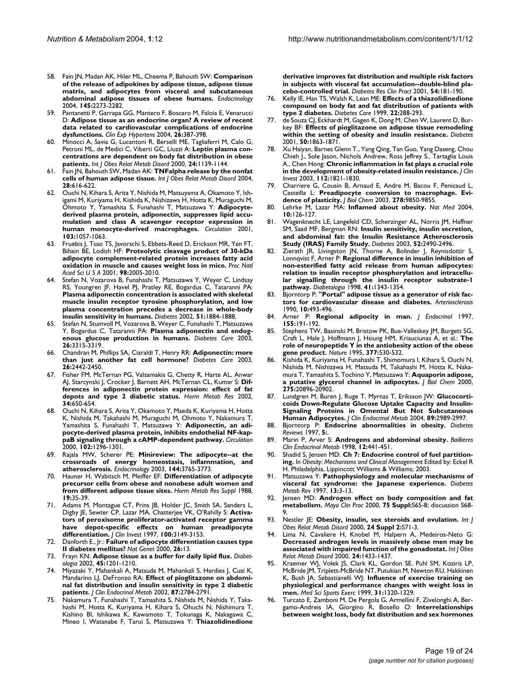- 58. Fain JN, Madan AK, Hiler ML, Cheema P, Bahouth SW: **[Comparison](http://www.ncbi.nlm.nih.gov/entrez/query.fcgi?cmd=Retrieve&db=PubMed&dopt=Abstract&list_uids=14726444) [of the release of adipokines by adipose tissue, adipose tissue](http://www.ncbi.nlm.nih.gov/entrez/query.fcgi?cmd=Retrieve&db=PubMed&dopt=Abstract&list_uids=14726444) matrix, and adipocytes from visceral and subcutaneous [abdominal adipose tissues of obese humans.](http://www.ncbi.nlm.nih.gov/entrez/query.fcgi?cmd=Retrieve&db=PubMed&dopt=Abstract&list_uids=14726444)** *Endocrinology* 2004, **145:**2273-2282.
- 59. Pantanetti P, Garrapa GG, Mantero F, Boscaro M, Faloia E, Venarucci D: **[Adipose tissue as an endocrine organ? A review of recent](http://www.ncbi.nlm.nih.gov/entrez/query.fcgi?cmd=Retrieve&db=PubMed&dopt=Abstract&list_uids=15195692) [data related to cardiovascular complications of endocrine](http://www.ncbi.nlm.nih.gov/entrez/query.fcgi?cmd=Retrieve&db=PubMed&dopt=Abstract&list_uids=15195692) [dysfunctions.](http://www.ncbi.nlm.nih.gov/entrez/query.fcgi?cmd=Retrieve&db=PubMed&dopt=Abstract&list_uids=15195692)** *Clin Exp Hypertens* 2004, **26:**387-398.
- 60. Minocci A, Savia G, Lucantoni R, Berselli ME, Tagliaferri M, Calo G, Petroni ML, de Medici C, Viberti GC, Liuzzi A: **[Leptin plasma con](http://www.ncbi.nlm.nih.gov/entrez/query.fcgi?cmd=Retrieve&db=PubMed&dopt=Abstract&list_uids=11033982)[centrations are dependent on body fat distribution in obese](http://www.ncbi.nlm.nih.gov/entrez/query.fcgi?cmd=Retrieve&db=PubMed&dopt=Abstract&list_uids=11033982) [patients.](http://www.ncbi.nlm.nih.gov/entrez/query.fcgi?cmd=Retrieve&db=PubMed&dopt=Abstract&list_uids=11033982)** *Int J Obes Relat Metab Disord* 2000, **24:**1139-1144.
- 61. Fain JN, Bahouth SW, Madan AK: **[TNFalpha release by the nonfat](http://www.ncbi.nlm.nih.gov/entrez/query.fcgi?cmd=Retrieve&db=PubMed&dopt=Abstract&list_uids=14770194) [cells of human adipose tissue.](http://www.ncbi.nlm.nih.gov/entrez/query.fcgi?cmd=Retrieve&db=PubMed&dopt=Abstract&list_uids=14770194)** *Int J Obes Relat Metab Disord* 2004, **28:**616-622.
- 62. Ouchi N, Kihara S, Arita Y, Nishida M, Matsuyama A, Okamoto Y, Ishigami M, Kuriyama H, Kishida K, Nishizawa H, Hotta K, Muraguchi M, Ohmoto Y, Yamashita S, Funahashi T, Matsuzawa Y: **[Adipocyte](http://www.ncbi.nlm.nih.gov/entrez/query.fcgi?cmd=Retrieve&db=PubMed&dopt=Abstract&list_uids=11222466)[derived plasma protein, adiponectin, suppresses lipid accu](http://www.ncbi.nlm.nih.gov/entrez/query.fcgi?cmd=Retrieve&db=PubMed&dopt=Abstract&list_uids=11222466)mulation and class A scavenger receptor expression in [human monocyte-derived macrophages.](http://www.ncbi.nlm.nih.gov/entrez/query.fcgi?cmd=Retrieve&db=PubMed&dopt=Abstract&list_uids=11222466)** *Circulation* 2001, **103:**1057-1063.
- 63. Fruebis J, Tsao TS, Javorschi S, Ebbets-Reed D, Erickson MR, Yen FT, Bihain BE, Lodish HF: **[Proteolytic cleavage product of 30-kDa](http://www.ncbi.nlm.nih.gov/entrez/query.fcgi?cmd=Retrieve&db=PubMed&dopt=Abstract&list_uids=11172066) [adipocyte complement-related protein increases fatty acid](http://www.ncbi.nlm.nih.gov/entrez/query.fcgi?cmd=Retrieve&db=PubMed&dopt=Abstract&list_uids=11172066) [oxidation in muscle and causes weight loss in mice.](http://www.ncbi.nlm.nih.gov/entrez/query.fcgi?cmd=Retrieve&db=PubMed&dopt=Abstract&list_uids=11172066)** *Proc Natl Acad Sci U S A* 2001, **98:**2005-2010.
- 64. Stefan N, Vozarova B, Funahashi T, Matsuzawa Y, Weyer C, Lindsay RS, Youngren JF, Havel PJ, Pratley RE, Bogardus C, Tataranni PA: **[Plasma adiponectin concentration is associated with skeletal](http://www.ncbi.nlm.nih.gov/entrez/query.fcgi?cmd=Retrieve&db=PubMed&dopt=Abstract&list_uids=12031977) muscle insulin receptor tyrosine phosphorylation, and low plasma concentration precedes a decrease in whole-body [insulin sensitivity in humans.](http://www.ncbi.nlm.nih.gov/entrez/query.fcgi?cmd=Retrieve&db=PubMed&dopt=Abstract&list_uids=12031977)** *Diabetes* 2002, **51:**1884-1888.
- 65. Stefan N, Stumvoll M, Vozarova B, Weyer C, Funahashi T, Matsuzawa Y, Bogardus C, Tataranni PA: **[Plasma adiponectin and endog](http://www.ncbi.nlm.nih.gov/entrez/query.fcgi?cmd=Retrieve&db=PubMed&dopt=Abstract&list_uids=14633820)[enous glucose production in humans.](http://www.ncbi.nlm.nih.gov/entrez/query.fcgi?cmd=Retrieve&db=PubMed&dopt=Abstract&list_uids=14633820)** *Diabetes Care* 2003, **26:**3315-3319.
- 66. Chandran M, Phillips SA, Ciaraldi T, Henry RR: **[Adiponectin: more](http://www.ncbi.nlm.nih.gov/entrez/query.fcgi?cmd=Retrieve&db=PubMed&dopt=Abstract&list_uids=12882876) [than just another fat cell hormone?](http://www.ncbi.nlm.nih.gov/entrez/query.fcgi?cmd=Retrieve&db=PubMed&dopt=Abstract&list_uids=12882876)** *Diabetes Care* 2003, **26:**2442-2450.
- 67. Fisher FM, McTernan PG, Valsamakis G, Chetty R, Harte AL, Anwar AJ, Starcynski J, Crocker J, Barnett AH, McTernan CL, Kumar S: **[Dif](http://www.ncbi.nlm.nih.gov/entrez/query.fcgi?cmd=Retrieve&db=PubMed&dopt=Abstract&list_uids=12660876)[ferences in adiponectin protein expression: effect of fat](http://www.ncbi.nlm.nih.gov/entrez/query.fcgi?cmd=Retrieve&db=PubMed&dopt=Abstract&list_uids=12660876) [depots and type 2 diabetic status.](http://www.ncbi.nlm.nih.gov/entrez/query.fcgi?cmd=Retrieve&db=PubMed&dopt=Abstract&list_uids=12660876)** *Horm Metab Res* 2002, **34:**650-654.
- 68. Ouchi N, Kihara S, Arita Y, Okamoto Y, Maeda K, Kuriyama H, Hotta K, Nishida M, Takahashi M, Muraguchi M, Ohmoto Y, Nakamura T, Yamashita S, Funahashi T, Matsuzawa Y: **[Adiponectin, an adi](http://www.ncbi.nlm.nih.gov/entrez/query.fcgi?cmd=Retrieve&db=PubMed&dopt=Abstract&list_uids=10982546)[pocyte-derived plasma protein, inhibits endothelial NF-kap](http://www.ncbi.nlm.nih.gov/entrez/query.fcgi?cmd=Retrieve&db=PubMed&dopt=Abstract&list_uids=10982546)[paB signaling through a cAMP-dependent pathway.](http://www.ncbi.nlm.nih.gov/entrez/query.fcgi?cmd=Retrieve&db=PubMed&dopt=Abstract&list_uids=10982546)** *Circulation* 2000, **102:**1296-1301.
- 69. Rajala MW, Scherer PE: **[Minireview: The adipocyte--at the](http://www.ncbi.nlm.nih.gov/entrez/query.fcgi?cmd=Retrieve&db=PubMed&dopt=Abstract&list_uids=12933646) [crossroads of energy homeostasis, inflammation, and](http://www.ncbi.nlm.nih.gov/entrez/query.fcgi?cmd=Retrieve&db=PubMed&dopt=Abstract&list_uids=12933646) [atherosclerosis.](http://www.ncbi.nlm.nih.gov/entrez/query.fcgi?cmd=Retrieve&db=PubMed&dopt=Abstract&list_uids=12933646)** *Endocrinology* 2003, **144:**3765-3773.
- 70. Hauner H, Wabitsch M, Pfeiffer EF: **[Differentiation of adipocyte](http://www.ncbi.nlm.nih.gov/entrez/query.fcgi?cmd=Retrieve&db=PubMed&dopt=Abstract&list_uids=3235057) [precursor cells from obese and nonobese adult women and](http://www.ncbi.nlm.nih.gov/entrez/query.fcgi?cmd=Retrieve&db=PubMed&dopt=Abstract&list_uids=3235057) [from different adipose tissue sites.](http://www.ncbi.nlm.nih.gov/entrez/query.fcgi?cmd=Retrieve&db=PubMed&dopt=Abstract&list_uids=3235057)** *Horm Metab Res Suppl* 1988, **19:**35-39.
- 71. Adams M, Montague CT, Prins JB, Holder JC, Smith SA, Sanders L, Digby JE, Sewter CP, Lazar MA, Chatterjee VK, O'Rahilly S: **[Activa](http://www.ncbi.nlm.nih.gov/entrez/query.fcgi?cmd=Retrieve&db=PubMed&dopt=Abstract&list_uids=9399962)[tors of peroxisome proliferator-activated receptor gamma](http://www.ncbi.nlm.nih.gov/entrez/query.fcgi?cmd=Retrieve&db=PubMed&dopt=Abstract&list_uids=9399962) have depot-specific effects on human preadipocyte [differentiation.](http://www.ncbi.nlm.nih.gov/entrez/query.fcgi?cmd=Retrieve&db=PubMed&dopt=Abstract&list_uids=9399962)** *J Clin Invest* 1997, **100:**3149-3153.
- 72. Danforth E., Jr.: **[Failure of adipocyte differentiation causes type](http://www.ncbi.nlm.nih.gov/entrez/query.fcgi?cmd=Retrieve&db=PubMed&dopt=Abstract&list_uids=10973236) [II diabetes mellitus?](http://www.ncbi.nlm.nih.gov/entrez/query.fcgi?cmd=Retrieve&db=PubMed&dopt=Abstract&list_uids=10973236)** *Nat Genet* 2000, **26:**13.
- 73. Frayn KN: **[Adipose tissue as a buffer for daily lipid flux.](http://www.ncbi.nlm.nih.gov/entrez/query.fcgi?cmd=Retrieve&db=PubMed&dopt=Abstract&list_uids=12242452)** *Diabetologia* 2002, **45:**1201-1210.
- 74. Miyazaki Y, Mahankali A, Matsuda M, Mahankali S, Hardies J, Cusi K, Mandarino LJ, DeFronzo RA: **[Effect of pioglitazone on abdomi](http://www.ncbi.nlm.nih.gov/entrez/query.fcgi?cmd=Retrieve&db=PubMed&dopt=Abstract&list_uids=12050251)[nal fat distribution and insulin sensitivity in type 2 diabetic](http://www.ncbi.nlm.nih.gov/entrez/query.fcgi?cmd=Retrieve&db=PubMed&dopt=Abstract&list_uids=12050251) [patients.](http://www.ncbi.nlm.nih.gov/entrez/query.fcgi?cmd=Retrieve&db=PubMed&dopt=Abstract&list_uids=12050251)** *J Clin Endocrinol Metab* 2002, **87:**2784-2791.
- 75. Nakamura T, Funahashi T, Yamashita S, Nishida M, Nishida Y, Takahashi M, Hotta K, Kuriyama H, Kihara S, Ohuchi N, Nishimura T, Kishino BI, Ishikawa K, Kawamoto T, Tokunaga K, Nakagawa C, Mineo I, Watanabe F, Tarui S, Matsuzawa Y: **[Thiazolidinedione](http://www.ncbi.nlm.nih.gov/entrez/query.fcgi?cmd=Retrieve&db=PubMed&dopt=Abstract&list_uids=11689273)**

**[derivative improves fat distribution and multiple risk factors](http://www.ncbi.nlm.nih.gov/entrez/query.fcgi?cmd=Retrieve&db=PubMed&dopt=Abstract&list_uids=11689273) in subjects with visceral fat accumulation--double-blind pla[cebo-controlled trial.](http://www.ncbi.nlm.nih.gov/entrez/query.fcgi?cmd=Retrieve&db=PubMed&dopt=Abstract&list_uids=11689273)** *Diabetes Res Clin Pract* 2001, **54:**181-190.

- 76. Kelly IE, Han TS, Walsh K, Lean ME: **[Effects of a thiazolidinedione](http://www.ncbi.nlm.nih.gov/entrez/query.fcgi?cmd=Retrieve&db=PubMed&dopt=Abstract&list_uids=10333947) [compound on body fat and fat distribution of patients with](http://www.ncbi.nlm.nih.gov/entrez/query.fcgi?cmd=Retrieve&db=PubMed&dopt=Abstract&list_uids=10333947) [type 2 diabetes.](http://www.ncbi.nlm.nih.gov/entrez/query.fcgi?cmd=Retrieve&db=PubMed&dopt=Abstract&list_uids=10333947)** *Diabetes Care* 1999, **22:**288-293.
- 77. de Souza CJ, Eckhardt M, Gagen K, Dong M, Chen W, Laurent D, Burkey BF: **[Effects of pioglitazone on adipose tissue remodeling](http://www.ncbi.nlm.nih.gov/entrez/query.fcgi?cmd=Retrieve&db=PubMed&dopt=Abstract&list_uids=11473050) [within the setting of obesity and insulin resistance.](http://www.ncbi.nlm.nih.gov/entrez/query.fcgi?cmd=Retrieve&db=PubMed&dopt=Abstract&list_uids=11473050)** *Diabetes* 2001, **50:**1863-1871.
- 78. Xu Haiyan, Barnes Glenn T., Yang Qing, Tan Guo, Yang Daseng, Chou Chieh J., Sole Jason, Nichols Andrew, Ross Jeffrey S., Tartaglia Louis A., Chen Hong: **[Chronic inflammation in fat plays a crucial role](http://www.ncbi.nlm.nih.gov/entrez/query.fcgi?cmd=Retrieve&db=PubMed&dopt=Abstract&list_uids=14679177) [in the development of obesity-related insulin resistance.](http://www.ncbi.nlm.nih.gov/entrez/query.fcgi?cmd=Retrieve&db=PubMed&dopt=Abstract&list_uids=14679177)** *J Clin Invest* 2003, **112:**1821-1830.
- 79. Charriere G, Cousin B, Arnaud E, Andre M, Bacou F, Penicaud L, Casteilla L: **[Preadipocyte conversion to macrophage. Evi](http://www.ncbi.nlm.nih.gov/entrez/query.fcgi?cmd=Retrieve&db=PubMed&dopt=Abstract&list_uids=12519759)[dence of plasticity.](http://www.ncbi.nlm.nih.gov/entrez/query.fcgi?cmd=Retrieve&db=PubMed&dopt=Abstract&list_uids=12519759)** *J Biol Chem* 2003, **278:**9850-9855.
- 80. Lehrke M, Lazar MA: **[Inflamed about obesity.](http://www.ncbi.nlm.nih.gov/entrez/query.fcgi?cmd=Retrieve&db=PubMed&dopt=Abstract&list_uids=14760416)** *Nat Med* 2004, **10:**126-127.
- 81. Wagenknecht LE, Langefeld CD, Scherzinger AL, Norris JM, Haffner SM, Saad MF, Bergman RN: **[Insulin sensitivity, insulin secretion,](http://www.ncbi.nlm.nih.gov/entrez/query.fcgi?cmd=Retrieve&db=PubMed&dopt=Abstract&list_uids=14514631) [and abdominal fat: the Insulin Resistance Atherosclerosis](http://www.ncbi.nlm.nih.gov/entrez/query.fcgi?cmd=Retrieve&db=PubMed&dopt=Abstract&list_uids=14514631) [Study \(IRAS\) Family Study.](http://www.ncbi.nlm.nih.gov/entrez/query.fcgi?cmd=Retrieve&db=PubMed&dopt=Abstract&list_uids=14514631)** *Diabetes* 2003, **52:**2490-2496.
- 82. Zierath JR, Livingston JN, Thorne A, Bolinder J, Reynisdottir S, Lonnqvist F, Arner P: **[Regional difference in insulin inhibition of](http://www.ncbi.nlm.nih.gov/entrez/query.fcgi?cmd=Retrieve&db=PubMed&dopt=Abstract&list_uids=9833943) [non-esterified fatty acid release from human adipocytes:](http://www.ncbi.nlm.nih.gov/entrez/query.fcgi?cmd=Retrieve&db=PubMed&dopt=Abstract&list_uids=9833943) relation to insulin receptor phosphorylation and intracellular signalling through the insulin receptor substrate-1 [pathway.](http://www.ncbi.nlm.nih.gov/entrez/query.fcgi?cmd=Retrieve&db=PubMed&dopt=Abstract&list_uids=9833943)** *Diabetologia* 1998, **41:**1343-1354.
- 83. Bjorntorp P: **["Portal" adipose tissue as a generator of risk fac](http://www.ncbi.nlm.nih.gov/entrez/query.fcgi?cmd=Retrieve&db=PubMed&dopt=Abstract&list_uids=2196039)[tors for cardiovascular disease and diabetes.](http://www.ncbi.nlm.nih.gov/entrez/query.fcgi?cmd=Retrieve&db=PubMed&dopt=Abstract&list_uids=2196039)** *Arteriosclerosis* 1990, **10:**493-496.
- 84. Arner P: **[Regional adipocity in man.](http://www.ncbi.nlm.nih.gov/entrez/query.fcgi?cmd=Retrieve&db=PubMed&dopt=Abstract&list_uids=9415044)** *J Endocrinol* 1997, **155:**191-192.
- 85. Stephens TW, Basinski M, Bristow PK, Bue-Valleskey JM, Burgett SG, Craft L, Hale J, Hoffmann J, Hsiung HM, Kriauciunas A, et al.: **[The](http://www.ncbi.nlm.nih.gov/entrez/query.fcgi?cmd=Retrieve&db=PubMed&dopt=Abstract&list_uids=7566151) [role of neuropeptide Y in the antiobesity action of the obese](http://www.ncbi.nlm.nih.gov/entrez/query.fcgi?cmd=Retrieve&db=PubMed&dopt=Abstract&list_uids=7566151) [gene product.](http://www.ncbi.nlm.nih.gov/entrez/query.fcgi?cmd=Retrieve&db=PubMed&dopt=Abstract&list_uids=7566151)** *Nature* 1995, **377:**530-532.
- 86. Kishida K, Kuriyama H, Funahashi T, Shimomura I, Kihara S, Ouchi N, Nishida M, Nishizawa H, Matsuda M, Takahashi M, Hotta K, Nakamura T, Yamashita S, Tochino Y, Matsuzawa Y: **[Aquaporin adipose,](http://www.ncbi.nlm.nih.gov/entrez/query.fcgi?cmd=Retrieve&db=PubMed&dopt=Abstract&list_uids=10777495) [a putative glycerol channel in adipocytes.](http://www.ncbi.nlm.nih.gov/entrez/query.fcgi?cmd=Retrieve&db=PubMed&dopt=Abstract&list_uids=10777495)** *J Biol Chem* 2000, **275:**20896-20902.
- 87. Lundgren M, Buren J, Ruge T, Myrnas T, Eriksson JW: **[Glucocorti](http://www.ncbi.nlm.nih.gov/entrez/query.fcgi?cmd=Retrieve&db=PubMed&dopt=Abstract&list_uids=15181089)[coids Down-Regulate Glucose Uptake Capacity and Insulin-](http://www.ncbi.nlm.nih.gov/entrez/query.fcgi?cmd=Retrieve&db=PubMed&dopt=Abstract&list_uids=15181089)Signaling Proteins in Omental But Not Subcutaneous [Human Adipocytes.](http://www.ncbi.nlm.nih.gov/entrez/query.fcgi?cmd=Retrieve&db=PubMed&dopt=Abstract&list_uids=15181089)** *J Clin Endocrinol Metab* 2004, **89:**2989-2997.
- 88. Bjorntorp P: **Endocrine abnormalities in obesity.** *Diabetes Reviews* 1997, **5:**.
- 89. Marin P, Arver S: **[Androgens and abdominal obesity.](http://www.ncbi.nlm.nih.gov/entrez/query.fcgi?cmd=Retrieve&db=PubMed&dopt=Abstract&list_uids=10332565)** *Baillieres Clin Endocrinol Metab* 1998, **12:**441-451.
- 90. Shadid S, Jensen MD: **Ch 7: Endocrine control of fuel partitioning.** In *Obesity: Mechanisms and Clinical Management* Edited by: Eckel R H. Philadelphia, Lippincott Williams & Williams; 2003.
- 91. Matsuzawa Y: **[Pathophysiology and molecular mechanisms of](http://www.ncbi.nlm.nih.gov/entrez/query.fcgi?cmd=Retrieve&db=PubMed&dopt=Abstract&list_uids=9134345) [visceral fat syndrome: the Japanese experience.](http://www.ncbi.nlm.nih.gov/entrez/query.fcgi?cmd=Retrieve&db=PubMed&dopt=Abstract&list_uids=9134345)** *Diabetes Metab Rev* 1997, **13:**3-13.
- 92. Jensen MD: **[Androgen effect on body composition and fat](http://www.ncbi.nlm.nih.gov/entrez/query.fcgi?cmd=Retrieve&db=PubMed&dopt=Abstract&list_uids=10959220) [metabolism.](http://www.ncbi.nlm.nih.gov/entrez/query.fcgi?cmd=Retrieve&db=PubMed&dopt=Abstract&list_uids=10959220)** *Mayo Clin Proc* 2000, **75 Suppl:**S65-8; discussion S68- 9.
- 93. Nestler JE: **[Obesity, insulin, sex steroids and ovulation.](http://www.ncbi.nlm.nih.gov/entrez/query.fcgi?cmd=Retrieve&db=PubMed&dopt=Abstract&list_uids=10997613)** *Int J Obes Relat Metab Disord* 2000, **24 Suppl 2:**S71-3.
- Lima N, Cavaliere H, Knobel M, Halpern A, Medeiros-Neto G: **[Decreased androgen levels in massively obese men may be](http://www.ncbi.nlm.nih.gov/entrez/query.fcgi?cmd=Retrieve&db=PubMed&dopt=Abstract&list_uids=11126339) [associated with impaired function of the gonadostat.](http://www.ncbi.nlm.nih.gov/entrez/query.fcgi?cmd=Retrieve&db=PubMed&dopt=Abstract&list_uids=11126339)** *Int J Obes Relat Metab Disord* 2000, **24:**1433-1437.
- 95. Kraemer WJ, Volek JS, Clark KL, Gordon SE, Puhl SM, Koziris LP, McBride JM, Triplett-McBride NT, Putukian M, Newton RU, Hakkinen K, Bush JA, Sebastianelli WJ: **[Influence of exercise training on](http://www.ncbi.nlm.nih.gov/entrez/query.fcgi?cmd=Retrieve&db=PubMed&dopt=Abstract&list_uids=10487375) [physiological and performance changes with weight loss in](http://www.ncbi.nlm.nih.gov/entrez/query.fcgi?cmd=Retrieve&db=PubMed&dopt=Abstract&list_uids=10487375) [men.](http://www.ncbi.nlm.nih.gov/entrez/query.fcgi?cmd=Retrieve&db=PubMed&dopt=Abstract&list_uids=10487375)** *Med Sci Sports Exerc* 1999, **31:**1320-1329.
- 96. Turcato E, Zamboni M, De Pergola G, Armellini F, Zivelonghi A, Bergamo-Andreis IA, Giorgino R, Bosello O: **[Interrelationships](http://www.ncbi.nlm.nih.gov/entrez/query.fcgi?cmd=Retrieve&db=PubMed&dopt=Abstract&list_uids=9183303) [between weight loss, body fat distribution and sex hormones](http://www.ncbi.nlm.nih.gov/entrez/query.fcgi?cmd=Retrieve&db=PubMed&dopt=Abstract&list_uids=9183303)**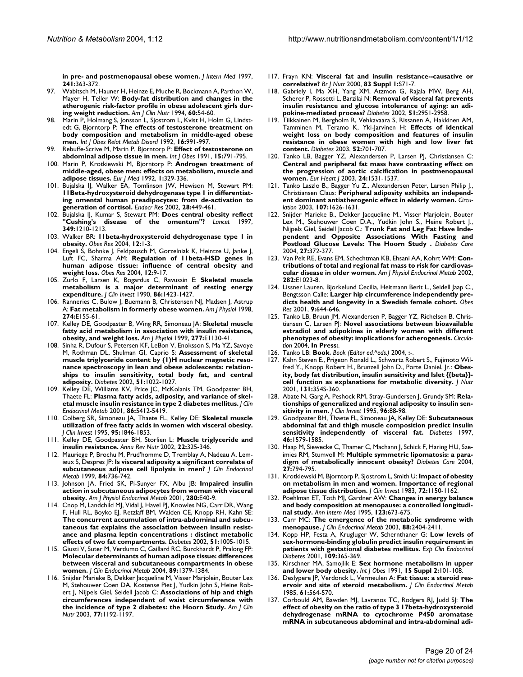**[in pre- and postmenopausal obese women.](http://www.ncbi.nlm.nih.gov/entrez/query.fcgi?cmd=Retrieve&db=PubMed&dopt=Abstract&list_uids=9183303)** *J Intern Med* 1997, **241:**363-372.

- 97. Wabitsch M, Hauner H, Heinze E, Muche R, Bockmann A, Parthon W, Mayer H, Teller W: **[Body-fat distribution and changes in the](http://www.ncbi.nlm.nih.gov/entrez/query.fcgi?cmd=Retrieve&db=PubMed&dopt=Abstract&list_uids=8017338) [atherogenic risk-factor profile in obese adolescent girls dur](http://www.ncbi.nlm.nih.gov/entrez/query.fcgi?cmd=Retrieve&db=PubMed&dopt=Abstract&list_uids=8017338)[ing weight reduction.](http://www.ncbi.nlm.nih.gov/entrez/query.fcgi?cmd=Retrieve&db=PubMed&dopt=Abstract&list_uids=8017338)** *Am J Clin Nutr* 1994, **60:**54-60.
- 98. Marin P, Holmang S, Jonsson L, Sjostrom L, Kvist H, Holm G, Lindstedt G, Bjorntorp P: **[The effects of testosterone treatment on](http://www.ncbi.nlm.nih.gov/entrez/query.fcgi?cmd=Retrieve&db=PubMed&dopt=Abstract&list_uids=1335979) [body composition and metabolism in middle-aged obese](http://www.ncbi.nlm.nih.gov/entrez/query.fcgi?cmd=Retrieve&db=PubMed&dopt=Abstract&list_uids=1335979) [men.](http://www.ncbi.nlm.nih.gov/entrez/query.fcgi?cmd=Retrieve&db=PubMed&dopt=Abstract&list_uids=1335979)** *Int J Obes Relat Metab Disord* 1992, **16:**991-997.
- 99. Rebuffe-Scrive M, Marin P, Bjorntorp P: **[Effect of testosterone on](http://www.ncbi.nlm.nih.gov/entrez/query.fcgi?cmd=Retrieve&db=PubMed&dopt=Abstract&list_uids=1778664) [abdominal adipose tissue in men.](http://www.ncbi.nlm.nih.gov/entrez/query.fcgi?cmd=Retrieve&db=PubMed&dopt=Abstract&list_uids=1778664)** *Int J Obes* 1991, **15:**791-795.
- 100. Marin P, Krotkiewski M, Bjorntorp P: **[Androgen treatment of](http://www.ncbi.nlm.nih.gov/entrez/query.fcgi?cmd=Retrieve&db=PubMed&dopt=Abstract&list_uids=1341460) [middle-aged, obese men: effects on metabolism, muscle and](http://www.ncbi.nlm.nih.gov/entrez/query.fcgi?cmd=Retrieve&db=PubMed&dopt=Abstract&list_uids=1341460) [adipose tissues.](http://www.ncbi.nlm.nih.gov/entrez/query.fcgi?cmd=Retrieve&db=PubMed&dopt=Abstract&list_uids=1341460)** *Eur J Med* 1992, **1:**329-336.
- 101. Bujalska IJ, Walker EA, Tomlinson JW, Hewison M, Stewart PM: **[11Beta-hydroxysteroid dehydrogenase type 1 in differentiat](http://www.ncbi.nlm.nih.gov/entrez/query.fcgi?cmd=Retrieve&db=PubMed&dopt=Abstract&list_uids=12530648)ing omental human preadipocytes: from de-activation to [generation of cortisol.](http://www.ncbi.nlm.nih.gov/entrez/query.fcgi?cmd=Retrieve&db=PubMed&dopt=Abstract&list_uids=12530648)** *Endocr Res* 2002, **28:**449-461.
- 102. Bujalska IJ, Kumar S, Stewart PM: **[Does central obesity reflect](http://www.ncbi.nlm.nih.gov/entrez/query.fcgi?cmd=Retrieve&db=PubMed&dopt=Abstract&list_uids=9130942) ["Cushing's disease of the omentum"?](http://www.ncbi.nlm.nih.gov/entrez/query.fcgi?cmd=Retrieve&db=PubMed&dopt=Abstract&list_uids=9130942)** *Lancet* 1997, **349:**1210-1213.
- 103. Walker BR: **[11beta-hydroxysteroid dehydrogenase type 1 in](http://www.ncbi.nlm.nih.gov/entrez/query.fcgi?cmd=Retrieve&db=PubMed&dopt=Abstract&list_uids=14742835) [obesity.](http://www.ncbi.nlm.nih.gov/entrez/query.fcgi?cmd=Retrieve&db=PubMed&dopt=Abstract&list_uids=14742835)** *Obes Res* 2004, **12:**1-3.
- 104. Engeli S, Bohnke J, Feldpausch M, Gorzelniak K, Heintze U, Janke J, Luft FC, Sharma AM: **[Regulation of 11beta-HSD genes in](http://www.ncbi.nlm.nih.gov/entrez/query.fcgi?cmd=Retrieve&db=PubMed&dopt=Abstract&list_uids=14742837) [human adipose tissue: influence of central obesity and](http://www.ncbi.nlm.nih.gov/entrez/query.fcgi?cmd=Retrieve&db=PubMed&dopt=Abstract&list_uids=14742837) [weight loss.](http://www.ncbi.nlm.nih.gov/entrez/query.fcgi?cmd=Retrieve&db=PubMed&dopt=Abstract&list_uids=14742837)** *Obes Res* 2004, **12:**9-17.
- 105. Zurlo F, Larsen K, Bogardus C, Ravussin E: **[Skeletal muscle](http://www.ncbi.nlm.nih.gov/entrez/query.fcgi?cmd=Retrieve&db=PubMed&dopt=Abstract&list_uids=2243122) [metabolism is a major determinant of resting energy](http://www.ncbi.nlm.nih.gov/entrez/query.fcgi?cmd=Retrieve&db=PubMed&dopt=Abstract&list_uids=2243122) [expenditure.](http://www.ncbi.nlm.nih.gov/entrez/query.fcgi?cmd=Retrieve&db=PubMed&dopt=Abstract&list_uids=2243122)** *J Clin Invest* 1990, **86:**1423-1427.
- 106. Ranneries C, Bulow J, Buemann B, Christensen NJ, Madsen J, Astrup A: **[Fat metabolism in formerly obese women.](http://www.ncbi.nlm.nih.gov/entrez/query.fcgi?cmd=Retrieve&db=PubMed&dopt=Abstract&list_uids=9458761)** *Am J Physiol* 1998, **274:**E155-61.
- 107. Kelley DE, Goodpaster B, Wing RR, Simoneau JA: **[Skeletal muscle](http://www.ncbi.nlm.nih.gov/entrez/query.fcgi?cmd=Retrieve&db=PubMed&dopt=Abstract&list_uids=10600804) [fatty acid metabolism in association with insulin resistance,](http://www.ncbi.nlm.nih.gov/entrez/query.fcgi?cmd=Retrieve&db=PubMed&dopt=Abstract&list_uids=10600804) [obesity, and weight loss.](http://www.ncbi.nlm.nih.gov/entrez/query.fcgi?cmd=Retrieve&db=PubMed&dopt=Abstract&list_uids=10600804)** *Am J Physiol* 1999, **277:**E1130-41.
- 108. Sinha R, Dufour S, Petersen KF, LeBon V, Enoksson S, Ma YZ, Savoye M, Rothman DL, Shulman GI, Caprio S: **[Assessment of skeletal](http://www.ncbi.nlm.nih.gov/entrez/query.fcgi?cmd=Retrieve&db=PubMed&dopt=Abstract&list_uids=11916921) [muscle triglyceride content by \(1\)H nuclear magnetic reso](http://www.ncbi.nlm.nih.gov/entrez/query.fcgi?cmd=Retrieve&db=PubMed&dopt=Abstract&list_uids=11916921)nance spectroscopy in lean and obese adolescents: relationships to insulin sensitivity, total body fat, and central [adiposity.](http://www.ncbi.nlm.nih.gov/entrez/query.fcgi?cmd=Retrieve&db=PubMed&dopt=Abstract&list_uids=11916921)** *Diabetes* 2002, **51:**1022-1027.
- 109. Kelley DE, Williams KV, Price JC, McKolanis TM, Goodpaster BH, Thaete FL: **[Plasma fatty acids, adiposity, and variance of skel](http://www.ncbi.nlm.nih.gov/entrez/query.fcgi?cmd=Retrieve&db=PubMed&dopt=Abstract&list_uids=11701715)[etal muscle insulin resistance in type 2 diabetes mellitus.](http://www.ncbi.nlm.nih.gov/entrez/query.fcgi?cmd=Retrieve&db=PubMed&dopt=Abstract&list_uids=11701715)** *J Clin Endocrinol Metab* 2001, **86:**5412-5419.
- 110. Colberg SR, Simoneau JA, Thaete FL, Kelley DE: **[Skeletal muscle](http://www.ncbi.nlm.nih.gov/entrez/query.fcgi?cmd=Retrieve&db=PubMed&dopt=Abstract&list_uids=7706491) [utilization of free fatty acids in women with visceral obesity.](http://www.ncbi.nlm.nih.gov/entrez/query.fcgi?cmd=Retrieve&db=PubMed&dopt=Abstract&list_uids=7706491)** *J Clin Invest* 1995, **95:**1846-1853.
- 111. Kelley DE, Goodpaster BH, Storlien L: **[Muscle triglyceride and](http://www.ncbi.nlm.nih.gov/entrez/query.fcgi?cmd=Retrieve&db=PubMed&dopt=Abstract&list_uids=12055349) [insulin resistance.](http://www.ncbi.nlm.nih.gov/entrez/query.fcgi?cmd=Retrieve&db=PubMed&dopt=Abstract&list_uids=12055349)** *Annu Rev Nutr* 2002, **22:**325-346.
- 112. Mauriege P, Brochu M, Prud'homme D, Tremblay A, Nadeau A, Lemieux S, Despres JP: **[Is visceral adiposity a significant correlate of](http://www.ncbi.nlm.nih.gov/entrez/query.fcgi?cmd=Retrieve&db=PubMed&dopt=Abstract&list_uids=10022446) [subcutaneous adipose cell lipolysis in men?](http://www.ncbi.nlm.nih.gov/entrez/query.fcgi?cmd=Retrieve&db=PubMed&dopt=Abstract&list_uids=10022446)** *J Clin Endocrinol Metab* 1999, **84:**736-742.
- 113. Johnson JA, Fried SK, Pi-Sunyer FX, Albu JB: **[Impaired insulin](http://www.ncbi.nlm.nih.gov/entrez/query.fcgi?cmd=Retrieve&db=PubMed&dopt=Abstract&list_uids=11120657) [action in subcutaneous adipocytes from women with visceral](http://www.ncbi.nlm.nih.gov/entrez/query.fcgi?cmd=Retrieve&db=PubMed&dopt=Abstract&list_uids=11120657) [obesity.](http://www.ncbi.nlm.nih.gov/entrez/query.fcgi?cmd=Retrieve&db=PubMed&dopt=Abstract&list_uids=11120657)** *Am J Physiol Endocrinol Metab* 2001, **280:**E40-9.
- 114. Cnop M, Landchild MJ, Vidal J, Havel PJ, Knowles NG, Carr DR, Wang F, Hull RL, Boyko EJ, Retzlaff BM, Walden CE, Knopp RH, Kahn SE: **[The concurrent accumulation of intra-abdominal and subcu](http://www.ncbi.nlm.nih.gov/entrez/query.fcgi?cmd=Retrieve&db=PubMed&dopt=Abstract&list_uids=11916919)taneous fat explains the association between insulin resistance and plasma leptin concentrations : distinct metabolic [effects of two fat compartments.](http://www.ncbi.nlm.nih.gov/entrez/query.fcgi?cmd=Retrieve&db=PubMed&dopt=Abstract&list_uids=11916919)** *Diabetes* 2002, **51:**1005-1015.
- 115. Giusti V, Suter M, Verdumo C, Gaillard RC, Burckhardt P, Pralong FP: **Molecular determinants of human adipose tissue: differences [between visceral and subcutaneous compartments in obese](http://www.ncbi.nlm.nih.gov/entrez/query.fcgi?cmd=Retrieve&db=PubMed&dopt=Abstract&list_uids=15001637) [women.](http://www.ncbi.nlm.nih.gov/entrez/query.fcgi?cmd=Retrieve&db=PubMed&dopt=Abstract&list_uids=15001637)** *J Clin Endocrinol Metab* 2004, **89:**1379-1384.
- 116. Snijder Marieke B, Dekker Jacqueline M, Visser Marjolein, Bouter Lex M, Stehouwer Coen DA, Kostense Piet J, Yudkin John S, Heine Robert J, Nijpels Giel, Seidell Jacob C: **[Associations of hip and thigh](http://www.ncbi.nlm.nih.gov/entrez/query.fcgi?cmd=Retrieve&db=PubMed&dopt=Abstract&list_uids=12716671) [circumferences independent of waist circumference with](http://www.ncbi.nlm.nih.gov/entrez/query.fcgi?cmd=Retrieve&db=PubMed&dopt=Abstract&list_uids=12716671) [the incidence of type 2 diabetes: the Hoorn Study.](http://www.ncbi.nlm.nih.gov/entrez/query.fcgi?cmd=Retrieve&db=PubMed&dopt=Abstract&list_uids=12716671)** *Am J Clin Nutr* 2003, **77:**1192-1197.
- 117. Frayn KN: **[Visceral fat and insulin resistance--causative or](http://www.ncbi.nlm.nih.gov/entrez/query.fcgi?cmd=Retrieve&db=PubMed&dopt=Abstract&list_uids=10889795) [correlative?](http://www.ncbi.nlm.nih.gov/entrez/query.fcgi?cmd=Retrieve&db=PubMed&dopt=Abstract&list_uids=10889795)** *Br J Nutr* 2000, **83 Suppl 1:**S71-7.
- 118. Gabriely I, Ma XH, Yang XM, Atzmon G, Rajala MW, Berg AH, Scherer P, Rossetti L, Barzilai N: **[Removal of visceral fat prevents](http://www.ncbi.nlm.nih.gov/entrez/query.fcgi?cmd=Retrieve&db=PubMed&dopt=Abstract&list_uids=12351432) [insulin resistance and glucose intolerance of aging: an adi](http://www.ncbi.nlm.nih.gov/entrez/query.fcgi?cmd=Retrieve&db=PubMed&dopt=Abstract&list_uids=12351432)[pokine-mediated process?](http://www.ncbi.nlm.nih.gov/entrez/query.fcgi?cmd=Retrieve&db=PubMed&dopt=Abstract&list_uids=12351432)** *Diabetes* 2002, **51:**2951-2958.
- 119. Tiikkainen M, Bergholm R, Vehkavaara S, Rissanen A, Hakkinen AM, Tamminen M, Teramo K, Yki-Jarvinen H: **[Effects of identical](http://www.ncbi.nlm.nih.gov/entrez/query.fcgi?cmd=Retrieve&db=PubMed&dopt=Abstract&list_uids=12606511) [weight loss on body composition and features of insulin](http://www.ncbi.nlm.nih.gov/entrez/query.fcgi?cmd=Retrieve&db=PubMed&dopt=Abstract&list_uids=12606511) resistance in obese women with high and low liver fat [content.](http://www.ncbi.nlm.nih.gov/entrez/query.fcgi?cmd=Retrieve&db=PubMed&dopt=Abstract&list_uids=12606511)** *Diabetes* 2003, **52:**701-707.
- 120. Tanko LB, Bagger YZ, Alexandersen P, Larsen PJ, Christiansen C: **[Central and peripheral fat mass have contrasting effect on](http://www.ncbi.nlm.nih.gov/entrez/query.fcgi?cmd=Retrieve&db=PubMed&dopt=Abstract&list_uids=12919778) the progression of aortic calcification in postmenopausal [women.](http://www.ncbi.nlm.nih.gov/entrez/query.fcgi?cmd=Retrieve&db=PubMed&dopt=Abstract&list_uids=12919778)** *Eur Heart J* 2003, **24:**1531-1537.
- 121. Tanko Laszlo B., Bagger Yu Z., Alexandersen Peter, Larsen Philip J., Christiansen Claus: **[Peripheral adiposity exhibits an independ](http://www.ncbi.nlm.nih.gov/entrez/query.fcgi?cmd=Retrieve&db=PubMed&dopt=Abstract&list_uids=12668497)[ent dominant antiatherogenic effect in elderly women.](http://www.ncbi.nlm.nih.gov/entrez/query.fcgi?cmd=Retrieve&db=PubMed&dopt=Abstract&list_uids=12668497)** *Circulation* 2003, **107:**1626-1631.
- 122. Snijder Marieke B., Dekker Jacqueline M., Visser Marjolein, Bouter Lex M., Stehouwer Coen D.A., Yudkin John S., Heine Robert J., Nijpels Giel, Seidell Jacob C.: **[Trunk Fat and Leg Fat Have Inde](http://www.ncbi.nlm.nih.gov/entrez/query.fcgi?cmd=Retrieve&db=PubMed&dopt=Abstract&list_uids=14747216)[pendent and Opposite Associations With Fasting and](http://www.ncbi.nlm.nih.gov/entrez/query.fcgi?cmd=Retrieve&db=PubMed&dopt=Abstract&list_uids=14747216) [Postload Glucose Levels: The Hoorn Study .](http://www.ncbi.nlm.nih.gov/entrez/query.fcgi?cmd=Retrieve&db=PubMed&dopt=Abstract&list_uids=14747216)** *Diabetes Care* 2004, **27:**372-377.
- 123. Van Pelt RE, Evans EM, Schechtman KB, Ehsani AA, Kohrt WM: **[Con](http://www.ncbi.nlm.nih.gov/entrez/query.fcgi?cmd=Retrieve&db=PubMed&dopt=Abstract&list_uids=11934666)[tributions of total and regional fat mass to risk for cardiovas](http://www.ncbi.nlm.nih.gov/entrez/query.fcgi?cmd=Retrieve&db=PubMed&dopt=Abstract&list_uids=11934666)[cular disease in older women.](http://www.ncbi.nlm.nih.gov/entrez/query.fcgi?cmd=Retrieve&db=PubMed&dopt=Abstract&list_uids=11934666)** *Am J Physiol Endocrinol Metab* 2002, **282:**E1023-8.
- 124. Lissner Lauren, Bjorkelund Cecilia, Heitmann Berit L., Seidell Jaap C., Bengtsson Calle: **[Larger hip circumference independently pre](http://www.ncbi.nlm.nih.gov/entrez/query.fcgi?cmd=Retrieve&db=PubMed&dopt=Abstract&list_uids=11595782)[dicts health and longevity in a Swedish female cohort.](http://www.ncbi.nlm.nih.gov/entrez/query.fcgi?cmd=Retrieve&db=PubMed&dopt=Abstract&list_uids=11595782)** *Obes Res* 2001, **9:**644-646.
- 125. Tanko LB, Bruun JM, Alexandersen P, Bagger YZ, Richelsen B, Christiansen C, Larsen PJ: **Novel associations between bioavailable estradiol and adipokines in elderly women with different phenotypes of obesity: implications for atherogenesis.** *Circulation* 2004, **In Press:**.
- 126. Tanko LB: **Book.** *Book (Editor ed.^eds.)* 2004, **:**-.
- 127. Kahn Steven E., Prigeon Ronald L., Schwartz Robert S., Fujimoto Wilfred Y., Knopp Robert H., Brunzell John D., Porte Daniel, Jr.: **[Obes](http://www.ncbi.nlm.nih.gov/entrez/query.fcgi?cmd=Retrieve&db=PubMed&dopt=Abstract&list_uids=11160560)[ity, body fat distribution, insulin sensitivity and Islet {{beta}}](http://www.ncbi.nlm.nih.gov/entrez/query.fcgi?cmd=Retrieve&db=PubMed&dopt=Abstract&list_uids=11160560) [cell function as explanations for metabolic diversity.](http://www.ncbi.nlm.nih.gov/entrez/query.fcgi?cmd=Retrieve&db=PubMed&dopt=Abstract&list_uids=11160560)** *J Nutr* 2001, **131:**354S-360.
- 128. Abate N, Garg A, Peshock RM, Stray-Gundersen J, Grundy SM: **[Rela](http://www.ncbi.nlm.nih.gov/entrez/query.fcgi?cmd=Retrieve&db=PubMed&dopt=Abstract&list_uids=7615840)[tionships of generalized and regional adiposity to insulin sen](http://www.ncbi.nlm.nih.gov/entrez/query.fcgi?cmd=Retrieve&db=PubMed&dopt=Abstract&list_uids=7615840)[sitivity in men.](http://www.ncbi.nlm.nih.gov/entrez/query.fcgi?cmd=Retrieve&db=PubMed&dopt=Abstract&list_uids=7615840)** *J Clin Invest* 1995, **96:**88-98.
- 129. Goodpaster BH, Thaete FL, Simoneau JA, Kelley DE: **[Subcutaneous](http://www.ncbi.nlm.nih.gov/entrez/query.fcgi?cmd=Retrieve&db=PubMed&dopt=Abstract&list_uids=9313753) [abdominal fat and thigh muscle composition predict insulin](http://www.ncbi.nlm.nih.gov/entrez/query.fcgi?cmd=Retrieve&db=PubMed&dopt=Abstract&list_uids=9313753) [sensitivity independently of visceral fat.](http://www.ncbi.nlm.nih.gov/entrez/query.fcgi?cmd=Retrieve&db=PubMed&dopt=Abstract&list_uids=9313753)** *Diabetes* 1997, **46:**1579-1585.
- 130. Haap M, Siewecke C, Thamer C, Machann J, Schick F, Haring HU, Szeimies RM, Stumvoll M: **[Multiple symmetric lipomatosis: a para](http://www.ncbi.nlm.nih.gov/entrez/query.fcgi?cmd=Retrieve&db=PubMed&dopt=Abstract&list_uids=14988304)[digm of metabolically innocent obesity?](http://www.ncbi.nlm.nih.gov/entrez/query.fcgi?cmd=Retrieve&db=PubMed&dopt=Abstract&list_uids=14988304)** *Diabetes Care* 2004, **27:**794-795.
- 131. Krotkiewski M, Bjorntorp P, Sjostrom L, Smith U: **[Impact of obesity](http://www.ncbi.nlm.nih.gov/entrez/query.fcgi?cmd=Retrieve&db=PubMed&dopt=Abstract&list_uids=6350364) [on metabolism in men and women. Importance of regional](http://www.ncbi.nlm.nih.gov/entrez/query.fcgi?cmd=Retrieve&db=PubMed&dopt=Abstract&list_uids=6350364) [adipose tissue distribution.](http://www.ncbi.nlm.nih.gov/entrez/query.fcgi?cmd=Retrieve&db=PubMed&dopt=Abstract&list_uids=6350364)** *J Clin Invest* 1983, **72:**1150-1162.
- 132. Poehlman ET, Toth MJ, Gardner AW: **[Changes in energy balance](http://www.ncbi.nlm.nih.gov/entrez/query.fcgi?cmd=Retrieve&db=PubMed&dopt=Abstract&list_uids=7574222) [and body composition at menopause: a controlled longitudi](http://www.ncbi.nlm.nih.gov/entrez/query.fcgi?cmd=Retrieve&db=PubMed&dopt=Abstract&list_uids=7574222)[nal study.](http://www.ncbi.nlm.nih.gov/entrez/query.fcgi?cmd=Retrieve&db=PubMed&dopt=Abstract&list_uids=7574222)** *Ann Intern Med* 1995, **123:**673-675.
- 133. Carr MC: **[The emergence of the metabolic syndrome with](http://www.ncbi.nlm.nih.gov/entrez/query.fcgi?cmd=Retrieve&db=PubMed&dopt=Abstract&list_uids=12788835) [menopause.](http://www.ncbi.nlm.nih.gov/entrez/query.fcgi?cmd=Retrieve&db=PubMed&dopt=Abstract&list_uids=12788835)** *J Clin Endocrinol Metab* 2003, **88:**2404-2411.
- 134. Kopp HP, Festa A, Krugluger W, Schernthaner G: **[Low levels of](http://www.ncbi.nlm.nih.gov/entrez/query.fcgi?cmd=Retrieve&db=PubMed&dopt=Abstract&list_uids=11573147) [sex-hormone-binding globulin predict insulin requirement in](http://www.ncbi.nlm.nih.gov/entrez/query.fcgi?cmd=Retrieve&db=PubMed&dopt=Abstract&list_uids=11573147) [patients with gestational diabetes mellitus.](http://www.ncbi.nlm.nih.gov/entrez/query.fcgi?cmd=Retrieve&db=PubMed&dopt=Abstract&list_uids=11573147)** *Exp Clin Endocrinol Diabetes* 2001, **109:**365-369.
- 135. Kirschner MA, Samojlik E: **[Sex hormone metabolism in upper](http://www.ncbi.nlm.nih.gov/entrez/query.fcgi?cmd=Retrieve&db=PubMed&dopt=Abstract&list_uids=1794930) [and lower body obesity.](http://www.ncbi.nlm.nih.gov/entrez/query.fcgi?cmd=Retrieve&db=PubMed&dopt=Abstract&list_uids=1794930)** *Int J Obes* 1991, **15 Suppl 2:**101-108.
- 136. Deslypere JP, Verdonck L, Vermeulen A: **[Fat tissue: a steroid res](http://www.ncbi.nlm.nih.gov/entrez/query.fcgi?cmd=Retrieve&db=PubMed&dopt=Abstract&list_uids=3160722)[ervoir and site of steroid metabolism.](http://www.ncbi.nlm.nih.gov/entrez/query.fcgi?cmd=Retrieve&db=PubMed&dopt=Abstract&list_uids=3160722)** *J Clin Endocrinol Metab* 1985, **61:**564-570.
- 137. Corbould AM, Bawden MJ, Lavranos TC, Rodgers RJ, Judd SJ: **[The](http://www.ncbi.nlm.nih.gov/entrez/query.fcgi?cmd=Retrieve&db=PubMed&dopt=Abstract&list_uids=11850747) [effect of obesity on the ratio of type 3 17beta-hydroxysteroid](http://www.ncbi.nlm.nih.gov/entrez/query.fcgi?cmd=Retrieve&db=PubMed&dopt=Abstract&list_uids=11850747) dehydrogenase mRNA to cytochrome P450 aromatase [mRNA in subcutaneous abdominal and intra-abdominal adi](http://www.ncbi.nlm.nih.gov/entrez/query.fcgi?cmd=Retrieve&db=PubMed&dopt=Abstract&list_uids=11850747)-**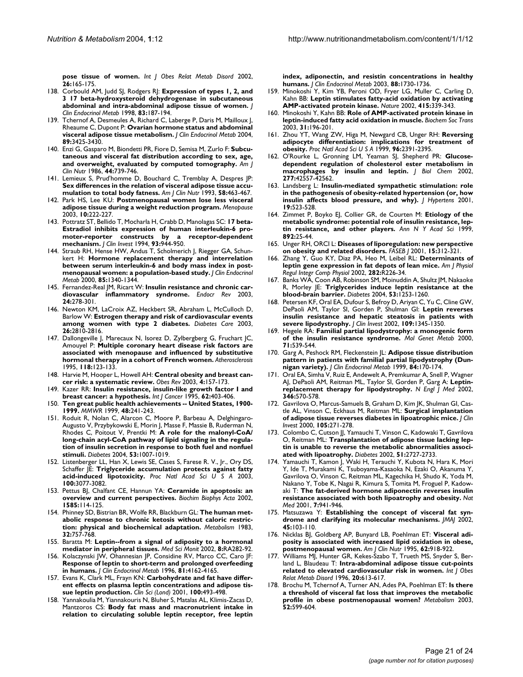**[pose tissue of women.](http://www.ncbi.nlm.nih.gov/entrez/query.fcgi?cmd=Retrieve&db=PubMed&dopt=Abstract&list_uids=11850747)** *Int J Obes Relat Metab Disord* 2002, **26:**165-175.

- 138. Corbould AM, Judd SJ, Rodgers RJ: **[Expression of types 1, 2, and](http://www.ncbi.nlm.nih.gov/entrez/query.fcgi?cmd=Retrieve&db=PubMed&dopt=Abstract&list_uids=9435439) [3 17 beta-hydroxysteroid dehydrogenase in subcutaneous](http://www.ncbi.nlm.nih.gov/entrez/query.fcgi?cmd=Retrieve&db=PubMed&dopt=Abstract&list_uids=9435439) [abdominal and intra-abdominal adipose tissue of women.](http://www.ncbi.nlm.nih.gov/entrez/query.fcgi?cmd=Retrieve&db=PubMed&dopt=Abstract&list_uids=9435439)** *J Clin Endocrinol Metab* 1998, **83:**187-194.
- 139. Tchernof A, Desmeules A, Richard C, Laberge P, Daris M, Mailloux J, Rheaume C, Dupont P: **[Ovarian hormone status and abdominal](http://www.ncbi.nlm.nih.gov/entrez/query.fcgi?cmd=Retrieve&db=PubMed&dopt=Abstract&list_uids=15240626) [visceral adipose tissue metabolism.](http://www.ncbi.nlm.nih.gov/entrez/query.fcgi?cmd=Retrieve&db=PubMed&dopt=Abstract&list_uids=15240626)** *J Clin Endocrinol Metab* 2004, **89:**3425-3430.
- 140. Enzi G, Gasparo M, Biondetti PR, Fiore D, Semisa M, Zurlo F: **[Subcu](http://www.ncbi.nlm.nih.gov/entrez/query.fcgi?cmd=Retrieve&db=PubMed&dopt=Abstract&list_uids=3788827)[taneous and visceral fat distribution according to sex, age,](http://www.ncbi.nlm.nih.gov/entrez/query.fcgi?cmd=Retrieve&db=PubMed&dopt=Abstract&list_uids=3788827) [and overweight, evaluated by computed tomography.](http://www.ncbi.nlm.nih.gov/entrez/query.fcgi?cmd=Retrieve&db=PubMed&dopt=Abstract&list_uids=3788827)** *Am J Clin Nutr* 1986, **44:**739-746.
- 141. Lemieux S, Prud'homme D, Bouchard C, Tremblay A, Despres JP: **[Sex differences in the relation of visceral adipose tissue accu](http://www.ncbi.nlm.nih.gov/entrez/query.fcgi?cmd=Retrieve&db=PubMed&dopt=Abstract&list_uids=8379501)[mulation to total body fatness.](http://www.ncbi.nlm.nih.gov/entrez/query.fcgi?cmd=Retrieve&db=PubMed&dopt=Abstract&list_uids=8379501)** *Am J Clin Nutr* 1993, **58:**463-467.
- 142. Park HS, Lee KU: **[Postmenopausal women lose less visceral](http://www.ncbi.nlm.nih.gov/entrez/query.fcgi?cmd=Retrieve&db=PubMed&dopt=Abstract&list_uids=12792294) [adipose tissue during a weight reduction program.](http://www.ncbi.nlm.nih.gov/entrez/query.fcgi?cmd=Retrieve&db=PubMed&dopt=Abstract&list_uids=12792294)** *Menopause* 2003, **10:**222-227.
- 143. Pottratz ST, Bellido T, Mocharla H, Crabb D, Manolagas SC: **[17 beta-](http://www.ncbi.nlm.nih.gov/entrez/query.fcgi?cmd=Retrieve&db=PubMed&dopt=Abstract&list_uids=8132780)[Estradiol inhibits expression of human interleukin-6 pro](http://www.ncbi.nlm.nih.gov/entrez/query.fcgi?cmd=Retrieve&db=PubMed&dopt=Abstract&list_uids=8132780)moter-reporter constructs by a receptor-dependent [mechanism.](http://www.ncbi.nlm.nih.gov/entrez/query.fcgi?cmd=Retrieve&db=PubMed&dopt=Abstract&list_uids=8132780)** *J Clin Invest* 1994, **93:**944-950.
- 144. Straub RH, Hense HW, Andus T, Scholmerich J, Riegger GA, Schunkert H: **[Hormone replacement therapy and interrelation](http://www.ncbi.nlm.nih.gov/entrez/query.fcgi?cmd=Retrieve&db=PubMed&dopt=Abstract&list_uids=10720088) [between serum interleukin-6 and body mass index in post](http://www.ncbi.nlm.nih.gov/entrez/query.fcgi?cmd=Retrieve&db=PubMed&dopt=Abstract&list_uids=10720088)[menopausal women: a population-based study.](http://www.ncbi.nlm.nih.gov/entrez/query.fcgi?cmd=Retrieve&db=PubMed&dopt=Abstract&list_uids=10720088)** *J Clin Endocrinol Metab* 2000, **85:**1340-1344.
- 145. Fernandez-Real JM, Ricart W: **[Insulin resistance and chronic car](http://www.ncbi.nlm.nih.gov/entrez/query.fcgi?cmd=Retrieve&db=PubMed&dopt=Abstract&list_uids=12788800)[diovascular inflammatory syndrome.](http://www.ncbi.nlm.nih.gov/entrez/query.fcgi?cmd=Retrieve&db=PubMed&dopt=Abstract&list_uids=12788800)** *Endocr Rev* 2003, **24:**278-301.
- 146. Newton KM, LaCroix AZ, Heckbert SR, Abraham L, McCulloch D, Barlow W: **[Estrogen therapy and risk of cardiovascular events](http://www.ncbi.nlm.nih.gov/entrez/query.fcgi?cmd=Retrieve&db=PubMed&dopt=Abstract&list_uids=14514584) [among women with type 2 diabetes.](http://www.ncbi.nlm.nih.gov/entrez/query.fcgi?cmd=Retrieve&db=PubMed&dopt=Abstract&list_uids=14514584)** *Diabetes Care* 2003, **26:**2810-2816.
- 147. Dallongeville J, Marecaux N, Isorez D, Zylbergberg G, Fruchart JC, Amouyel P: **[Multiple coronary heart disease risk factors are](http://www.ncbi.nlm.nih.gov/entrez/query.fcgi?cmd=Retrieve&db=PubMed&dopt=Abstract&list_uids=8579622) [associated with menopause and influenced by substitutive](http://www.ncbi.nlm.nih.gov/entrez/query.fcgi?cmd=Retrieve&db=PubMed&dopt=Abstract&list_uids=8579622) [hormonal therapy in a cohort of French women.](http://www.ncbi.nlm.nih.gov/entrez/query.fcgi?cmd=Retrieve&db=PubMed&dopt=Abstract&list_uids=8579622)** *Atherosclerosis* 1995, **118:**123-133.
- 148. Harvie M, Hooper L, Howell AH: **[Central obesity and breast can](http://www.ncbi.nlm.nih.gov/entrez/query.fcgi?cmd=Retrieve&db=PubMed&dopt=Abstract&list_uids=12916817)[cer risk: a systematic review.](http://www.ncbi.nlm.nih.gov/entrez/query.fcgi?cmd=Retrieve&db=PubMed&dopt=Abstract&list_uids=12916817)** *Obes Rev* 2003, **4:**157-173.
- 149. Kazer RR: **[Insulin resistance, insulin-like growth factor I and](http://www.ncbi.nlm.nih.gov/entrez/query.fcgi?cmd=Retrieve&db=PubMed&dopt=Abstract&list_uids=7543456) [breast cancer: a hypothesis.](http://www.ncbi.nlm.nih.gov/entrez/query.fcgi?cmd=Retrieve&db=PubMed&dopt=Abstract&list_uids=7543456)** *Int J Cancer* 1995, **62:**403-406.
- 150. **Ten great public health achievements -- United States, 1900- 1999.** *MMWR* 1999, **48:**241-243.
- 151. Roduit R, Nolan C, Alarcon C, Moore P, Barbeau A, Delghingaro-Augusto V, Przybykowski E, Morin J, Masse F, Massie B, Ruderman N, Rhodes C, Poitout V, Prentki M: **[A role for the malonyl-CoA/](http://www.ncbi.nlm.nih.gov/entrez/query.fcgi?cmd=Retrieve&db=PubMed&dopt=Abstract&list_uids=15047616) [long-chain acyl-CoA pathway of lipid signaling in the regula](http://www.ncbi.nlm.nih.gov/entrez/query.fcgi?cmd=Retrieve&db=PubMed&dopt=Abstract&list_uids=15047616)tion of insulin secretion in response to both fuel and nonfuel [stimuli.](http://www.ncbi.nlm.nih.gov/entrez/query.fcgi?cmd=Retrieve&db=PubMed&dopt=Abstract&list_uids=15047616)** *Diabetes* 2004, **53:**1007-1019.
- 152. Listenberger LL, Han X, Lewis SE, Cases S, Farese R. V., Jr., Ory DS, Schaffer JE: **[Triglyceride accumulation protects against fatty](http://www.ncbi.nlm.nih.gov/entrez/query.fcgi?cmd=Retrieve&db=PubMed&dopt=Abstract&list_uids=12629214) [acid-induced lipotoxicity.](http://www.ncbi.nlm.nih.gov/entrez/query.fcgi?cmd=Retrieve&db=PubMed&dopt=Abstract&list_uids=12629214)** *Proc Natl Acad Sci U S A* 2003, **100:**3077-3082.
- 153. Pettus BJ, Chalfant CE, Hannun YA: **[Ceramide in apoptosis: an](http://www.ncbi.nlm.nih.gov/entrez/query.fcgi?cmd=Retrieve&db=PubMed&dopt=Abstract&list_uids=12531544) [overview and current perspectives.](http://www.ncbi.nlm.nih.gov/entrez/query.fcgi?cmd=Retrieve&db=PubMed&dopt=Abstract&list_uids=12531544)** *Biochim Biophys Acta* 2002, **1585:**114-125.
- 154. Phinney SD, Bistrian BR, Wolfe RR, Blackburn GL: **[The human met](http://www.ncbi.nlm.nih.gov/entrez/query.fcgi?cmd=Retrieve&db=PubMed&dopt=Abstract&list_uids=6865775)[abolic response to chronic ketosis without caloric restric](http://www.ncbi.nlm.nih.gov/entrez/query.fcgi?cmd=Retrieve&db=PubMed&dopt=Abstract&list_uids=6865775)[tion: physical and biochemical adaptation.](http://www.ncbi.nlm.nih.gov/entrez/query.fcgi?cmd=Retrieve&db=PubMed&dopt=Abstract&list_uids=6865775)** *Metabolism* 1983, **32:**757-768.
- 155. Baratta M: **[Leptin--from a signal of adiposity to a hormonal](http://www.ncbi.nlm.nih.gov/entrez/query.fcgi?cmd=Retrieve&db=PubMed&dopt=Abstract&list_uids=12503048) [mediator in peripheral tissues.](http://www.ncbi.nlm.nih.gov/entrez/query.fcgi?cmd=Retrieve&db=PubMed&dopt=Abstract&list_uids=12503048)** *Med Sci Monit* 2002, **8:**RA282-92.
- 156. Kolaczynski JW, Ohannesian JP, Considine RV, Marco CC, Caro JF: **[Response of leptin to short-term and prolonged overfeeding](http://www.ncbi.nlm.nih.gov/entrez/query.fcgi?cmd=Retrieve&db=PubMed&dopt=Abstract&list_uids=8923877) [in humans.](http://www.ncbi.nlm.nih.gov/entrez/query.fcgi?cmd=Retrieve&db=PubMed&dopt=Abstract&list_uids=8923877)** *J Clin Endocrinol Metab* 1996, **81:**4162-4165.
- 157. Evans K, Clark ML, Frayn KN: **[Carbohydrate and fat have differ](http://www.ncbi.nlm.nih.gov/entrez/query.fcgi?cmd=Retrieve&db=PubMed&dopt=Abstract&list_uids=11294689)[ent effects on plasma leptin concentrations and adipose tis](http://www.ncbi.nlm.nih.gov/entrez/query.fcgi?cmd=Retrieve&db=PubMed&dopt=Abstract&list_uids=11294689)[sue leptin production.](http://www.ncbi.nlm.nih.gov/entrez/query.fcgi?cmd=Retrieve&db=PubMed&dopt=Abstract&list_uids=11294689)** *Clin Sci (Lond)* 2001, **100:**493-498.
- 158. Yannakoulia M, Yiannakouris N, Bluher S, Matalas AL, Klimis-Zacas D, Mantzoros CS: **[Body fat mass and macronutrient intake in](http://www.ncbi.nlm.nih.gov/entrez/query.fcgi?cmd=Retrieve&db=PubMed&dopt=Abstract&list_uids=12679465) [relation to circulating soluble leptin receptor, free leptin](http://www.ncbi.nlm.nih.gov/entrez/query.fcgi?cmd=Retrieve&db=PubMed&dopt=Abstract&list_uids=12679465)**

**[index, adiponectin, and resistin concentrations in healthy](http://www.ncbi.nlm.nih.gov/entrez/query.fcgi?cmd=Retrieve&db=PubMed&dopt=Abstract&list_uids=12679465) [humans.](http://www.ncbi.nlm.nih.gov/entrez/query.fcgi?cmd=Retrieve&db=PubMed&dopt=Abstract&list_uids=12679465)** *J Clin Endocrinol Metab* 2003, **88:**1730-1736.

- 159. Minokoshi Y, Kim YB, Peroni OD, Fryer LG, Muller C, Carling D, Kahn BB: **[Leptin stimulates fatty-acid oxidation by activating](http://www.ncbi.nlm.nih.gov/entrez/query.fcgi?cmd=Retrieve&db=PubMed&dopt=Abstract&list_uids=11797013) [AMP-activated protein kinase.](http://www.ncbi.nlm.nih.gov/entrez/query.fcgi?cmd=Retrieve&db=PubMed&dopt=Abstract&list_uids=11797013)** *Nature* 2002, **415:**339-343.
- 160. Minokoshi Y, Kahn BB: **[Role of AMP-activated protein kinase in](http://www.ncbi.nlm.nih.gov/entrez/query.fcgi?cmd=Retrieve&db=PubMed&dopt=Abstract&list_uids=12546684) [leptin-induced fatty acid oxidation in muscle.](http://www.ncbi.nlm.nih.gov/entrez/query.fcgi?cmd=Retrieve&db=PubMed&dopt=Abstract&list_uids=12546684)** *Biochem Soc Trans* 2003, **31:**196-201.
- 161. Zhou YT, Wang ZW, Higa M, Newgard CB, Unger RH: **[Reversing](http://www.ncbi.nlm.nih.gov/entrez/query.fcgi?cmd=Retrieve&db=PubMed&dopt=Abstract&list_uids=10051652) [adipocyte differentiation: implications for treatment of](http://www.ncbi.nlm.nih.gov/entrez/query.fcgi?cmd=Retrieve&db=PubMed&dopt=Abstract&list_uids=10051652) [obesity.](http://www.ncbi.nlm.nih.gov/entrez/query.fcgi?cmd=Retrieve&db=PubMed&dopt=Abstract&list_uids=10051652)** *Proc Natl Acad Sci U S A* 1999, **96:**2391-2395.
- 162. O'Rourke L, Gronning LM, Yeaman SJ, Shepherd PR: **[Glucose](http://www.ncbi.nlm.nih.gov/entrez/query.fcgi?cmd=Retrieve&db=PubMed&dopt=Abstract&list_uids=12200416)[dependent regulation of cholesterol ester metabolism in](http://www.ncbi.nlm.nih.gov/entrez/query.fcgi?cmd=Retrieve&db=PubMed&dopt=Abstract&list_uids=12200416) [macrophages by insulin and leptin.](http://www.ncbi.nlm.nih.gov/entrez/query.fcgi?cmd=Retrieve&db=PubMed&dopt=Abstract&list_uids=12200416)** *J Biol Chem* 2002, **277:**42557-42562.
- 163. Landsberg L: **[Insulin-mediated sympathetic stimulation: role](http://www.ncbi.nlm.nih.gov/entrez/query.fcgi?cmd=Retrieve&db=PubMed&dopt=Abstract&list_uids=11327624) [in the pathogenesis of obesity-related hypertension \(or, how](http://www.ncbi.nlm.nih.gov/entrez/query.fcgi?cmd=Retrieve&db=PubMed&dopt=Abstract&list_uids=11327624) [insulin affects blood pressure, and why\).](http://www.ncbi.nlm.nih.gov/entrez/query.fcgi?cmd=Retrieve&db=PubMed&dopt=Abstract&list_uids=11327624)** *J Hypertens* 2001, **19:**523-528.
- 164. Zimmet P, Boyko EJ, Collier GR, de Courten M: **[Etiology of the](http://www.ncbi.nlm.nih.gov/entrez/query.fcgi?cmd=Retrieve&db=PubMed&dopt=Abstract&list_uids=10842650) [metabolic syndrome: potential role of insulin resistance, lep](http://www.ncbi.nlm.nih.gov/entrez/query.fcgi?cmd=Retrieve&db=PubMed&dopt=Abstract&list_uids=10842650)[tin resistance, and other players.](http://www.ncbi.nlm.nih.gov/entrez/query.fcgi?cmd=Retrieve&db=PubMed&dopt=Abstract&list_uids=10842650)** *Ann N Y Acad Sci* 1999, **892:**25-44.
- 165. Unger RH, ORCI L: **[Diseases of liporegulation: new perspective](http://www.ncbi.nlm.nih.gov/entrez/query.fcgi?cmd=Retrieve&db=PubMed&dopt=Abstract&list_uids=11156947) [on obesity and related disorders.](http://www.ncbi.nlm.nih.gov/entrez/query.fcgi?cmd=Retrieve&db=PubMed&dopt=Abstract&list_uids=11156947)** *FASEB J* 2001, **15:**312-321.
- 166. Zhang Y, Guo KY, Diaz PA, Heo M, Leibel RL: **[Determinants of](http://www.ncbi.nlm.nih.gov/entrez/query.fcgi?cmd=Retrieve&db=PubMed&dopt=Abstract&list_uids=11742842) [leptin gene expression in fat depots of lean mice.](http://www.ncbi.nlm.nih.gov/entrez/query.fcgi?cmd=Retrieve&db=PubMed&dopt=Abstract&list_uids=11742842)** *Am J Physiol Regul Integr Comp Physiol* 2002, **282:**R226-34.
- 167. Banks WA, Coon AB, Robinson SM, Moinuddin A, Shultz JM, Nakaoke R, Morley JE: **[Triglycerides induce leptin resistance at the](http://www.ncbi.nlm.nih.gov/entrez/query.fcgi?cmd=Retrieve&db=PubMed&dopt=Abstract&list_uids=15111494) [blood-brain barrier.](http://www.ncbi.nlm.nih.gov/entrez/query.fcgi?cmd=Retrieve&db=PubMed&dopt=Abstract&list_uids=15111494)** *Diabetes* 2004, **53:**1253-1260.
- 168. Petersen KF, Oral EA, Dufour S, Befroy D, Ariyan C, Yu C, Cline GW, DePaoli AM, Taylor SI, Gorden P, Shulman GI: **[Leptin reverses](http://www.ncbi.nlm.nih.gov/entrez/query.fcgi?cmd=Retrieve&db=PubMed&dopt=Abstract&list_uids=12021250) [insulin resistance and hepatic steatosis in patients with](http://www.ncbi.nlm.nih.gov/entrez/query.fcgi?cmd=Retrieve&db=PubMed&dopt=Abstract&list_uids=12021250) [severe lipodystrophy.](http://www.ncbi.nlm.nih.gov/entrez/query.fcgi?cmd=Retrieve&db=PubMed&dopt=Abstract&list_uids=12021250)** *J Clin Invest* 2002, **109:**1345-1350.
- 169. Hegele RA: **[Familial partial lipodystrophy: a monogenic form](http://www.ncbi.nlm.nih.gov/entrez/query.fcgi?cmd=Retrieve&db=PubMed&dopt=Abstract&list_uids=11136544) [of the insulin resistance syndrome.](http://www.ncbi.nlm.nih.gov/entrez/query.fcgi?cmd=Retrieve&db=PubMed&dopt=Abstract&list_uids=11136544)** *Mol Genet Metab* 2000, **71:**539-544.
- 170. Garg A, Peshock RM, Fleckenstein JL: **[Adipose tissue distribution](http://www.ncbi.nlm.nih.gov/entrez/query.fcgi?cmd=Retrieve&db=PubMed&dopt=Abstract&list_uids=9920078) [pattern in patients with familial partial lipodystrophy \(Dun](http://www.ncbi.nlm.nih.gov/entrez/query.fcgi?cmd=Retrieve&db=PubMed&dopt=Abstract&list_uids=9920078)[nigan variety\).](http://www.ncbi.nlm.nih.gov/entrez/query.fcgi?cmd=Retrieve&db=PubMed&dopt=Abstract&list_uids=9920078)** *J Clin Endocrinol Metab* 1999, **84:**170-174.
- 171. Oral EA, Simha V, Ruiz E, Andewelt A, Premkumar A, Snell P, Wagner AJ, DePaoli AM, Reitman ML, Taylor SI, Gorden P, Garg A: **[Leptin](http://www.ncbi.nlm.nih.gov/entrez/query.fcgi?cmd=Retrieve&db=PubMed&dopt=Abstract&list_uids=11856796)[replacement therapy for lipodystrophy.](http://www.ncbi.nlm.nih.gov/entrez/query.fcgi?cmd=Retrieve&db=PubMed&dopt=Abstract&list_uids=11856796)** *N Engl J Med* 2002, **346:**570-578.
- 172. Gavrilova O, Marcus-Samuels B, Graham D, Kim JK, Shulman GI, Castle AL, Vinson C, Eckhaus M, Reitman ML: **[Surgical implantation](http://www.ncbi.nlm.nih.gov/entrez/query.fcgi?cmd=Retrieve&db=PubMed&dopt=Abstract&list_uids=10675352) [of adipose tissue reverses diabetes in lipoatrophic mice.](http://www.ncbi.nlm.nih.gov/entrez/query.fcgi?cmd=Retrieve&db=PubMed&dopt=Abstract&list_uids=10675352)** *J Clin Invest* 2000, **105:**271-278.
- 173. Colombo C, Cutson JJ, Yamauchi T, Vinson C, Kadowaki T, Gavrilova O, Reitman ML: **[Transplantation of adipose tissue lacking lep](http://www.ncbi.nlm.nih.gov/entrez/query.fcgi?cmd=Retrieve&db=PubMed&dopt=Abstract&list_uids=12196465)[tin is unable to reverse the metabolic abnormalities associ](http://www.ncbi.nlm.nih.gov/entrez/query.fcgi?cmd=Retrieve&db=PubMed&dopt=Abstract&list_uids=12196465)[ated with lipoatrophy.](http://www.ncbi.nlm.nih.gov/entrez/query.fcgi?cmd=Retrieve&db=PubMed&dopt=Abstract&list_uids=12196465)** *Diabetes* 2002, **51:**2727-2733.
- 174. Yamauchi T, Kamon J, Waki H, Terauchi Y, Kubota N, Hara K, Mori Y, Ide T, Murakami K, Tsuboyama-Kasaoka N, Ezaki O, Akanuma Y, Gavrilova O, Vinson C, Reitman ML, Kagechika H, Shudo K, Yoda M, Nakano Y, Tobe K, Nagai R, Kimura S, Tomita M, Froguel P, Kadowaki T: **[The fat-derived hormone adiponectin reverses insulin](http://www.ncbi.nlm.nih.gov/entrez/query.fcgi?cmd=Retrieve&db=PubMed&dopt=Abstract&list_uids=11479627) [resistance associated with both lipoatrophy and obesity.](http://www.ncbi.nlm.nih.gov/entrez/query.fcgi?cmd=Retrieve&db=PubMed&dopt=Abstract&list_uids=11479627)** *Nat Med* 2001, **7:**941-946.
- 175. Matsuzawa Y: **Establishing the concept of visceral fat syndrome and clarifying its molecular mechanisms.** *JMAJ* 2002, **45:**103-110.
- 176. Nicklas BJ, Goldberg AP, Bunyard LB, Poehlman ET: **[Visceral adi](http://www.ncbi.nlm.nih.gov/entrez/query.fcgi?cmd=Retrieve&db=PubMed&dopt=Abstract&list_uids=7572736)[posity is associated with increased lipid oxidation in obese,](http://www.ncbi.nlm.nih.gov/entrez/query.fcgi?cmd=Retrieve&db=PubMed&dopt=Abstract&list_uids=7572736) [postmenopausal women.](http://www.ncbi.nlm.nih.gov/entrez/query.fcgi?cmd=Retrieve&db=PubMed&dopt=Abstract&list_uids=7572736)** *Am J Clin Nutr* 1995, **62:**918-922.
- 177. Williams MJ, Hunter GR, Kekes-Szabo T, Trueth MS, Snyder S, Berland L, Blaudeau T: **[Intra-abdominal adipose tissue cut-points](http://www.ncbi.nlm.nih.gov/entrez/query.fcgi?cmd=Retrieve&db=PubMed&dopt=Abstract&list_uids=8817354) [related to elevated cardiovascular risk in women.](http://www.ncbi.nlm.nih.gov/entrez/query.fcgi?cmd=Retrieve&db=PubMed&dopt=Abstract&list_uids=8817354)** *Int J Obes Relat Metab Disord* 1996, **20:**613-617.
- 178. Brochu M, Tchernof A, Turner AN, Ades PA, Poehlman ET: **[Is there](http://www.ncbi.nlm.nih.gov/entrez/query.fcgi?cmd=Retrieve&db=PubMed&dopt=Abstract&list_uids=12759890) [a threshold of visceral fat loss that improves the metabolic](http://www.ncbi.nlm.nih.gov/entrez/query.fcgi?cmd=Retrieve&db=PubMed&dopt=Abstract&list_uids=12759890) [profile in obese postmenopausal women?](http://www.ncbi.nlm.nih.gov/entrez/query.fcgi?cmd=Retrieve&db=PubMed&dopt=Abstract&list_uids=12759890)** *Metabolism* 2003, **52:**599-604.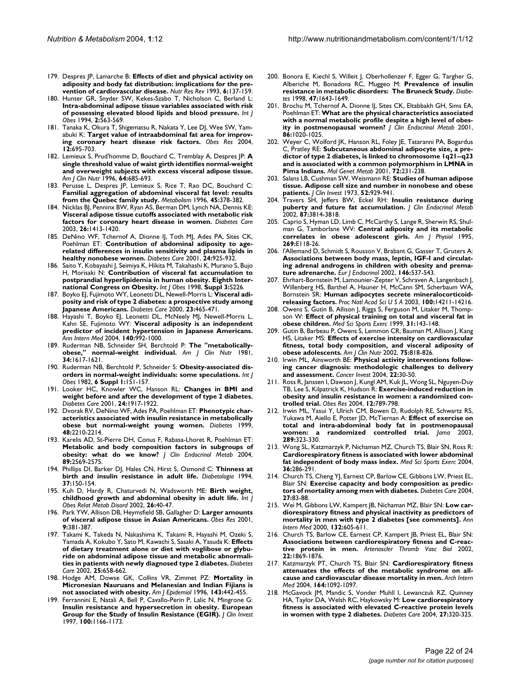- 179. Despres JP, Lamarche B: **Effects of diet and physical activity on adiposity and body fat distribution: implications for the prevention of cardiovascular disease.** *Nutr Res Rev* 1993, **6:**137-159.
- 180. Hunter GR, Snyder SW, Kekes-Szabo T, Nicholson C, Berland L: **Intra-abdominal adipose tissue variables associated with risk of possessing elevated blood lipids and blood pressure.** *Int J Obes* 1994, **2:**563-569.
- 181. Tanaka K, Okura T, Shigematsu R, Nakata Y, Lee DJ, Wee SW, Yamabuki K: **[Target value of intraabdominal fat area for improv](http://www.ncbi.nlm.nih.gov/entrez/query.fcgi?cmd=Retrieve&db=PubMed&dopt=Abstract&list_uids=15090639)[ing coronary heart disease risk factors.](http://www.ncbi.nlm.nih.gov/entrez/query.fcgi?cmd=Retrieve&db=PubMed&dopt=Abstract&list_uids=15090639)** *Obes Res* 2004, **12:**695-703.
- 182. Lemieux S, Prud'homme D, Bouchard C, Tremblay A, Despres JP: **[A](http://www.ncbi.nlm.nih.gov/entrez/query.fcgi?cmd=Retrieve&db=PubMed&dopt=Abstract&list_uids=8901786) [single threshold value of waist girth identifies normal-weight](http://www.ncbi.nlm.nih.gov/entrez/query.fcgi?cmd=Retrieve&db=PubMed&dopt=Abstract&list_uids=8901786) and overweight subjects with excess visceral adipose tissue.** *Am J Clin Nutr* 1996, **64:**685-693.
- 183. Perusse L, Despres JP, Lemieux S, Rice T, Rao DC, Bouchard C: **[Familial aggregation of abdominal visceral fat level: results](http://www.ncbi.nlm.nih.gov/entrez/query.fcgi?cmd=Retrieve&db=PubMed&dopt=Abstract&list_uids=8606647) [from the Quebec family study.](http://www.ncbi.nlm.nih.gov/entrez/query.fcgi?cmd=Retrieve&db=PubMed&dopt=Abstract&list_uids=8606647)** *Metabolism* 1996, **45:**378-382.
- 184. Nicklas BJ, Penninx BW, Ryan AS, Berman DM, Lynch NA, Dennis KE: **[Visceral adipose tissue cutoffs associated with metabolic risk](http://www.ncbi.nlm.nih.gov/entrez/query.fcgi?cmd=Retrieve&db=PubMed&dopt=Abstract&list_uids=12716798) [factors for coronary heart disease in women.](http://www.ncbi.nlm.nih.gov/entrez/query.fcgi?cmd=Retrieve&db=PubMed&dopt=Abstract&list_uids=12716798)** *Diabetes Care* 2003, **26:**1413-1420.
- 185. DeNino WF, Tchernof A, Dionne IJ, Toth MJ, Ades PA, Sites CK, Poehlman ET: **[Contribution of abdominal adiposity to age](http://www.ncbi.nlm.nih.gov/entrez/query.fcgi?cmd=Retrieve&db=PubMed&dopt=Abstract&list_uids=11347756)[related differences in insulin sensitivity and plasma lipids in](http://www.ncbi.nlm.nih.gov/entrez/query.fcgi?cmd=Retrieve&db=PubMed&dopt=Abstract&list_uids=11347756) [healthy nonobese women.](http://www.ncbi.nlm.nih.gov/entrez/query.fcgi?cmd=Retrieve&db=PubMed&dopt=Abstract&list_uids=11347756)** *Diabetes Care* 2001, **24:**925-932.
- 186. Saito Y, Kobayashi J, Seimiya K, Hikita M, Takahashi K, Murano S, Bujo H, Morisaki N: **Contribution of visceral fat accumulation to postprandial hyperlipidemia in human obesity. Eighth International Congress on Obesity.** *Int J Obes* 1998, **Suppl 3:**S226.
- 187. Boyko EJ, Fujimoto WY, Leonetti DL, Newell-Morris L: **[Visceral adi](http://www.ncbi.nlm.nih.gov/entrez/query.fcgi?cmd=Retrieve&db=PubMed&dopt=Abstract&list_uids=10857936)[posity and risk of type 2 diabetes: a prospective study among](http://www.ncbi.nlm.nih.gov/entrez/query.fcgi?cmd=Retrieve&db=PubMed&dopt=Abstract&list_uids=10857936) [Japanese Americans.](http://www.ncbi.nlm.nih.gov/entrez/query.fcgi?cmd=Retrieve&db=PubMed&dopt=Abstract&list_uids=10857936)** *Diabetes Care* 2000, **23:**465-471.
- 188. Hayashi T, Boyko EJ, Leonetti DL, McNeely MJ, Newell-Morris L, Kahn SE, Fujimoto WY: **[Visceral adiposity is an independent](http://www.ncbi.nlm.nih.gov/entrez/query.fcgi?cmd=Retrieve&db=PubMed&dopt=Abstract&list_uids=15197016) [predictor of incident hypertension in Japanese Americans.](http://www.ncbi.nlm.nih.gov/entrez/query.fcgi?cmd=Retrieve&db=PubMed&dopt=Abstract&list_uids=15197016)** *Ann Intern Med* 2004, **140:**992-1000.
- 189. Ruderman NB, Schneider SH, Berchtold P: **[The "metabolically](http://www.ncbi.nlm.nih.gov/entrez/query.fcgi?cmd=Retrieve&db=PubMed&dopt=Abstract&list_uids=7270486)[obese," normal-weight individual.](http://www.ncbi.nlm.nih.gov/entrez/query.fcgi?cmd=Retrieve&db=PubMed&dopt=Abstract&list_uids=7270486)** *Am J Clin Nutr* 1981, **34:**1617-1621.
- 190. Ruderman NB, Berchtold P, Schneider S: **[Obesity-associated dis](http://www.ncbi.nlm.nih.gov/entrez/query.fcgi?cmd=Retrieve&db=PubMed&dopt=Abstract&list_uids=6749721)[orders in normal-weight individuals: some speculations.](http://www.ncbi.nlm.nih.gov/entrez/query.fcgi?cmd=Retrieve&db=PubMed&dopt=Abstract&list_uids=6749721)** *Int J Obes* 1982, **6 Suppl 1:**151-157.
- 191. Looker HC, Knowler WC, Hanson RL: **[Changes in BMI and](http://www.ncbi.nlm.nih.gov/entrez/query.fcgi?cmd=Retrieve&db=PubMed&dopt=Abstract&list_uids=11679457) [weight before and after the development of type 2 diabetes.](http://www.ncbi.nlm.nih.gov/entrez/query.fcgi?cmd=Retrieve&db=PubMed&dopt=Abstract&list_uids=11679457)** *Diabetes Care* 2001, **24:**1917-1922.
- 192. Dvorak RV, DeNino WF, Ades PA, Poehlman ET: **[Phenotypic char](http://www.ncbi.nlm.nih.gov/entrez/query.fcgi?cmd=Retrieve&db=PubMed&dopt=Abstract&list_uids=10535456)[acteristics associated with insulin resistance in metabolically](http://www.ncbi.nlm.nih.gov/entrez/query.fcgi?cmd=Retrieve&db=PubMed&dopt=Abstract&list_uids=10535456) [obese but normal-weight young women.](http://www.ncbi.nlm.nih.gov/entrez/query.fcgi?cmd=Retrieve&db=PubMed&dopt=Abstract&list_uids=10535456)** *Diabetes* 1999, **48:**2210-2214.
- 193. Karelis AD, St-Pierre DH, Conus F, Rabasa-Lhoret R, Poehlman ET: **[Metabolic and body composition factors in subgroups of](http://www.ncbi.nlm.nih.gov/entrez/query.fcgi?cmd=Retrieve&db=PubMed&dopt=Abstract&list_uids=15181025) [obesity: what do we know?](http://www.ncbi.nlm.nih.gov/entrez/query.fcgi?cmd=Retrieve&db=PubMed&dopt=Abstract&list_uids=15181025)** *J Clin Endocrinol Metab* 2004, **89:**2569-2575.
- 194. Phillips DI, Barker DJ, Hales CN, Hirst S, Osmond C: **[Thinness at](http://www.ncbi.nlm.nih.gov/entrez/query.fcgi?cmd=Retrieve&db=PubMed&dopt=Abstract&list_uids=8163048) [birth and insulin resistance in adult life.](http://www.ncbi.nlm.nih.gov/entrez/query.fcgi?cmd=Retrieve&db=PubMed&dopt=Abstract&list_uids=8163048)** *Diabetologia* 1994, **37:**150-154.
- 195. Kuh D, Hardy R, Chaturvedi N, Wadsworth ME: **[Birth weight,](http://www.ncbi.nlm.nih.gov/entrez/query.fcgi?cmd=Retrieve&db=PubMed&dopt=Abstract&list_uids=11791145) [childhood growth and abdominal obesity in adult life.](http://www.ncbi.nlm.nih.gov/entrez/query.fcgi?cmd=Retrieve&db=PubMed&dopt=Abstract&list_uids=11791145)** *Int J Obes Relat Metab Disord* 2002, **26:**40-47.
- 196. Park YW, Allison DB, Heymsfield SB, Gallagher D: **[Larger amounts](http://www.ncbi.nlm.nih.gov/entrez/query.fcgi?cmd=Retrieve&db=PubMed&dopt=Abstract&list_uids=11445659) [of visceral adipose tissue in Asian Americans.](http://www.ncbi.nlm.nih.gov/entrez/query.fcgi?cmd=Retrieve&db=PubMed&dopt=Abstract&list_uids=11445659)** *Obes Res* 2001, **9:**381-387.
- 197. Takami K, Takeda N, Nakashima K, Takami R, Hayashi M, Ozeki S, Yamada A, Kokubo Y, Sato M, Kawachi S, Sasaki A, Yasuda K: **[Effects](http://www.ncbi.nlm.nih.gov/entrez/query.fcgi?cmd=Retrieve&db=PubMed&dopt=Abstract&list_uids=11919121) [of dietary treatment alone or diet with voglibose or glybu](http://www.ncbi.nlm.nih.gov/entrez/query.fcgi?cmd=Retrieve&db=PubMed&dopt=Abstract&list_uids=11919121)ride on abdominal adipose tissue and metabolic abnormali[ties in patients with newly diagnosed type 2 diabetes.](http://www.ncbi.nlm.nih.gov/entrez/query.fcgi?cmd=Retrieve&db=PubMed&dopt=Abstract&list_uids=11919121)** *Diabetes Care* 2002, **25:**658-662.
- 198. Hodge AM, Dowse GK, Collins VR, Zimmet PZ: **[Mortality in](http://www.ncbi.nlm.nih.gov/entrez/query.fcgi?cmd=Retrieve&db=PubMed&dopt=Abstract&list_uids=8610659) [Micronesian Nauruans and Melanesian and Indian Fijians is](http://www.ncbi.nlm.nih.gov/entrez/query.fcgi?cmd=Retrieve&db=PubMed&dopt=Abstract&list_uids=8610659) [not associated with obesity.](http://www.ncbi.nlm.nih.gov/entrez/query.fcgi?cmd=Retrieve&db=PubMed&dopt=Abstract&list_uids=8610659)** *Am J Epidemiol* 1996, **143:**442-455.
- 199. Ferrannini E, Natali A, Bell P, Cavallo-Perin P, Lalic N, Mingrone G: **[Insulin resistance and hypersecretion in obesity. European](http://www.ncbi.nlm.nih.gov/entrez/query.fcgi?cmd=Retrieve&db=PubMed&dopt=Abstract&list_uids=9303923) [Group for the Study of Insulin Resistance \(EGIR\).](http://www.ncbi.nlm.nih.gov/entrez/query.fcgi?cmd=Retrieve&db=PubMed&dopt=Abstract&list_uids=9303923)** *J Clin Invest* 1997, **100:**1166-1173.
- 200. Bonora E, Kiechl S, Willeit J, Oberhollenzer F, Egger G, Targher G, Alberiche M, Bonadona RC, Muggeo M: **[Prevalence of insulin](http://www.ncbi.nlm.nih.gov/entrez/query.fcgi?cmd=Retrieve&db=PubMed&dopt=Abstract&list_uids=9753305) [resistance in metabolic disorders: The Bruneck Study.](http://www.ncbi.nlm.nih.gov/entrez/query.fcgi?cmd=Retrieve&db=PubMed&dopt=Abstract&list_uids=9753305)** *Diabetes* 1998, **47:**1643-1649.
- 201. Brochu M, Tchernof A, Dionne IJ, Sites CK, Eltabbakh GH, Sims EA, Poehlman ET: **[What are the physical characteristics associated](http://www.ncbi.nlm.nih.gov/entrez/query.fcgi?cmd=Retrieve&db=PubMed&dopt=Abstract&list_uids=11238480) [with a normal metabolic profile despite a high level of obes](http://www.ncbi.nlm.nih.gov/entrez/query.fcgi?cmd=Retrieve&db=PubMed&dopt=Abstract&list_uids=11238480)[ity in postmenopausal women?](http://www.ncbi.nlm.nih.gov/entrez/query.fcgi?cmd=Retrieve&db=PubMed&dopt=Abstract&list_uids=11238480)** *J Clin Endocrinol Metab* 2001, **86:**1020-1025.
- 202. Weyer C, Wolford JK, Hanson RL, Foley JE, Tataranni PA, Bogardus C, Pratley RE: **[Subcutaneous abdominal adipocyte size, a pre](http://www.ncbi.nlm.nih.gov/entrez/query.fcgi?cmd=Retrieve&db=PubMed&dopt=Abstract&list_uids=11243729)[dictor of type 2 diabetes, is linked to chromosome 1q21--q23](http://www.ncbi.nlm.nih.gov/entrez/query.fcgi?cmd=Retrieve&db=PubMed&dopt=Abstract&list_uids=11243729) and is associated with a common polymorphism in LMNA in [Pima Indians.](http://www.ncbi.nlm.nih.gov/entrez/query.fcgi?cmd=Retrieve&db=PubMed&dopt=Abstract&list_uids=11243729)** *Mol Genet Metab* 2001, **72:**231-238.
- 203. Salans LB, Cushman SW, Weismann RE: **[Studies of human adipose](http://www.ncbi.nlm.nih.gov/entrez/query.fcgi?cmd=Retrieve&db=PubMed&dopt=Abstract&list_uids=4693656) [tissue. Adipose cell size and number in nonobese and obese](http://www.ncbi.nlm.nih.gov/entrez/query.fcgi?cmd=Retrieve&db=PubMed&dopt=Abstract&list_uids=4693656) [patients.](http://www.ncbi.nlm.nih.gov/entrez/query.fcgi?cmd=Retrieve&db=PubMed&dopt=Abstract&list_uids=4693656)** *J Clin Invest* 1973, **52:**929-941.
- 204. Travers SH, Jeffers BW, Eckel RH: **[Insulin resistance during](http://www.ncbi.nlm.nih.gov/entrez/query.fcgi?cmd=Retrieve&db=PubMed&dopt=Abstract&list_uids=12161515) [puberty and future fat accumulation.](http://www.ncbi.nlm.nih.gov/entrez/query.fcgi?cmd=Retrieve&db=PubMed&dopt=Abstract&list_uids=12161515)** *J Clin Endocrinol Metab* 2002, **87:**3814-3818.
- 205. Caprio S, Hyman LD, Limb C, McCarthy S, Lange R, Sherwin RS, Shulman G, Tamborlane WV: **[Central adiposity and its metabolic](http://www.ncbi.nlm.nih.gov/entrez/query.fcgi?cmd=Retrieve&db=PubMed&dopt=Abstract&list_uids=7631766) [correlates in obese adolescent girls.](http://www.ncbi.nlm.nih.gov/entrez/query.fcgi?cmd=Retrieve&db=PubMed&dopt=Abstract&list_uids=7631766)** *Am J Physiol* 1995, **269:**E118-26.
- 206. l'Allemand D, Schmidt S, Rousson V, Brabant G, Gasser T, Gruters A: **[Associations between body mass, leptin, IGF-I and circulat](http://www.ncbi.nlm.nih.gov/entrez/query.fcgi?cmd=Retrieve&db=PubMed&dopt=Abstract&list_uids=11916623)ing adrenal androgens in children with obesity and prema[ture adrenarche.](http://www.ncbi.nlm.nih.gov/entrez/query.fcgi?cmd=Retrieve&db=PubMed&dopt=Abstract&list_uids=11916623)** *Eur J Endocrinol* 2002, **146:**537-543.
- 207. Ehrhart-Bornstein M, Lamounier-Zepter V, Schraven A, Langenbach J, Willenberg HS, Barthel A, Hauner H, McCann SM, Scherbaum WA, Bornstein SR: **[Human adipocytes secrete mineralocorticoid](http://www.ncbi.nlm.nih.gov/entrez/query.fcgi?cmd=Retrieve&db=PubMed&dopt=Abstract&list_uids=14614137)[releasing factors.](http://www.ncbi.nlm.nih.gov/entrez/query.fcgi?cmd=Retrieve&db=PubMed&dopt=Abstract&list_uids=14614137)** *Proc Natl Acad Sci U S A* 2003, **100:**14211-14216.
- 208. Owens S, Gutin B, Allison J, Riggs S, Ferguson M, Litaker M, Thompson W: **[Effect of physical training on total and visceral fat in](http://www.ncbi.nlm.nih.gov/entrez/query.fcgi?cmd=Retrieve&db=PubMed&dopt=Abstract&list_uids=9927022) [obese children.](http://www.ncbi.nlm.nih.gov/entrez/query.fcgi?cmd=Retrieve&db=PubMed&dopt=Abstract&list_uids=9927022)** *Med Sci Sports Exerc* 1999, **31:**143-148.
- 209. Gutin B, Barbeau P, Owens S, Lemmon CR, Bauman M, Allison J, Kang HS, Litaker MS: **[Effects of exercise intensity on cardiovascular](http://www.ncbi.nlm.nih.gov/entrez/query.fcgi?cmd=Retrieve&db=PubMed&dopt=Abstract&list_uids=11976154) [fitness, total body composition, and visceral adiposity of](http://www.ncbi.nlm.nih.gov/entrez/query.fcgi?cmd=Retrieve&db=PubMed&dopt=Abstract&list_uids=11976154) [obese adolescents.](http://www.ncbi.nlm.nih.gov/entrez/query.fcgi?cmd=Retrieve&db=PubMed&dopt=Abstract&list_uids=11976154)** *Am J Clin Nutr* 2002, **75:**818-826.
- 210. Irwin ML, Ainsworth BE: **[Physical activity interventions follow](http://www.ncbi.nlm.nih.gov/entrez/query.fcgi?cmd=Retrieve&db=PubMed&dopt=Abstract&list_uids=15069762)[ing cancer diagnosis: methodologic challenges to delivery](http://www.ncbi.nlm.nih.gov/entrez/query.fcgi?cmd=Retrieve&db=PubMed&dopt=Abstract&list_uids=15069762) [and assessment.](http://www.ncbi.nlm.nih.gov/entrez/query.fcgi?cmd=Retrieve&db=PubMed&dopt=Abstract&list_uids=15069762)** *Cancer Invest* 2004, **22:**30-50.
- 211. Ross R, Janssen I, Dawson J, Kungl AM, Kuk JL, Wong SL, Nguyen-Duy TB, Lee S, Kilpatrick K, Hudson R: **[Exercise-induced reduction in](http://www.ncbi.nlm.nih.gov/entrez/query.fcgi?cmd=Retrieve&db=PubMed&dopt=Abstract&list_uids=15166299) [obesity and insulin resistance in women: a randomized con](http://www.ncbi.nlm.nih.gov/entrez/query.fcgi?cmd=Retrieve&db=PubMed&dopt=Abstract&list_uids=15166299)[trolled trial.](http://www.ncbi.nlm.nih.gov/entrez/query.fcgi?cmd=Retrieve&db=PubMed&dopt=Abstract&list_uids=15166299)** *Obes Res* 2004, **12:**789-798.
- 212. Irwin ML, Yasui Y, Ulrich CM, Bowen D, Rudolph RE, Schwartz RS, Yukawa M, Aiello E, Potter JD, McTiernan A: **[Effect of exercise on](http://www.ncbi.nlm.nih.gov/entrez/query.fcgi?cmd=Retrieve&db=PubMed&dopt=Abstract&list_uids=12525233) [total and intra-abdominal body fat in postmenopausal](http://www.ncbi.nlm.nih.gov/entrez/query.fcgi?cmd=Retrieve&db=PubMed&dopt=Abstract&list_uids=12525233) [women: a randomized controlled trial.](http://www.ncbi.nlm.nih.gov/entrez/query.fcgi?cmd=Retrieve&db=PubMed&dopt=Abstract&list_uids=12525233)** *Jama* 2003, **289:**323-330.
- 213. Wong SL, Katzmarzyk P, Nichaman MZ, Church TS, Blair SN, Ross R: **[Cardiorespiratory fitness is associated with lower abdominal](http://www.ncbi.nlm.nih.gov/entrez/query.fcgi?cmd=Retrieve&db=PubMed&dopt=Abstract&list_uids=14767252) [fat independent of body mass index.](http://www.ncbi.nlm.nih.gov/entrez/query.fcgi?cmd=Retrieve&db=PubMed&dopt=Abstract&list_uids=14767252)** *Med Sci Sports Exerc* 2004, **36:**286-291.
- 214. Church TS, Cheng YJ, Earnest CP, Barlow CE, Gibbons LW, Priest EL, Blair SN: **[Exercise capacity and body composition as predic](http://www.ncbi.nlm.nih.gov/entrez/query.fcgi?cmd=Retrieve&db=PubMed&dopt=Abstract&list_uids=14693971)[tors of mortality among men with diabetes.](http://www.ncbi.nlm.nih.gov/entrez/query.fcgi?cmd=Retrieve&db=PubMed&dopt=Abstract&list_uids=14693971)** *Diabetes Care* 2004, **27:**83-88.
- 215. Wei M, Gibbons LW, Kampert JB, Nichaman MZ, Blair SN: **[Low car](http://www.ncbi.nlm.nih.gov/entrez/query.fcgi?cmd=Retrieve&db=PubMed&dopt=Abstract&list_uids=10766678)[diorespiratory fitness and physical inactivity as predictors of](http://www.ncbi.nlm.nih.gov/entrez/query.fcgi?cmd=Retrieve&db=PubMed&dopt=Abstract&list_uids=10766678) [mortality in men with type 2 diabetes \[see comments\].](http://www.ncbi.nlm.nih.gov/entrez/query.fcgi?cmd=Retrieve&db=PubMed&dopt=Abstract&list_uids=10766678)** *Ann Intern Med* 2000, **132:**605-611.
- 216. Church TS, Barlow CE, Earnest CP, Kampert JB, Priest EL, Blair SN: **[Associations between cardiorespiratory fitness and C-reac](http://www.ncbi.nlm.nih.gov/entrez/query.fcgi?cmd=Retrieve&db=PubMed&dopt=Abstract&list_uids=12426218)[tive protein in men.](http://www.ncbi.nlm.nih.gov/entrez/query.fcgi?cmd=Retrieve&db=PubMed&dopt=Abstract&list_uids=12426218)** *Arterioscler Thromb Vasc Biol* 2002, **22:**1869-1876.
- 217. Katzmarzyk PT, Church TS, Blair SN: **[Cardiorespiratory fitness](http://www.ncbi.nlm.nih.gov/entrez/query.fcgi?cmd=Retrieve&db=PubMed&dopt=Abstract&list_uids=15159266) [attenuates the effects of the metabolic syndrome on all](http://www.ncbi.nlm.nih.gov/entrez/query.fcgi?cmd=Retrieve&db=PubMed&dopt=Abstract&list_uids=15159266)[cause and cardiovascular disease mortality in men.](http://www.ncbi.nlm.nih.gov/entrez/query.fcgi?cmd=Retrieve&db=PubMed&dopt=Abstract&list_uids=15159266)** *Arch Intern Med* 2004, **164:**1092-1097.
- 218. McGavock JM, Mandic S, Vonder Muhll I, Lewanczuk RZ, Quinney HA, Taylor DA, Welsh RC, Haykowsky M: **[Low cardiorespiratory](http://www.ncbi.nlm.nih.gov/entrez/query.fcgi?cmd=Retrieve&db=PubMed&dopt=Abstract&list_uids=14747207) [fitness is associated with elevated C-reactive protein levels](http://www.ncbi.nlm.nih.gov/entrez/query.fcgi?cmd=Retrieve&db=PubMed&dopt=Abstract&list_uids=14747207) [in women with type 2 diabetes.](http://www.ncbi.nlm.nih.gov/entrez/query.fcgi?cmd=Retrieve&db=PubMed&dopt=Abstract&list_uids=14747207)** *Diabetes Care* 2004, **27:**320-325.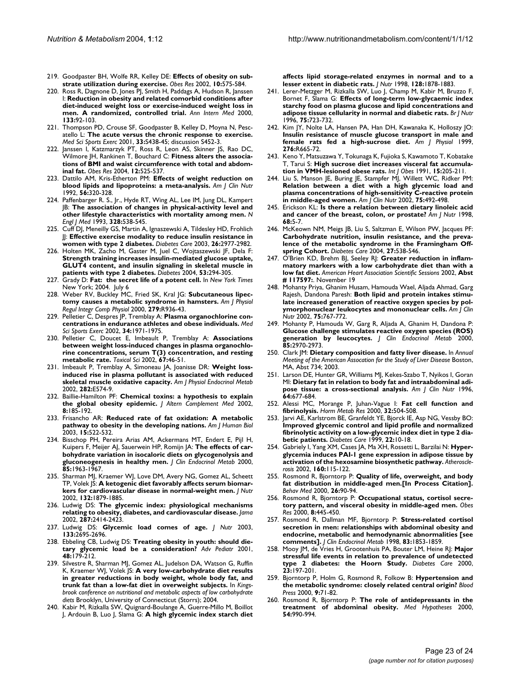- 219. Goodpaster BH, Wolfe RR, Kelley DE: **[Effects of obesity on sub](http://www.ncbi.nlm.nih.gov/entrez/query.fcgi?cmd=Retrieve&db=PubMed&dopt=Abstract&list_uids=12105277)[strate utilization during exercise.](http://www.ncbi.nlm.nih.gov/entrez/query.fcgi?cmd=Retrieve&db=PubMed&dopt=Abstract&list_uids=12105277)** *Obes Res* 2002, **10:**575-584.
- 220. Ross R, Dagnone D, Jones PJ, Smith H, Paddags A, Hudson R, Janssen I: **[Reduction in obesity and related comorbid conditions after](http://www.ncbi.nlm.nih.gov/entrez/query.fcgi?cmd=Retrieve&db=PubMed&dopt=Abstract&list_uids=10896648) [diet-induced weight loss or exercise-induced weight loss in](http://www.ncbi.nlm.nih.gov/entrez/query.fcgi?cmd=Retrieve&db=PubMed&dopt=Abstract&list_uids=10896648) [men. A randomized, controlled trial.](http://www.ncbi.nlm.nih.gov/entrez/query.fcgi?cmd=Retrieve&db=PubMed&dopt=Abstract&list_uids=10896648)** *Ann Intern Med* 2000, **133:**92-103.
- 221. Thompson PD, Crouse SF, Goodpaster B, Kelley D, Moyna N, Pescatello L: **[The acute versus the chronic response to exercise.](http://www.ncbi.nlm.nih.gov/entrez/query.fcgi?cmd=Retrieve&db=PubMed&dopt=Abstract&list_uids=11427768)** *Med Sci Sports Exerc* 2001, **33:**S438-45; discussion S452-3.
- 222. Janssen I, Katzmarzyk PT, Ross R, Leon AS, Skinner JS, Rao DC, Wilmore JH, Rankinen T, Bouchard C: **[Fitness alters the associa](http://www.ncbi.nlm.nih.gov/entrez/query.fcgi?cmd=Retrieve&db=PubMed&dopt=Abstract&list_uids=15044671)[tions of BMI and waist circumference with total and abdom](http://www.ncbi.nlm.nih.gov/entrez/query.fcgi?cmd=Retrieve&db=PubMed&dopt=Abstract&list_uids=15044671)[inal fat.](http://www.ncbi.nlm.nih.gov/entrez/query.fcgi?cmd=Retrieve&db=PubMed&dopt=Abstract&list_uids=15044671)** *Obes Res* 2004, **12:**525-537.
- 223. Dattilo AM, Kris-Etherton PM: **[Effects of weight reduction on](http://www.ncbi.nlm.nih.gov/entrez/query.fcgi?cmd=Retrieve&db=PubMed&dopt=Abstract&list_uids=1386186) [blood lipids and lipoproteins: a meta-analysis.](http://www.ncbi.nlm.nih.gov/entrez/query.fcgi?cmd=Retrieve&db=PubMed&dopt=Abstract&list_uids=1386186)** *Am J Clin Nutr* 1992, **56:**320-328.
- 224. Paffenbarger R. S., Jr., Hyde RT, Wing AL, Lee IM, Jung DL, Kampert JB: **[The association of changes in physical-activity level and](http://www.ncbi.nlm.nih.gov/entrez/query.fcgi?cmd=Retrieve&db=PubMed&dopt=Abstract&list_uids=8426621) [other lifestyle characteristics with mortality among men.](http://www.ncbi.nlm.nih.gov/entrez/query.fcgi?cmd=Retrieve&db=PubMed&dopt=Abstract&list_uids=8426621)** *N Engl J Med* 1993, **328:**538-545.
- 225. Cuff DJ, Meneilly GS, Martin A, Ignaszewski A, Tildesley HD, Frohlich JJ: **[Effective exercise modality to reduce insulin resistance in](http://www.ncbi.nlm.nih.gov/entrez/query.fcgi?cmd=Retrieve&db=PubMed&dopt=Abstract&list_uids=14578226) [women with type 2 diabetes.](http://www.ncbi.nlm.nih.gov/entrez/query.fcgi?cmd=Retrieve&db=PubMed&dopt=Abstract&list_uids=14578226)** *Diabetes Care* 2003, **26:**2977-2982.
- 226. Holten MK, Zacho M, Gaster M, Juel C, Wojtaszewski JF, Dela F: **[Strength training increases insulin-mediated glucose uptake,](http://www.ncbi.nlm.nih.gov/entrez/query.fcgi?cmd=Retrieve&db=PubMed&dopt=Abstract&list_uids=14747278) GLUT4 content, and insulin signaling in skeletal muscle in [patients with type 2 diabetes.](http://www.ncbi.nlm.nih.gov/entrez/query.fcgi?cmd=Retrieve&db=PubMed&dopt=Abstract&list_uids=14747278)** *Diabetes* 2004, **53:**294-305.
- 227. Grady D: **Fat: the secret life of a potent cell.** In *New York Times* New York; 2004. July 6
- 228. Weber RV, Buckley MC, Fried SK, Kral JG: **[Subcutaneous lipec](http://www.ncbi.nlm.nih.gov/entrez/query.fcgi?cmd=Retrieve&db=PubMed&dopt=Abstract&list_uids=10956251)[tomy causes a metabolic syndrome in hamsters.](http://www.ncbi.nlm.nih.gov/entrez/query.fcgi?cmd=Retrieve&db=PubMed&dopt=Abstract&list_uids=10956251)** *Am J Physiol Regul Integr Comp Physiol* 2000, **279:**R936-43.
- 229. Pelletier C, Despres JP, Tremblay A: **[Plasma organochlorine con](http://www.ncbi.nlm.nih.gov/entrez/query.fcgi?cmd=Retrieve&db=PubMed&dopt=Abstract&list_uids=12471304)[centrations in endurance athletes and obese individuals.](http://www.ncbi.nlm.nih.gov/entrez/query.fcgi?cmd=Retrieve&db=PubMed&dopt=Abstract&list_uids=12471304)** *Med Sci Sports Exerc* 2002, **34:**1971-1975.
- 230. Pelletier C, Doucet E, Imbeault P, Tremblay A: **[Associations](http://www.ncbi.nlm.nih.gov/entrez/query.fcgi?cmd=Retrieve&db=PubMed&dopt=Abstract&list_uids=11961215) [between weight loss-induced changes in plasma organochlo](http://www.ncbi.nlm.nih.gov/entrez/query.fcgi?cmd=Retrieve&db=PubMed&dopt=Abstract&list_uids=11961215)rine concentrations, serum T(3) concentration, and resting [metabolic rate.](http://www.ncbi.nlm.nih.gov/entrez/query.fcgi?cmd=Retrieve&db=PubMed&dopt=Abstract&list_uids=11961215)** *Toxicol Sci* 2002, **67:**46-51.
- 231. Imbeault P, Tremblay A, Simoneau JA, Joanisse DR: **[Weight loss](http://www.ncbi.nlm.nih.gov/entrez/query.fcgi?cmd=Retrieve&db=PubMed&dopt=Abstract&list_uids=11832359)[induced rise in plasma pollutant is associated with reduced](http://www.ncbi.nlm.nih.gov/entrez/query.fcgi?cmd=Retrieve&db=PubMed&dopt=Abstract&list_uids=11832359) [skeletal muscle oxidative capacity.](http://www.ncbi.nlm.nih.gov/entrez/query.fcgi?cmd=Retrieve&db=PubMed&dopt=Abstract&list_uids=11832359)** *Am J Physiol Endocrinol Metab* 2002, **282:**E574-9.
- 232. Baillie-Hamilton PF: **[Chemical toxins: a hypothesis to explain](http://www.ncbi.nlm.nih.gov/entrez/query.fcgi?cmd=Retrieve&db=PubMed&dopt=Abstract&list_uids=12006126) [the global obesity epidemic.](http://www.ncbi.nlm.nih.gov/entrez/query.fcgi?cmd=Retrieve&db=PubMed&dopt=Abstract&list_uids=12006126)** *J Altern Complement Med* 2002, **8:**185-192.
- 233. Frisancho AR: **Reduced rate of fat oxidation: A metabolic pathway to obesity in the developing nations.** *Am J Human Biol* 2003, **15:**522-532.
- 234. Bisschop PH, Pereira Arias AM, Ackermans MT, Endert E, Pijl H, Kuipers F, Meijer AJ, Sauerwein HP, Romijn JA: **[The effects of car](http://www.ncbi.nlm.nih.gov/entrez/query.fcgi?cmd=Retrieve&db=PubMed&dopt=Abstract&list_uids=10843182)[bohydrate variation in isocaloric diets on glycogenolysis and](http://www.ncbi.nlm.nih.gov/entrez/query.fcgi?cmd=Retrieve&db=PubMed&dopt=Abstract&list_uids=10843182) [gluconeogenesis in healthy men.](http://www.ncbi.nlm.nih.gov/entrez/query.fcgi?cmd=Retrieve&db=PubMed&dopt=Abstract&list_uids=10843182)** *J Clin Endocrinol Metab* 2000, **85:**1963-1967.
- 235. Sharman MJ, Kraemer WJ, Love DM, Avery NG, Gomez AL, Scheett TP, Volek JS: **[A ketogenic diet favorably affects serum biomar](http://www.ncbi.nlm.nih.gov/entrez/query.fcgi?cmd=Retrieve&db=PubMed&dopt=Abstract&list_uids=12097663)[kers for cardiovascular disease in normal-weight men.](http://www.ncbi.nlm.nih.gov/entrez/query.fcgi?cmd=Retrieve&db=PubMed&dopt=Abstract&list_uids=12097663)** *J Nutr* 2002, **132:**1879-1885.
- 236. Ludwig DS: **[The glycemic index: physiological mechanisms](http://www.ncbi.nlm.nih.gov/entrez/query.fcgi?cmd=Retrieve&db=PubMed&dopt=Abstract&list_uids=11988062) [relating to obesity, diabetes, and cardiovascular disease.](http://www.ncbi.nlm.nih.gov/entrez/query.fcgi?cmd=Retrieve&db=PubMed&dopt=Abstract&list_uids=11988062)** *Jama* 2002, **287:**2414-2423.
- 237. Ludwig DS: **[Glycemic load comes of age.](http://www.ncbi.nlm.nih.gov/entrez/query.fcgi?cmd=Retrieve&db=PubMed&dopt=Abstract&list_uids=12949351)** *J Nutr* 2003, **133:**2695-2696.
- 238. Ebbeling CB, Ludwig DS: **[Treating obesity in youth: should die](http://www.ncbi.nlm.nih.gov/entrez/query.fcgi?cmd=Retrieve&db=PubMed&dopt=Abstract&list_uids=11480757)[tary glycemic load be a consideration?](http://www.ncbi.nlm.nih.gov/entrez/query.fcgi?cmd=Retrieve&db=PubMed&dopt=Abstract&list_uids=11480757)** *Adv Pediatr* 2001, **48:**179-212.
- 239. Silvestre R, Sharman MJ, Gomez AL, Judelson DA, Watson G, Ruffin K, Kraemer WJ, Volek JS: **A very low-carbohydrate diet results in greater reductions in body weight, whole body fat, and trunk fat than a low-fat diet in overweight subjects.** In *Kingsbrook conference on nutritional and metabolic aspects of low carbohydrate diets* Brooklyn, University of Connecticut (Storrs); 2004.
- 240. Kabir M, Rizkalla SW, Quignard-Boulange A, Guerre-Millo M, Boillot J, Ardouin B, Luo J, Slama G: **[A high glycemic index starch diet](http://www.ncbi.nlm.nih.gov/entrez/query.fcgi?cmd=Retrieve&db=PubMed&dopt=Abstract&list_uids=9808637)**

**[affects lipid storage-related enzymes in normal and to a](http://www.ncbi.nlm.nih.gov/entrez/query.fcgi?cmd=Retrieve&db=PubMed&dopt=Abstract&list_uids=9808637) [lesser extent in diabetic rats.](http://www.ncbi.nlm.nih.gov/entrez/query.fcgi?cmd=Retrieve&db=PubMed&dopt=Abstract&list_uids=9808637)** *J Nutr* 1998, **128:**1878-1883.

- 241. Lerer-Metzger M, Rizkalla SW, Luo J, Champ M, Kabir M, Bruzzo F, Bornet F, Slama G: **[Effects of long-term low-glycaemic index](http://www.ncbi.nlm.nih.gov/entrez/query.fcgi?cmd=Retrieve&db=PubMed&dopt=Abstract&list_uids=8695599) [starchy food on plasma glucose and lipid concentrations and](http://www.ncbi.nlm.nih.gov/entrez/query.fcgi?cmd=Retrieve&db=PubMed&dopt=Abstract&list_uids=8695599) [adipose tissue cellularity in normal and diabetic rats.](http://www.ncbi.nlm.nih.gov/entrez/query.fcgi?cmd=Retrieve&db=PubMed&dopt=Abstract&list_uids=8695599)** *Br J Nutr* 1996, **75:**723-732.
- 242. Kim JY, Nolte LA, Hansen PA, Han DH, Kawanaka K, Holloszy JO: **[Insulin resistance of muscle glucose transport in male and](http://www.ncbi.nlm.nih.gov/entrez/query.fcgi?cmd=Retrieve&db=PubMed&dopt=Abstract&list_uids=10070126) [female rats fed a high-sucrose diet.](http://www.ncbi.nlm.nih.gov/entrez/query.fcgi?cmd=Retrieve&db=PubMed&dopt=Abstract&list_uids=10070126)** *Am J Physiol* 1999, **276:**R665-72.
- 243. Keno Y, Matsuzawa Y, Tokunaga K, Fujioka S, Kawamoto T, Kobatake T, Tarui S: **[High sucrose diet increases visceral fat accumula](http://www.ncbi.nlm.nih.gov/entrez/query.fcgi?cmd=Retrieve&db=PubMed&dopt=Abstract&list_uids=2045213)[tion in VMH-lesioned obese rats.](http://www.ncbi.nlm.nih.gov/entrez/query.fcgi?cmd=Retrieve&db=PubMed&dopt=Abstract&list_uids=2045213)** *Int J Obes* 1991, **15:**205-211.
- 244. Liu S, Manson JE, Buring JE, Stampfer MJ, Willett WC, Ridker PM: **[Relation between a diet with a high glycemic load and](http://www.ncbi.nlm.nih.gov/entrez/query.fcgi?cmd=Retrieve&db=PubMed&dopt=Abstract&list_uids=11864854) plasma concentrations of high-sensitivity C-reactive protein [in middle-aged women.](http://www.ncbi.nlm.nih.gov/entrez/query.fcgi?cmd=Retrieve&db=PubMed&dopt=Abstract&list_uids=11864854)** *Am J Clin Nutr* 2002, **75:**492-498.
- 245. Erickson KL: **Is there a relation between dietary linoleic acid and cancer of the breast, colon, or prostate?** *Am J Nutr* 1998, **68:**5-7.
- 246. McKeown NM, Meigs JB, Liu S, Saltzman E, Wilson PW, Jacques PF: **[Carbohydrate nutrition, insulin resistance, and the preva](http://www.ncbi.nlm.nih.gov/entrez/query.fcgi?cmd=Retrieve&db=PubMed&dopt=Abstract&list_uids=14747241)lence of the metabolic syndrome in the Framingham Off[spring Cohort.](http://www.ncbi.nlm.nih.gov/entrez/query.fcgi?cmd=Retrieve&db=PubMed&dopt=Abstract&list_uids=14747241)** *Diabetes Care* 2004, **27:**538-546.
- 247. O'Brien KD, Brehm BJ, Seeley RJ: **Greater reduction in inflammatory markers with a low carbohydrate diet than with a low fat diet.** *American Heart Association Scientific Sessions* 2002, **Abst # 117597:**. November 19
- 248. Mohanty Priya, Ghanim Husam, Hamouda Wael, Aljada Ahmad, Garg Rajesh, Dandona Paresh: **[Both lipid and protein intakes stimu](http://www.ncbi.nlm.nih.gov/entrez/query.fcgi?cmd=Retrieve&db=PubMed&dopt=Abstract&list_uids=11916766)[late increased generation of reactive oxygen species by pol](http://www.ncbi.nlm.nih.gov/entrez/query.fcgi?cmd=Retrieve&db=PubMed&dopt=Abstract&list_uids=11916766)[ymorphonuclear leukocytes and mononuclear cells.](http://www.ncbi.nlm.nih.gov/entrez/query.fcgi?cmd=Retrieve&db=PubMed&dopt=Abstract&list_uids=11916766)** *Am J Clin Nutr* 2002, **75:**767-772.
- 249. Mohanty P, Hamouda W, Garg R, Aljada A, Ghanim H, Dandona P: **[Glucose challenge stimulates reactive oxygen species \(ROS\)](http://www.ncbi.nlm.nih.gov/entrez/query.fcgi?cmd=Retrieve&db=PubMed&dopt=Abstract&list_uids=10946914) [generation by leucocytes.](http://www.ncbi.nlm.nih.gov/entrez/query.fcgi?cmd=Retrieve&db=PubMed&dopt=Abstract&list_uids=10946914)** *J Clin Endocrinol Metab* 2000, **85:**2970-2973.
- 250. Clark JM: **Dietary composition and fatty liver disease.** In *Annual Meeting of the American Assocation for the Study of Liver Disease* Boston, MA, Abst 734; 2003.
- 251. Larson DE, Hunter GR, Williams MJ, Kekes-Szabo T, Nyikos I, Goran MI: **[Dietary fat in relation to body fat and intraabdominal adi](http://www.ncbi.nlm.nih.gov/entrez/query.fcgi?cmd=Retrieve&db=PubMed&dopt=Abstract&list_uids=8901785)[pose tissue: a cross-sectional analysis.](http://www.ncbi.nlm.nih.gov/entrez/query.fcgi?cmd=Retrieve&db=PubMed&dopt=Abstract&list_uids=8901785)** *Am J Clin Nutr* 1996, **64:**677-684.
- 252. Alessi MC, Morange P, Juhan-Vague I: **[Fat cell function and](http://www.ncbi.nlm.nih.gov/entrez/query.fcgi?cmd=Retrieve&db=PubMed&dopt=Abstract&list_uids=11246816) [fibrinolysis.](http://www.ncbi.nlm.nih.gov/entrez/query.fcgi?cmd=Retrieve&db=PubMed&dopt=Abstract&list_uids=11246816)** *Horm Metab Res* 2000, **32:**504-508.
- 253. Jarvi AE, Karlstrom BE, Granfeldt YE, Bjorck IE, Asp NG, Vessby BO: **[Improved glycemic control and lipid profile and normalized](http://www.ncbi.nlm.nih.gov/entrez/query.fcgi?cmd=Retrieve&db=PubMed&dopt=Abstract&list_uids=10333897) fibrinolytic activity on a low-glycemic index diet in type 2 dia[betic patients.](http://www.ncbi.nlm.nih.gov/entrez/query.fcgi?cmd=Retrieve&db=PubMed&dopt=Abstract&list_uids=10333897)** *Diabetes Care* 1999, **22:**10-18.
- 254. Gabriely I, Yang XM, Cases JA, Ma XH, Rossetti L, Barzilai N: **[Hyper](http://www.ncbi.nlm.nih.gov/entrez/query.fcgi?cmd=Retrieve&db=PubMed&dopt=Abstract&list_uids=11755928)[glycemia induces PAI-1 gene expression in adipose tissue by](http://www.ncbi.nlm.nih.gov/entrez/query.fcgi?cmd=Retrieve&db=PubMed&dopt=Abstract&list_uids=11755928) [activation of the hexosamine biosynthetic pathway.](http://www.ncbi.nlm.nih.gov/entrez/query.fcgi?cmd=Retrieve&db=PubMed&dopt=Abstract&list_uids=11755928)** *Atherosclerosis* 2002, **160:**115-122.
- 255. Rosmond R, Bjorntorp P: **[Quality of life, overweight, and body](http://www.ncbi.nlm.nih.gov/entrez/query.fcgi?cmd=Retrieve&db=PubMed&dopt=Abstract&list_uids=11147295) [fat distribution in middle-aged men.\[In Process Citation\].](http://www.ncbi.nlm.nih.gov/entrez/query.fcgi?cmd=Retrieve&db=PubMed&dopt=Abstract&list_uids=11147295)** *Behav Med* 2000, **26:**90-94.
- 256. Rosmond R, Bjorntorp P: **[Occupational status, cortisol secre](http://www.ncbi.nlm.nih.gov/entrez/query.fcgi?cmd=Retrieve&db=PubMed&dopt=Abstract&list_uids=11011911)[tory pattern, and visceral obesity in middle-aged men.](http://www.ncbi.nlm.nih.gov/entrez/query.fcgi?cmd=Retrieve&db=PubMed&dopt=Abstract&list_uids=11011911)** *Obes Res* 2000, **8:**445-450.
- 257. Rosmond R, Dallman MF, Bjorntorp P: **[Stress-related cortisol](http://www.ncbi.nlm.nih.gov/entrez/query.fcgi?cmd=Retrieve&db=PubMed&dopt=Abstract&list_uids=9626108) [secretion in men: relationships with abdominal obesity and](http://www.ncbi.nlm.nih.gov/entrez/query.fcgi?cmd=Retrieve&db=PubMed&dopt=Abstract&list_uids=9626108) endocrine, metabolic and hemodynamic abnormalities [see [comments\].](http://www.ncbi.nlm.nih.gov/entrez/query.fcgi?cmd=Retrieve&db=PubMed&dopt=Abstract&list_uids=9626108)** *J Clin Endocrinol Metab* 1998, **83:**1853-1859.
- 258. Mooy JM, de Vries H, Grootenhuis PA, Bouter LM, Heine RJ: **[Major](http://www.ncbi.nlm.nih.gov/entrez/query.fcgi?cmd=Retrieve&db=PubMed&dopt=Abstract&list_uids=10868831) [stressful life events in relation to prevalence of undetected](http://www.ncbi.nlm.nih.gov/entrez/query.fcgi?cmd=Retrieve&db=PubMed&dopt=Abstract&list_uids=10868831) [type 2 diabetes: the Hoorn Study.](http://www.ncbi.nlm.nih.gov/entrez/query.fcgi?cmd=Retrieve&db=PubMed&dopt=Abstract&list_uids=10868831)** *Diabetes Care* 2000, **23:**197-201.
- 259. Bjorntorp P, Holm G, Rosmond R, Folkow B: **[Hypertension and](http://www.ncbi.nlm.nih.gov/entrez/query.fcgi?cmd=Retrieve&db=PubMed&dopt=Abstract&list_uids=10855728) [the metabolic syndrome: closely related central origin?](http://www.ncbi.nlm.nih.gov/entrez/query.fcgi?cmd=Retrieve&db=PubMed&dopt=Abstract&list_uids=10855728)** *Blood Press* 2000, **9:**71-82.
- 260. Rosmond R, Bjorntorp P: **[The role of antidepressants in the](http://www.ncbi.nlm.nih.gov/entrez/query.fcgi?cmd=Retrieve&db=PubMed&dopt=Abstract&list_uids=10867753) [treatment of abdominal obesity.](http://www.ncbi.nlm.nih.gov/entrez/query.fcgi?cmd=Retrieve&db=PubMed&dopt=Abstract&list_uids=10867753)** *Med Hypotheses* 2000, **54:**990-994.